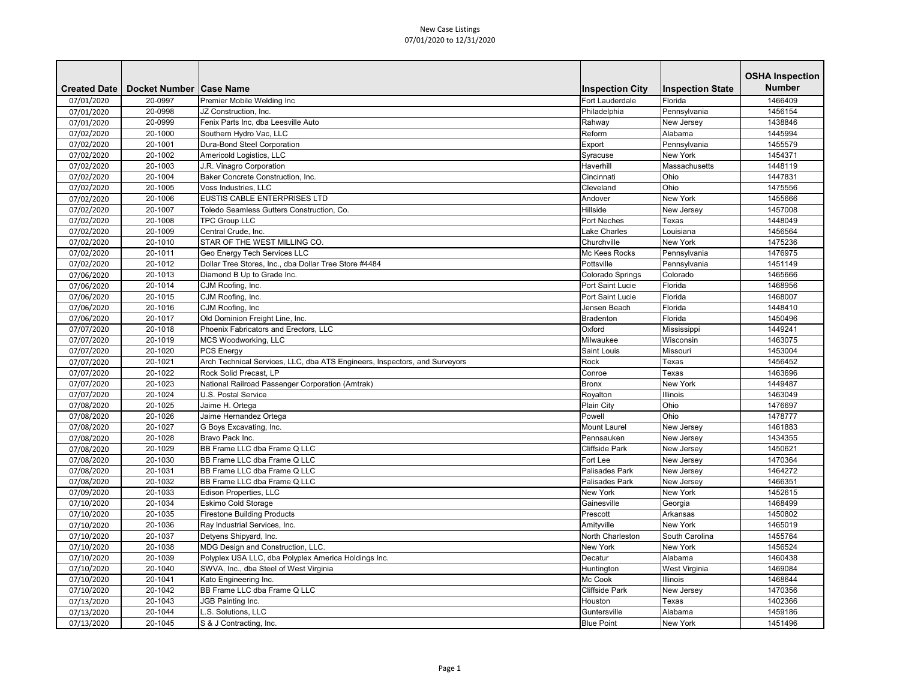| <b>Number</b><br><b>Created Date</b><br>Docket Number   Case Name<br><b>Inspection City</b><br><b>Inspection State</b><br>20-0997<br>Premier Mobile Welding Inc<br><b>Fort Lauderdale</b><br>Florida<br>1466409<br>07/01/2020<br>20-0998<br>Philadelphia<br>1456154<br>07/01/2020<br>JZ Construction, Inc.<br>Pennsylvania<br>20-0999<br>Fenix Parts Inc, dba Leesville Auto<br>Rahway<br>1438846<br>New Jersey<br>07/01/2020<br>20-1000<br>Southern Hydro Vac, LLC<br>Reform<br>Alabama<br>1445994<br>07/02/2020<br>07/02/2020<br>20-1001<br>Dura-Bond Steel Corporation<br>1455579<br>Export<br>Pennsylvania<br>07/02/2020<br>Syracuse<br><b>New York</b><br>20-1002<br>Americold Logistics, LLC<br>1454371<br>07/02/2020<br>20-1003<br>J.R. Vinagro Corporation<br>Massachusetts<br>Haverhill<br>1448119<br>Ohio<br>07/02/2020<br>20-1004<br>Baker Concrete Construction, Inc.<br>Cincinnati<br>1447831<br>Ohio<br>20-1005<br>Voss Industries, LLC<br>Cleveland<br>1475556<br>07/02/2020<br>EUSTIS CABLE ENTERPRISES LTD<br><b>New York</b><br>20-1006<br>1455666<br>07/02/2020<br>Andover<br>Hillside<br>20-1007<br>Toledo Seamless Gutters Construction, Co.<br>07/02/2020<br>New Jersey<br>1457008<br>20-1008<br><b>TPC Group LLC</b><br>1448049<br>07/02/2020<br><b>Port Neches</b><br>Texas<br>07/02/2020<br>20-1009<br>Central Crude, Inc.<br>Lake Charles<br>1456564<br>Louisiana<br>STAR OF THE WEST MILLING CO.<br>07/02/2020<br>20-1010<br>Churchville<br><b>New York</b><br>1475236<br>07/02/2020<br>20-1011<br><b>Geo Energy Tech Services LLC</b><br>Mc Kees Rocks<br>Pennsylvania<br>1476975<br>Pottsville<br>20-1012<br>Dollar Tree Stores, Inc., dba Dollar Tree Store #4484<br>1451149<br>Pennsylvania<br>07/02/2020<br>20-1013<br>Diamond B Up to Grade Inc.<br>Colorado<br>1465666<br>07/06/2020<br>Colorado Springs<br>Port Saint Lucie<br>Florida<br>20-1014<br>CJM Roofing, Inc.<br>1468956<br>07/06/2020<br>20-1015<br>CJM Roofing, Inc.<br>Port Saint Lucie<br>Florida<br>07/06/2020<br>1468007<br>20-1016<br>CJM Roofing, Inc<br>Florida<br>07/06/2020<br>Jensen Beach<br>1448410<br>20-1017<br>Old Dominion Freight Line, Inc.<br>Bradenton<br>Florida<br>1450496<br>07/06/2020<br>07/07/2020<br>20-1018<br>Phoenix Fabricators and Erectors, LLC<br>Oxford<br>1449241<br>Mississippi<br>07/07/2020<br>20-1019<br>MCS Woodworking, LLC<br>Milwaukee<br>Wisconsin<br>1463075<br><b>PCS Energy</b><br>Saint Louis<br>Missouri<br>20-1020<br>1453004<br>07/07/2020<br>Arch Technical Services, LLC, dba ATS Engineers, Inspectors, and Surveyors<br>20-1021<br><b>Rock</b><br>1456452<br>07/07/2020<br>Texas<br>Rock Solid Precast, LP<br>20-1022<br>Conroe<br>Texas<br>1463696<br>07/07/2020<br><b>New York</b><br>07/07/2020<br>20-1023<br>National Railroad Passenger Corporation (Amtrak)<br><b>Bronx</b><br>1449487<br>07/07/2020<br>20-1024<br>U.S. Postal Service<br>Royalton<br><b>Illinois</b><br>1463049<br>Ohio<br>20-1025<br>Jaime H. Ortega<br><b>Plain City</b><br>1476697<br>07/08/2020<br>Ohio<br>20-1026<br>Jaime Hernandez Ortega<br>Powell<br>1478777<br>07/08/2020<br>20-1027<br>G Boys Excavating, Inc.<br><b>Mount Laurel</b><br>New Jersey<br>1461883<br>07/08/2020<br>20-1028<br>Bravo Pack Inc.<br>Pennsauken<br>New Jersey<br>1434355<br>07/08/2020<br>BB Frame LLC dba Frame Q LLC<br>1450621<br>20-1029<br><b>Cliffside Park</b><br>New Jersey<br>07/08/2020<br>BB Frame LLC dba Frame Q LLC<br>Fort Lee<br>20-1030<br>New Jersey<br>1470364<br>07/08/2020<br>BB Frame LLC dba Frame Q LLC<br>07/08/2020<br>20-1031<br>Palisades Park<br>1464272<br>New Jersey<br>07/08/2020<br>20-1032<br><b>BB Frame LLC dba Frame Q LLC</b><br>1466351<br>Palisades Park<br>New Jersey<br>Edison Properties, LLC<br>New York<br>New York<br>1452615<br>07/09/2020<br>20-1033<br>20-1034<br><b>Eskimo Cold Storage</b><br>1468499<br>07/10/2020<br>Gainesville<br>Georgia<br><b>Firestone Building Products</b><br>20-1035<br>Prescott<br>Arkansas<br>1450802<br>07/10/2020<br>New York<br>07/10/2020<br>20-1036<br>Ray Industrial Services, Inc.<br>Amityville<br>1465019<br>Detyens Shipyard, Inc.<br>North Charleston<br>South Carolina<br>20-1037<br>1455764<br>07/10/2020<br>MDG Design and Construction, LLC.<br>20-1038<br>New York<br><b>New York</b><br>1456524<br>07/10/2020<br>20-1039<br>Polyplex USA LLC, dba Polyplex America Holdings Inc.<br>Alabama<br>1460438<br>07/10/2020<br>Decatur<br>07/10/2020<br>20-1040<br>SWVA, Inc., dba Steel of West Virginia<br>West Virginia<br>1469084<br>Huntington<br><b>Illinois</b><br>07/10/2020<br>20-1041<br>Mc Cook<br>1468644<br>Kato Engineering Inc.<br>BB Frame LLC dba Frame Q LLC<br><b>Cliffside Park</b><br>07/10/2020<br>20-1042<br>New Jersey<br>1470356<br>20-1043<br>JGB Painting Inc.<br>Houston<br>Texas<br>1402366<br>07/13/2020<br>L.S. Solutions, LLC<br>Guntersville<br>Alabama<br>1459186<br>07/13/2020<br>20-1044<br>S & J Contracting, Inc.<br>07/13/2020<br>20-1045<br><b>Blue Point</b><br>New York<br>1451496 |  |  | <b>OSHA Inspection</b> |
|----------------------------------------------------------------------------------------------------------------------------------------------------------------------------------------------------------------------------------------------------------------------------------------------------------------------------------------------------------------------------------------------------------------------------------------------------------------------------------------------------------------------------------------------------------------------------------------------------------------------------------------------------------------------------------------------------------------------------------------------------------------------------------------------------------------------------------------------------------------------------------------------------------------------------------------------------------------------------------------------------------------------------------------------------------------------------------------------------------------------------------------------------------------------------------------------------------------------------------------------------------------------------------------------------------------------------------------------------------------------------------------------------------------------------------------------------------------------------------------------------------------------------------------------------------------------------------------------------------------------------------------------------------------------------------------------------------------------------------------------------------------------------------------------------------------------------------------------------------------------------------------------------------------------------------------------------------------------------------------------------------------------------------------------------------------------------------------------------------------------------------------------------------------------------------------------------------------------------------------------------------------------------------------------------------------------------------------------------------------------------------------------------------------------------------------------------------------------------------------------------------------------------------------------------------------------------------------------------------------------------------------------------------------------------------------------------------------------------------------------------------------------------------------------------------------------------------------------------------------------------------------------------------------------------------------------------------------------------------------------------------------------------------------------------------------------------------------------------------------------------------------------------------------------------------------------------------------------------------------------------------------------------------------------------------------------------------------------------------------------------------------------------------------------------------------------------------------------------------------------------------------------------------------------------------------------------------------------------------------------------------------------------------------------------------------------------------------------------------------------------------------------------------------------------------------------------------------------------------------------------------------------------------------------------------------------------------------------------------------------------------------------------------------------------------------------------------------------------------------------------------------------------------------------------------------------------------------------------------------------------------------------------------------------------------------------------------------------------------------------------------------------------------------------------------------------------------------------------------------------------------------------------------------------------------------------------------------------------------------------------------------------------------------------------------------------------------------------------------------------------------------------------------------------------------------------------------------------------------------------------------------------------------------------------------------------------------------------------------------------------------------------------------------|--|--|------------------------|
|                                                                                                                                                                                                                                                                                                                                                                                                                                                                                                                                                                                                                                                                                                                                                                                                                                                                                                                                                                                                                                                                                                                                                                                                                                                                                                                                                                                                                                                                                                                                                                                                                                                                                                                                                                                                                                                                                                                                                                                                                                                                                                                                                                                                                                                                                                                                                                                                                                                                                                                                                                                                                                                                                                                                                                                                                                                                                                                                                                                                                                                                                                                                                                                                                                                                                                                                                                                                                                                                                                                                                                                                                                                                                                                                                                                                                                                                                                                                                                                                                                                                                                                                                                                                                                                                                                                                                                                                                                                                                                                                                                                                                                                                                                                                                                                                                                                                                                                                                                                                                                        |  |  |                        |
|                                                                                                                                                                                                                                                                                                                                                                                                                                                                                                                                                                                                                                                                                                                                                                                                                                                                                                                                                                                                                                                                                                                                                                                                                                                                                                                                                                                                                                                                                                                                                                                                                                                                                                                                                                                                                                                                                                                                                                                                                                                                                                                                                                                                                                                                                                                                                                                                                                                                                                                                                                                                                                                                                                                                                                                                                                                                                                                                                                                                                                                                                                                                                                                                                                                                                                                                                                                                                                                                                                                                                                                                                                                                                                                                                                                                                                                                                                                                                                                                                                                                                                                                                                                                                                                                                                                                                                                                                                                                                                                                                                                                                                                                                                                                                                                                                                                                                                                                                                                                                                        |  |  |                        |
|                                                                                                                                                                                                                                                                                                                                                                                                                                                                                                                                                                                                                                                                                                                                                                                                                                                                                                                                                                                                                                                                                                                                                                                                                                                                                                                                                                                                                                                                                                                                                                                                                                                                                                                                                                                                                                                                                                                                                                                                                                                                                                                                                                                                                                                                                                                                                                                                                                                                                                                                                                                                                                                                                                                                                                                                                                                                                                                                                                                                                                                                                                                                                                                                                                                                                                                                                                                                                                                                                                                                                                                                                                                                                                                                                                                                                                                                                                                                                                                                                                                                                                                                                                                                                                                                                                                                                                                                                                                                                                                                                                                                                                                                                                                                                                                                                                                                                                                                                                                                                                        |  |  |                        |
|                                                                                                                                                                                                                                                                                                                                                                                                                                                                                                                                                                                                                                                                                                                                                                                                                                                                                                                                                                                                                                                                                                                                                                                                                                                                                                                                                                                                                                                                                                                                                                                                                                                                                                                                                                                                                                                                                                                                                                                                                                                                                                                                                                                                                                                                                                                                                                                                                                                                                                                                                                                                                                                                                                                                                                                                                                                                                                                                                                                                                                                                                                                                                                                                                                                                                                                                                                                                                                                                                                                                                                                                                                                                                                                                                                                                                                                                                                                                                                                                                                                                                                                                                                                                                                                                                                                                                                                                                                                                                                                                                                                                                                                                                                                                                                                                                                                                                                                                                                                                                                        |  |  |                        |
|                                                                                                                                                                                                                                                                                                                                                                                                                                                                                                                                                                                                                                                                                                                                                                                                                                                                                                                                                                                                                                                                                                                                                                                                                                                                                                                                                                                                                                                                                                                                                                                                                                                                                                                                                                                                                                                                                                                                                                                                                                                                                                                                                                                                                                                                                                                                                                                                                                                                                                                                                                                                                                                                                                                                                                                                                                                                                                                                                                                                                                                                                                                                                                                                                                                                                                                                                                                                                                                                                                                                                                                                                                                                                                                                                                                                                                                                                                                                                                                                                                                                                                                                                                                                                                                                                                                                                                                                                                                                                                                                                                                                                                                                                                                                                                                                                                                                                                                                                                                                                                        |  |  |                        |
|                                                                                                                                                                                                                                                                                                                                                                                                                                                                                                                                                                                                                                                                                                                                                                                                                                                                                                                                                                                                                                                                                                                                                                                                                                                                                                                                                                                                                                                                                                                                                                                                                                                                                                                                                                                                                                                                                                                                                                                                                                                                                                                                                                                                                                                                                                                                                                                                                                                                                                                                                                                                                                                                                                                                                                                                                                                                                                                                                                                                                                                                                                                                                                                                                                                                                                                                                                                                                                                                                                                                                                                                                                                                                                                                                                                                                                                                                                                                                                                                                                                                                                                                                                                                                                                                                                                                                                                                                                                                                                                                                                                                                                                                                                                                                                                                                                                                                                                                                                                                                                        |  |  |                        |
|                                                                                                                                                                                                                                                                                                                                                                                                                                                                                                                                                                                                                                                                                                                                                                                                                                                                                                                                                                                                                                                                                                                                                                                                                                                                                                                                                                                                                                                                                                                                                                                                                                                                                                                                                                                                                                                                                                                                                                                                                                                                                                                                                                                                                                                                                                                                                                                                                                                                                                                                                                                                                                                                                                                                                                                                                                                                                                                                                                                                                                                                                                                                                                                                                                                                                                                                                                                                                                                                                                                                                                                                                                                                                                                                                                                                                                                                                                                                                                                                                                                                                                                                                                                                                                                                                                                                                                                                                                                                                                                                                                                                                                                                                                                                                                                                                                                                                                                                                                                                                                        |  |  |                        |
|                                                                                                                                                                                                                                                                                                                                                                                                                                                                                                                                                                                                                                                                                                                                                                                                                                                                                                                                                                                                                                                                                                                                                                                                                                                                                                                                                                                                                                                                                                                                                                                                                                                                                                                                                                                                                                                                                                                                                                                                                                                                                                                                                                                                                                                                                                                                                                                                                                                                                                                                                                                                                                                                                                                                                                                                                                                                                                                                                                                                                                                                                                                                                                                                                                                                                                                                                                                                                                                                                                                                                                                                                                                                                                                                                                                                                                                                                                                                                                                                                                                                                                                                                                                                                                                                                                                                                                                                                                                                                                                                                                                                                                                                                                                                                                                                                                                                                                                                                                                                                                        |  |  |                        |
|                                                                                                                                                                                                                                                                                                                                                                                                                                                                                                                                                                                                                                                                                                                                                                                                                                                                                                                                                                                                                                                                                                                                                                                                                                                                                                                                                                                                                                                                                                                                                                                                                                                                                                                                                                                                                                                                                                                                                                                                                                                                                                                                                                                                                                                                                                                                                                                                                                                                                                                                                                                                                                                                                                                                                                                                                                                                                                                                                                                                                                                                                                                                                                                                                                                                                                                                                                                                                                                                                                                                                                                                                                                                                                                                                                                                                                                                                                                                                                                                                                                                                                                                                                                                                                                                                                                                                                                                                                                                                                                                                                                                                                                                                                                                                                                                                                                                                                                                                                                                                                        |  |  |                        |
|                                                                                                                                                                                                                                                                                                                                                                                                                                                                                                                                                                                                                                                                                                                                                                                                                                                                                                                                                                                                                                                                                                                                                                                                                                                                                                                                                                                                                                                                                                                                                                                                                                                                                                                                                                                                                                                                                                                                                                                                                                                                                                                                                                                                                                                                                                                                                                                                                                                                                                                                                                                                                                                                                                                                                                                                                                                                                                                                                                                                                                                                                                                                                                                                                                                                                                                                                                                                                                                                                                                                                                                                                                                                                                                                                                                                                                                                                                                                                                                                                                                                                                                                                                                                                                                                                                                                                                                                                                                                                                                                                                                                                                                                                                                                                                                                                                                                                                                                                                                                                                        |  |  |                        |
|                                                                                                                                                                                                                                                                                                                                                                                                                                                                                                                                                                                                                                                                                                                                                                                                                                                                                                                                                                                                                                                                                                                                                                                                                                                                                                                                                                                                                                                                                                                                                                                                                                                                                                                                                                                                                                                                                                                                                                                                                                                                                                                                                                                                                                                                                                                                                                                                                                                                                                                                                                                                                                                                                                                                                                                                                                                                                                                                                                                                                                                                                                                                                                                                                                                                                                                                                                                                                                                                                                                                                                                                                                                                                                                                                                                                                                                                                                                                                                                                                                                                                                                                                                                                                                                                                                                                                                                                                                                                                                                                                                                                                                                                                                                                                                                                                                                                                                                                                                                                                                        |  |  |                        |
|                                                                                                                                                                                                                                                                                                                                                                                                                                                                                                                                                                                                                                                                                                                                                                                                                                                                                                                                                                                                                                                                                                                                                                                                                                                                                                                                                                                                                                                                                                                                                                                                                                                                                                                                                                                                                                                                                                                                                                                                                                                                                                                                                                                                                                                                                                                                                                                                                                                                                                                                                                                                                                                                                                                                                                                                                                                                                                                                                                                                                                                                                                                                                                                                                                                                                                                                                                                                                                                                                                                                                                                                                                                                                                                                                                                                                                                                                                                                                                                                                                                                                                                                                                                                                                                                                                                                                                                                                                                                                                                                                                                                                                                                                                                                                                                                                                                                                                                                                                                                                                        |  |  |                        |
|                                                                                                                                                                                                                                                                                                                                                                                                                                                                                                                                                                                                                                                                                                                                                                                                                                                                                                                                                                                                                                                                                                                                                                                                                                                                                                                                                                                                                                                                                                                                                                                                                                                                                                                                                                                                                                                                                                                                                                                                                                                                                                                                                                                                                                                                                                                                                                                                                                                                                                                                                                                                                                                                                                                                                                                                                                                                                                                                                                                                                                                                                                                                                                                                                                                                                                                                                                                                                                                                                                                                                                                                                                                                                                                                                                                                                                                                                                                                                                                                                                                                                                                                                                                                                                                                                                                                                                                                                                                                                                                                                                                                                                                                                                                                                                                                                                                                                                                                                                                                                                        |  |  |                        |
|                                                                                                                                                                                                                                                                                                                                                                                                                                                                                                                                                                                                                                                                                                                                                                                                                                                                                                                                                                                                                                                                                                                                                                                                                                                                                                                                                                                                                                                                                                                                                                                                                                                                                                                                                                                                                                                                                                                                                                                                                                                                                                                                                                                                                                                                                                                                                                                                                                                                                                                                                                                                                                                                                                                                                                                                                                                                                                                                                                                                                                                                                                                                                                                                                                                                                                                                                                                                                                                                                                                                                                                                                                                                                                                                                                                                                                                                                                                                                                                                                                                                                                                                                                                                                                                                                                                                                                                                                                                                                                                                                                                                                                                                                                                                                                                                                                                                                                                                                                                                                                        |  |  |                        |
|                                                                                                                                                                                                                                                                                                                                                                                                                                                                                                                                                                                                                                                                                                                                                                                                                                                                                                                                                                                                                                                                                                                                                                                                                                                                                                                                                                                                                                                                                                                                                                                                                                                                                                                                                                                                                                                                                                                                                                                                                                                                                                                                                                                                                                                                                                                                                                                                                                                                                                                                                                                                                                                                                                                                                                                                                                                                                                                                                                                                                                                                                                                                                                                                                                                                                                                                                                                                                                                                                                                                                                                                                                                                                                                                                                                                                                                                                                                                                                                                                                                                                                                                                                                                                                                                                                                                                                                                                                                                                                                                                                                                                                                                                                                                                                                                                                                                                                                                                                                                                                        |  |  |                        |
|                                                                                                                                                                                                                                                                                                                                                                                                                                                                                                                                                                                                                                                                                                                                                                                                                                                                                                                                                                                                                                                                                                                                                                                                                                                                                                                                                                                                                                                                                                                                                                                                                                                                                                                                                                                                                                                                                                                                                                                                                                                                                                                                                                                                                                                                                                                                                                                                                                                                                                                                                                                                                                                                                                                                                                                                                                                                                                                                                                                                                                                                                                                                                                                                                                                                                                                                                                                                                                                                                                                                                                                                                                                                                                                                                                                                                                                                                                                                                                                                                                                                                                                                                                                                                                                                                                                                                                                                                                                                                                                                                                                                                                                                                                                                                                                                                                                                                                                                                                                                                                        |  |  |                        |
|                                                                                                                                                                                                                                                                                                                                                                                                                                                                                                                                                                                                                                                                                                                                                                                                                                                                                                                                                                                                                                                                                                                                                                                                                                                                                                                                                                                                                                                                                                                                                                                                                                                                                                                                                                                                                                                                                                                                                                                                                                                                                                                                                                                                                                                                                                                                                                                                                                                                                                                                                                                                                                                                                                                                                                                                                                                                                                                                                                                                                                                                                                                                                                                                                                                                                                                                                                                                                                                                                                                                                                                                                                                                                                                                                                                                                                                                                                                                                                                                                                                                                                                                                                                                                                                                                                                                                                                                                                                                                                                                                                                                                                                                                                                                                                                                                                                                                                                                                                                                                                        |  |  |                        |
|                                                                                                                                                                                                                                                                                                                                                                                                                                                                                                                                                                                                                                                                                                                                                                                                                                                                                                                                                                                                                                                                                                                                                                                                                                                                                                                                                                                                                                                                                                                                                                                                                                                                                                                                                                                                                                                                                                                                                                                                                                                                                                                                                                                                                                                                                                                                                                                                                                                                                                                                                                                                                                                                                                                                                                                                                                                                                                                                                                                                                                                                                                                                                                                                                                                                                                                                                                                                                                                                                                                                                                                                                                                                                                                                                                                                                                                                                                                                                                                                                                                                                                                                                                                                                                                                                                                                                                                                                                                                                                                                                                                                                                                                                                                                                                                                                                                                                                                                                                                                                                        |  |  |                        |
|                                                                                                                                                                                                                                                                                                                                                                                                                                                                                                                                                                                                                                                                                                                                                                                                                                                                                                                                                                                                                                                                                                                                                                                                                                                                                                                                                                                                                                                                                                                                                                                                                                                                                                                                                                                                                                                                                                                                                                                                                                                                                                                                                                                                                                                                                                                                                                                                                                                                                                                                                                                                                                                                                                                                                                                                                                                                                                                                                                                                                                                                                                                                                                                                                                                                                                                                                                                                                                                                                                                                                                                                                                                                                                                                                                                                                                                                                                                                                                                                                                                                                                                                                                                                                                                                                                                                                                                                                                                                                                                                                                                                                                                                                                                                                                                                                                                                                                                                                                                                                                        |  |  |                        |
|                                                                                                                                                                                                                                                                                                                                                                                                                                                                                                                                                                                                                                                                                                                                                                                                                                                                                                                                                                                                                                                                                                                                                                                                                                                                                                                                                                                                                                                                                                                                                                                                                                                                                                                                                                                                                                                                                                                                                                                                                                                                                                                                                                                                                                                                                                                                                                                                                                                                                                                                                                                                                                                                                                                                                                                                                                                                                                                                                                                                                                                                                                                                                                                                                                                                                                                                                                                                                                                                                                                                                                                                                                                                                                                                                                                                                                                                                                                                                                                                                                                                                                                                                                                                                                                                                                                                                                                                                                                                                                                                                                                                                                                                                                                                                                                                                                                                                                                                                                                                                                        |  |  |                        |
|                                                                                                                                                                                                                                                                                                                                                                                                                                                                                                                                                                                                                                                                                                                                                                                                                                                                                                                                                                                                                                                                                                                                                                                                                                                                                                                                                                                                                                                                                                                                                                                                                                                                                                                                                                                                                                                                                                                                                                                                                                                                                                                                                                                                                                                                                                                                                                                                                                                                                                                                                                                                                                                                                                                                                                                                                                                                                                                                                                                                                                                                                                                                                                                                                                                                                                                                                                                                                                                                                                                                                                                                                                                                                                                                                                                                                                                                                                                                                                                                                                                                                                                                                                                                                                                                                                                                                                                                                                                                                                                                                                                                                                                                                                                                                                                                                                                                                                                                                                                                                                        |  |  |                        |
|                                                                                                                                                                                                                                                                                                                                                                                                                                                                                                                                                                                                                                                                                                                                                                                                                                                                                                                                                                                                                                                                                                                                                                                                                                                                                                                                                                                                                                                                                                                                                                                                                                                                                                                                                                                                                                                                                                                                                                                                                                                                                                                                                                                                                                                                                                                                                                                                                                                                                                                                                                                                                                                                                                                                                                                                                                                                                                                                                                                                                                                                                                                                                                                                                                                                                                                                                                                                                                                                                                                                                                                                                                                                                                                                                                                                                                                                                                                                                                                                                                                                                                                                                                                                                                                                                                                                                                                                                                                                                                                                                                                                                                                                                                                                                                                                                                                                                                                                                                                                                                        |  |  |                        |
|                                                                                                                                                                                                                                                                                                                                                                                                                                                                                                                                                                                                                                                                                                                                                                                                                                                                                                                                                                                                                                                                                                                                                                                                                                                                                                                                                                                                                                                                                                                                                                                                                                                                                                                                                                                                                                                                                                                                                                                                                                                                                                                                                                                                                                                                                                                                                                                                                                                                                                                                                                                                                                                                                                                                                                                                                                                                                                                                                                                                                                                                                                                                                                                                                                                                                                                                                                                                                                                                                                                                                                                                                                                                                                                                                                                                                                                                                                                                                                                                                                                                                                                                                                                                                                                                                                                                                                                                                                                                                                                                                                                                                                                                                                                                                                                                                                                                                                                                                                                                                                        |  |  |                        |
|                                                                                                                                                                                                                                                                                                                                                                                                                                                                                                                                                                                                                                                                                                                                                                                                                                                                                                                                                                                                                                                                                                                                                                                                                                                                                                                                                                                                                                                                                                                                                                                                                                                                                                                                                                                                                                                                                                                                                                                                                                                                                                                                                                                                                                                                                                                                                                                                                                                                                                                                                                                                                                                                                                                                                                                                                                                                                                                                                                                                                                                                                                                                                                                                                                                                                                                                                                                                                                                                                                                                                                                                                                                                                                                                                                                                                                                                                                                                                                                                                                                                                                                                                                                                                                                                                                                                                                                                                                                                                                                                                                                                                                                                                                                                                                                                                                                                                                                                                                                                                                        |  |  |                        |
|                                                                                                                                                                                                                                                                                                                                                                                                                                                                                                                                                                                                                                                                                                                                                                                                                                                                                                                                                                                                                                                                                                                                                                                                                                                                                                                                                                                                                                                                                                                                                                                                                                                                                                                                                                                                                                                                                                                                                                                                                                                                                                                                                                                                                                                                                                                                                                                                                                                                                                                                                                                                                                                                                                                                                                                                                                                                                                                                                                                                                                                                                                                                                                                                                                                                                                                                                                                                                                                                                                                                                                                                                                                                                                                                                                                                                                                                                                                                                                                                                                                                                                                                                                                                                                                                                                                                                                                                                                                                                                                                                                                                                                                                                                                                                                                                                                                                                                                                                                                                                                        |  |  |                        |
|                                                                                                                                                                                                                                                                                                                                                                                                                                                                                                                                                                                                                                                                                                                                                                                                                                                                                                                                                                                                                                                                                                                                                                                                                                                                                                                                                                                                                                                                                                                                                                                                                                                                                                                                                                                                                                                                                                                                                                                                                                                                                                                                                                                                                                                                                                                                                                                                                                                                                                                                                                                                                                                                                                                                                                                                                                                                                                                                                                                                                                                                                                                                                                                                                                                                                                                                                                                                                                                                                                                                                                                                                                                                                                                                                                                                                                                                                                                                                                                                                                                                                                                                                                                                                                                                                                                                                                                                                                                                                                                                                                                                                                                                                                                                                                                                                                                                                                                                                                                                                                        |  |  |                        |
|                                                                                                                                                                                                                                                                                                                                                                                                                                                                                                                                                                                                                                                                                                                                                                                                                                                                                                                                                                                                                                                                                                                                                                                                                                                                                                                                                                                                                                                                                                                                                                                                                                                                                                                                                                                                                                                                                                                                                                                                                                                                                                                                                                                                                                                                                                                                                                                                                                                                                                                                                                                                                                                                                                                                                                                                                                                                                                                                                                                                                                                                                                                                                                                                                                                                                                                                                                                                                                                                                                                                                                                                                                                                                                                                                                                                                                                                                                                                                                                                                                                                                                                                                                                                                                                                                                                                                                                                                                                                                                                                                                                                                                                                                                                                                                                                                                                                                                                                                                                                                                        |  |  |                        |
|                                                                                                                                                                                                                                                                                                                                                                                                                                                                                                                                                                                                                                                                                                                                                                                                                                                                                                                                                                                                                                                                                                                                                                                                                                                                                                                                                                                                                                                                                                                                                                                                                                                                                                                                                                                                                                                                                                                                                                                                                                                                                                                                                                                                                                                                                                                                                                                                                                                                                                                                                                                                                                                                                                                                                                                                                                                                                                                                                                                                                                                                                                                                                                                                                                                                                                                                                                                                                                                                                                                                                                                                                                                                                                                                                                                                                                                                                                                                                                                                                                                                                                                                                                                                                                                                                                                                                                                                                                                                                                                                                                                                                                                                                                                                                                                                                                                                                                                                                                                                                                        |  |  |                        |
|                                                                                                                                                                                                                                                                                                                                                                                                                                                                                                                                                                                                                                                                                                                                                                                                                                                                                                                                                                                                                                                                                                                                                                                                                                                                                                                                                                                                                                                                                                                                                                                                                                                                                                                                                                                                                                                                                                                                                                                                                                                                                                                                                                                                                                                                                                                                                                                                                                                                                                                                                                                                                                                                                                                                                                                                                                                                                                                                                                                                                                                                                                                                                                                                                                                                                                                                                                                                                                                                                                                                                                                                                                                                                                                                                                                                                                                                                                                                                                                                                                                                                                                                                                                                                                                                                                                                                                                                                                                                                                                                                                                                                                                                                                                                                                                                                                                                                                                                                                                                                                        |  |  |                        |
|                                                                                                                                                                                                                                                                                                                                                                                                                                                                                                                                                                                                                                                                                                                                                                                                                                                                                                                                                                                                                                                                                                                                                                                                                                                                                                                                                                                                                                                                                                                                                                                                                                                                                                                                                                                                                                                                                                                                                                                                                                                                                                                                                                                                                                                                                                                                                                                                                                                                                                                                                                                                                                                                                                                                                                                                                                                                                                                                                                                                                                                                                                                                                                                                                                                                                                                                                                                                                                                                                                                                                                                                                                                                                                                                                                                                                                                                                                                                                                                                                                                                                                                                                                                                                                                                                                                                                                                                                                                                                                                                                                                                                                                                                                                                                                                                                                                                                                                                                                                                                                        |  |  |                        |
|                                                                                                                                                                                                                                                                                                                                                                                                                                                                                                                                                                                                                                                                                                                                                                                                                                                                                                                                                                                                                                                                                                                                                                                                                                                                                                                                                                                                                                                                                                                                                                                                                                                                                                                                                                                                                                                                                                                                                                                                                                                                                                                                                                                                                                                                                                                                                                                                                                                                                                                                                                                                                                                                                                                                                                                                                                                                                                                                                                                                                                                                                                                                                                                                                                                                                                                                                                                                                                                                                                                                                                                                                                                                                                                                                                                                                                                                                                                                                                                                                                                                                                                                                                                                                                                                                                                                                                                                                                                                                                                                                                                                                                                                                                                                                                                                                                                                                                                                                                                                                                        |  |  |                        |
|                                                                                                                                                                                                                                                                                                                                                                                                                                                                                                                                                                                                                                                                                                                                                                                                                                                                                                                                                                                                                                                                                                                                                                                                                                                                                                                                                                                                                                                                                                                                                                                                                                                                                                                                                                                                                                                                                                                                                                                                                                                                                                                                                                                                                                                                                                                                                                                                                                                                                                                                                                                                                                                                                                                                                                                                                                                                                                                                                                                                                                                                                                                                                                                                                                                                                                                                                                                                                                                                                                                                                                                                                                                                                                                                                                                                                                                                                                                                                                                                                                                                                                                                                                                                                                                                                                                                                                                                                                                                                                                                                                                                                                                                                                                                                                                                                                                                                                                                                                                                                                        |  |  |                        |
|                                                                                                                                                                                                                                                                                                                                                                                                                                                                                                                                                                                                                                                                                                                                                                                                                                                                                                                                                                                                                                                                                                                                                                                                                                                                                                                                                                                                                                                                                                                                                                                                                                                                                                                                                                                                                                                                                                                                                                                                                                                                                                                                                                                                                                                                                                                                                                                                                                                                                                                                                                                                                                                                                                                                                                                                                                                                                                                                                                                                                                                                                                                                                                                                                                                                                                                                                                                                                                                                                                                                                                                                                                                                                                                                                                                                                                                                                                                                                                                                                                                                                                                                                                                                                                                                                                                                                                                                                                                                                                                                                                                                                                                                                                                                                                                                                                                                                                                                                                                                                                        |  |  |                        |
|                                                                                                                                                                                                                                                                                                                                                                                                                                                                                                                                                                                                                                                                                                                                                                                                                                                                                                                                                                                                                                                                                                                                                                                                                                                                                                                                                                                                                                                                                                                                                                                                                                                                                                                                                                                                                                                                                                                                                                                                                                                                                                                                                                                                                                                                                                                                                                                                                                                                                                                                                                                                                                                                                                                                                                                                                                                                                                                                                                                                                                                                                                                                                                                                                                                                                                                                                                                                                                                                                                                                                                                                                                                                                                                                                                                                                                                                                                                                                                                                                                                                                                                                                                                                                                                                                                                                                                                                                                                                                                                                                                                                                                                                                                                                                                                                                                                                                                                                                                                                                                        |  |  |                        |
|                                                                                                                                                                                                                                                                                                                                                                                                                                                                                                                                                                                                                                                                                                                                                                                                                                                                                                                                                                                                                                                                                                                                                                                                                                                                                                                                                                                                                                                                                                                                                                                                                                                                                                                                                                                                                                                                                                                                                                                                                                                                                                                                                                                                                                                                                                                                                                                                                                                                                                                                                                                                                                                                                                                                                                                                                                                                                                                                                                                                                                                                                                                                                                                                                                                                                                                                                                                                                                                                                                                                                                                                                                                                                                                                                                                                                                                                                                                                                                                                                                                                                                                                                                                                                                                                                                                                                                                                                                                                                                                                                                                                                                                                                                                                                                                                                                                                                                                                                                                                                                        |  |  |                        |
|                                                                                                                                                                                                                                                                                                                                                                                                                                                                                                                                                                                                                                                                                                                                                                                                                                                                                                                                                                                                                                                                                                                                                                                                                                                                                                                                                                                                                                                                                                                                                                                                                                                                                                                                                                                                                                                                                                                                                                                                                                                                                                                                                                                                                                                                                                                                                                                                                                                                                                                                                                                                                                                                                                                                                                                                                                                                                                                                                                                                                                                                                                                                                                                                                                                                                                                                                                                                                                                                                                                                                                                                                                                                                                                                                                                                                                                                                                                                                                                                                                                                                                                                                                                                                                                                                                                                                                                                                                                                                                                                                                                                                                                                                                                                                                                                                                                                                                                                                                                                                                        |  |  |                        |
|                                                                                                                                                                                                                                                                                                                                                                                                                                                                                                                                                                                                                                                                                                                                                                                                                                                                                                                                                                                                                                                                                                                                                                                                                                                                                                                                                                                                                                                                                                                                                                                                                                                                                                                                                                                                                                                                                                                                                                                                                                                                                                                                                                                                                                                                                                                                                                                                                                                                                                                                                                                                                                                                                                                                                                                                                                                                                                                                                                                                                                                                                                                                                                                                                                                                                                                                                                                                                                                                                                                                                                                                                                                                                                                                                                                                                                                                                                                                                                                                                                                                                                                                                                                                                                                                                                                                                                                                                                                                                                                                                                                                                                                                                                                                                                                                                                                                                                                                                                                                                                        |  |  |                        |
|                                                                                                                                                                                                                                                                                                                                                                                                                                                                                                                                                                                                                                                                                                                                                                                                                                                                                                                                                                                                                                                                                                                                                                                                                                                                                                                                                                                                                                                                                                                                                                                                                                                                                                                                                                                                                                                                                                                                                                                                                                                                                                                                                                                                                                                                                                                                                                                                                                                                                                                                                                                                                                                                                                                                                                                                                                                                                                                                                                                                                                                                                                                                                                                                                                                                                                                                                                                                                                                                                                                                                                                                                                                                                                                                                                                                                                                                                                                                                                                                                                                                                                                                                                                                                                                                                                                                                                                                                                                                                                                                                                                                                                                                                                                                                                                                                                                                                                                                                                                                                                        |  |  |                        |
|                                                                                                                                                                                                                                                                                                                                                                                                                                                                                                                                                                                                                                                                                                                                                                                                                                                                                                                                                                                                                                                                                                                                                                                                                                                                                                                                                                                                                                                                                                                                                                                                                                                                                                                                                                                                                                                                                                                                                                                                                                                                                                                                                                                                                                                                                                                                                                                                                                                                                                                                                                                                                                                                                                                                                                                                                                                                                                                                                                                                                                                                                                                                                                                                                                                                                                                                                                                                                                                                                                                                                                                                                                                                                                                                                                                                                                                                                                                                                                                                                                                                                                                                                                                                                                                                                                                                                                                                                                                                                                                                                                                                                                                                                                                                                                                                                                                                                                                                                                                                                                        |  |  |                        |
|                                                                                                                                                                                                                                                                                                                                                                                                                                                                                                                                                                                                                                                                                                                                                                                                                                                                                                                                                                                                                                                                                                                                                                                                                                                                                                                                                                                                                                                                                                                                                                                                                                                                                                                                                                                                                                                                                                                                                                                                                                                                                                                                                                                                                                                                                                                                                                                                                                                                                                                                                                                                                                                                                                                                                                                                                                                                                                                                                                                                                                                                                                                                                                                                                                                                                                                                                                                                                                                                                                                                                                                                                                                                                                                                                                                                                                                                                                                                                                                                                                                                                                                                                                                                                                                                                                                                                                                                                                                                                                                                                                                                                                                                                                                                                                                                                                                                                                                                                                                                                                        |  |  |                        |
|                                                                                                                                                                                                                                                                                                                                                                                                                                                                                                                                                                                                                                                                                                                                                                                                                                                                                                                                                                                                                                                                                                                                                                                                                                                                                                                                                                                                                                                                                                                                                                                                                                                                                                                                                                                                                                                                                                                                                                                                                                                                                                                                                                                                                                                                                                                                                                                                                                                                                                                                                                                                                                                                                                                                                                                                                                                                                                                                                                                                                                                                                                                                                                                                                                                                                                                                                                                                                                                                                                                                                                                                                                                                                                                                                                                                                                                                                                                                                                                                                                                                                                                                                                                                                                                                                                                                                                                                                                                                                                                                                                                                                                                                                                                                                                                                                                                                                                                                                                                                                                        |  |  |                        |
|                                                                                                                                                                                                                                                                                                                                                                                                                                                                                                                                                                                                                                                                                                                                                                                                                                                                                                                                                                                                                                                                                                                                                                                                                                                                                                                                                                                                                                                                                                                                                                                                                                                                                                                                                                                                                                                                                                                                                                                                                                                                                                                                                                                                                                                                                                                                                                                                                                                                                                                                                                                                                                                                                                                                                                                                                                                                                                                                                                                                                                                                                                                                                                                                                                                                                                                                                                                                                                                                                                                                                                                                                                                                                                                                                                                                                                                                                                                                                                                                                                                                                                                                                                                                                                                                                                                                                                                                                                                                                                                                                                                                                                                                                                                                                                                                                                                                                                                                                                                                                                        |  |  |                        |
|                                                                                                                                                                                                                                                                                                                                                                                                                                                                                                                                                                                                                                                                                                                                                                                                                                                                                                                                                                                                                                                                                                                                                                                                                                                                                                                                                                                                                                                                                                                                                                                                                                                                                                                                                                                                                                                                                                                                                                                                                                                                                                                                                                                                                                                                                                                                                                                                                                                                                                                                                                                                                                                                                                                                                                                                                                                                                                                                                                                                                                                                                                                                                                                                                                                                                                                                                                                                                                                                                                                                                                                                                                                                                                                                                                                                                                                                                                                                                                                                                                                                                                                                                                                                                                                                                                                                                                                                                                                                                                                                                                                                                                                                                                                                                                                                                                                                                                                                                                                                                                        |  |  |                        |
|                                                                                                                                                                                                                                                                                                                                                                                                                                                                                                                                                                                                                                                                                                                                                                                                                                                                                                                                                                                                                                                                                                                                                                                                                                                                                                                                                                                                                                                                                                                                                                                                                                                                                                                                                                                                                                                                                                                                                                                                                                                                                                                                                                                                                                                                                                                                                                                                                                                                                                                                                                                                                                                                                                                                                                                                                                                                                                                                                                                                                                                                                                                                                                                                                                                                                                                                                                                                                                                                                                                                                                                                                                                                                                                                                                                                                                                                                                                                                                                                                                                                                                                                                                                                                                                                                                                                                                                                                                                                                                                                                                                                                                                                                                                                                                                                                                                                                                                                                                                                                                        |  |  |                        |
|                                                                                                                                                                                                                                                                                                                                                                                                                                                                                                                                                                                                                                                                                                                                                                                                                                                                                                                                                                                                                                                                                                                                                                                                                                                                                                                                                                                                                                                                                                                                                                                                                                                                                                                                                                                                                                                                                                                                                                                                                                                                                                                                                                                                                                                                                                                                                                                                                                                                                                                                                                                                                                                                                                                                                                                                                                                                                                                                                                                                                                                                                                                                                                                                                                                                                                                                                                                                                                                                                                                                                                                                                                                                                                                                                                                                                                                                                                                                                                                                                                                                                                                                                                                                                                                                                                                                                                                                                                                                                                                                                                                                                                                                                                                                                                                                                                                                                                                                                                                                                                        |  |  |                        |
|                                                                                                                                                                                                                                                                                                                                                                                                                                                                                                                                                                                                                                                                                                                                                                                                                                                                                                                                                                                                                                                                                                                                                                                                                                                                                                                                                                                                                                                                                                                                                                                                                                                                                                                                                                                                                                                                                                                                                                                                                                                                                                                                                                                                                                                                                                                                                                                                                                                                                                                                                                                                                                                                                                                                                                                                                                                                                                                                                                                                                                                                                                                                                                                                                                                                                                                                                                                                                                                                                                                                                                                                                                                                                                                                                                                                                                                                                                                                                                                                                                                                                                                                                                                                                                                                                                                                                                                                                                                                                                                                                                                                                                                                                                                                                                                                                                                                                                                                                                                                                                        |  |  |                        |
|                                                                                                                                                                                                                                                                                                                                                                                                                                                                                                                                                                                                                                                                                                                                                                                                                                                                                                                                                                                                                                                                                                                                                                                                                                                                                                                                                                                                                                                                                                                                                                                                                                                                                                                                                                                                                                                                                                                                                                                                                                                                                                                                                                                                                                                                                                                                                                                                                                                                                                                                                                                                                                                                                                                                                                                                                                                                                                                                                                                                                                                                                                                                                                                                                                                                                                                                                                                                                                                                                                                                                                                                                                                                                                                                                                                                                                                                                                                                                                                                                                                                                                                                                                                                                                                                                                                                                                                                                                                                                                                                                                                                                                                                                                                                                                                                                                                                                                                                                                                                                                        |  |  |                        |
|                                                                                                                                                                                                                                                                                                                                                                                                                                                                                                                                                                                                                                                                                                                                                                                                                                                                                                                                                                                                                                                                                                                                                                                                                                                                                                                                                                                                                                                                                                                                                                                                                                                                                                                                                                                                                                                                                                                                                                                                                                                                                                                                                                                                                                                                                                                                                                                                                                                                                                                                                                                                                                                                                                                                                                                                                                                                                                                                                                                                                                                                                                                                                                                                                                                                                                                                                                                                                                                                                                                                                                                                                                                                                                                                                                                                                                                                                                                                                                                                                                                                                                                                                                                                                                                                                                                                                                                                                                                                                                                                                                                                                                                                                                                                                                                                                                                                                                                                                                                                                                        |  |  |                        |
|                                                                                                                                                                                                                                                                                                                                                                                                                                                                                                                                                                                                                                                                                                                                                                                                                                                                                                                                                                                                                                                                                                                                                                                                                                                                                                                                                                                                                                                                                                                                                                                                                                                                                                                                                                                                                                                                                                                                                                                                                                                                                                                                                                                                                                                                                                                                                                                                                                                                                                                                                                                                                                                                                                                                                                                                                                                                                                                                                                                                                                                                                                                                                                                                                                                                                                                                                                                                                                                                                                                                                                                                                                                                                                                                                                                                                                                                                                                                                                                                                                                                                                                                                                                                                                                                                                                                                                                                                                                                                                                                                                                                                                                                                                                                                                                                                                                                                                                                                                                                                                        |  |  |                        |
|                                                                                                                                                                                                                                                                                                                                                                                                                                                                                                                                                                                                                                                                                                                                                                                                                                                                                                                                                                                                                                                                                                                                                                                                                                                                                                                                                                                                                                                                                                                                                                                                                                                                                                                                                                                                                                                                                                                                                                                                                                                                                                                                                                                                                                                                                                                                                                                                                                                                                                                                                                                                                                                                                                                                                                                                                                                                                                                                                                                                                                                                                                                                                                                                                                                                                                                                                                                                                                                                                                                                                                                                                                                                                                                                                                                                                                                                                                                                                                                                                                                                                                                                                                                                                                                                                                                                                                                                                                                                                                                                                                                                                                                                                                                                                                                                                                                                                                                                                                                                                                        |  |  |                        |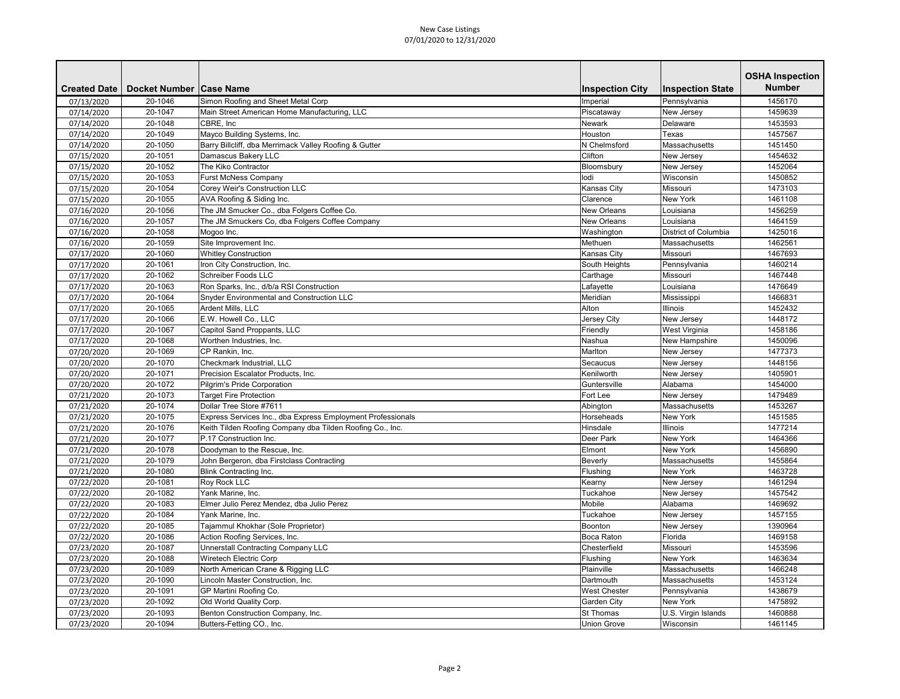|                     |                           |                                                             |                        |                         | <b>OSHA Inspection</b> |
|---------------------|---------------------------|-------------------------------------------------------------|------------------------|-------------------------|------------------------|
| <b>Created Date</b> | Docket Number   Case Name |                                                             | <b>Inspection City</b> | <b>Inspection State</b> | <b>Number</b>          |
| 07/13/2020          | 20-1046                   | Simon Roofing and Sheet Metal Corp                          | Imperial               | Pennsylvania            | 1456170                |
| 07/14/2020          | 20-1047                   | Main Street American Home Manufacturing, LLC                | Piscataway             | New Jersey              | 1459639                |
| 07/14/2020          | 20-1048                   | CBRE, Inc                                                   | <b>Newark</b>          | Delaware                | 1453593                |
| 07/14/2020          | 20-1049                   | Mayco Building Systems, Inc.                                | Houston                | Texas                   | 1457567                |
| 07/14/2020          | 20-1050                   | Barry Billcliff, dba Merrimack Valley Roofing & Gutter      | N Chelmsford           | Massachusetts           | 1451450                |
| 07/15/2020          | 20-1051                   | Damascus Bakery LLC                                         | Clifton                | New Jersey              | 1454632                |
| 07/15/2020          | 20-1052                   | The Kiko Contractor                                         | Bloomsbury             | New Jersey              | 1452064                |
| 07/15/2020          | 20-1053                   | <b>Furst McNess Company</b>                                 | lodi                   | Wisconsin               | 1450852                |
| 07/15/2020          | 20-1054                   | Corey Weir's Construction LLC                               | <b>Kansas City</b>     | Missouri                | 1473103                |
| 07/15/2020          | 20-1055                   | AVA Roofing & Siding Inc.                                   | Clarence               | <b>New York</b>         | 1461108                |
| 07/16/2020          | 20-1056                   | The JM Smucker Co., dba Folgers Coffee Co.                  | New Orleans            | Louisiana               | 1456259                |
| 07/16/2020          | 20-1057                   | The JM Smuckers Co, dba Folgers Coffee Company              | <b>New Orleans</b>     | Louisiana               | 1464159                |
| 07/16/2020          | 20-1058                   | Mogoo Inc.                                                  | Washington             | District of Columbia    | 1425016                |
| 07/16/2020          | 20-1059                   | Site Improvement Inc.                                       | Methuen                | Massachusetts           | 1462561                |
| 07/17/2020          | 20-1060                   | <b>Whitley Construction</b>                                 | <b>Kansas City</b>     | Missouri                | 1467693                |
| 07/17/2020          | 20-1061                   | Iron City Construction, Inc.                                | South Heights          | Pennsylvania            | 1460214                |
| 07/17/2020          | 20-1062                   | Schreiber Foods LLC                                         | Carthage               | Missouri                | 1467448                |
| 07/17/2020          | 20-1063                   | Ron Sparks, Inc., d/b/a RSI Construction                    | Lafayette              | Louisiana               | 1476649                |
| 07/17/2020          | 20-1064                   | <b>Snyder Environmental and Construction LLC</b>            | Meridian               | Mississippi             | 1466831                |
| 07/17/2020          | 20-1065                   | Ardent Mills, LLC                                           | Alton                  | Illinois                | 1452432                |
| 07/17/2020          | 20-1066                   | E.W. Howell Co., LLC                                        | Jersey City            | New Jersey              | 1448172                |
| 07/17/2020          | 20-1067                   | Capitol Sand Proppants, LLC                                 | Friendly               | West Virginia           | 1458186                |
| 07/17/2020          | 20-1068                   | Worthen Industries, Inc.                                    | Nashua                 | New Hampshire           | 1450096                |
| 07/20/2020          | 20-1069                   | CP Rankin, Inc.                                             | Marlton                | New Jersey              | 1477373                |
| 07/20/2020          | 20-1070                   | Checkmark Industrial, LLC                                   | Secaucus               | New Jersey              | 1448156                |
| 07/20/2020          | 20-1071                   | Precision Escalator Products, Inc.                          | Kenilworth             | New Jersey              | 1405901                |
| 07/20/2020          | 20-1072                   | Pilgrim's Pride Corporation                                 | Guntersville           | Alabama                 | 1454000                |
| 07/21/2020          | 20-1073                   | <b>Target Fire Protection</b>                               | Fort Lee               | New Jersey              | 1479489                |
| 07/21/2020          | 20-1074                   | Dollar Tree Store #7611                                     | Abington               | Massachusetts           | 1453267                |
| 07/21/2020          | 20-1075                   | Express Services Inc., dba Express Employment Professionals | Horseheads             | New York                | 1451585                |
| 07/21/2020          | 20-1076                   | Keith Tilden Roofing Company dba Tilden Roofing Co., Inc.   | Hinsdale               | Illinois                | 1477214                |
| 07/21/2020          | 20-1077                   | P.17 Construction Inc.                                      | <b>Deer Park</b>       | <b>New York</b>         | 1464366                |
| 07/21/2020          | 20-1078                   | Doodyman to the Rescue, Inc.                                | Elmont                 | New York                | 1456890                |
| 07/21/2020          | 20-1079                   | John Bergeron, dba Firstclass Contracting                   | Beverly                | Massachusetts           | 1455864                |
| 07/21/2020          | 20-1080                   | <b>Blink Contracting Inc.</b>                               | Flushing               | New York                | 1463728                |
| 07/22/2020          | 20-1081                   | Roy Rock LLC                                                | Kearny                 | New Jersey              | 1461294                |
| 07/22/2020          | 20-1082                   | Yank Marine, Inc.                                           | Tuckahoe               | New Jersey              | 1457542                |
| 07/22/2020          | 20-1083                   | Elmer Julio Perez Mendez, dba Julio Perez                   | Mobile                 | Alabama                 | 1469692                |
| 07/22/2020          | 20-1084                   | Yank Marine, Inc.                                           | Tuckahoe               | New Jersey              | 1457155                |
| 07/22/2020          | 20-1085                   | Tajammul Khokhar (Sole Proprietor)                          | Boonton                | New Jersey              | 1390964                |
| 07/22/2020          | 20-1086                   | Action Roofing Services, Inc.                               | <b>Boca Raton</b>      | Florida                 | 1469158                |
| 07/23/2020          | 20-1087                   | <b>Unnerstall Contracting Company LLC</b>                   | Chesterfield           | Missouri                | 1453596                |
| 07/23/2020          | 20-1088                   | <b>Wiretech Electric Corp</b>                               | Flushing               | New York                | 1463634                |
| 07/23/2020          | 20-1089                   | North American Crane & Rigging LLC                          | Plainville             | Massachusetts           | 1466248                |
| 07/23/2020          | 20-1090                   | Lincoln Master Construction, Inc.                           | Dartmouth              | Massachusetts           | 1453124                |
| 07/23/2020          | 20-1091                   | GP Martini Roofing Co.                                      | <b>West Chester</b>    | Pennsylvania            | 1438679                |
| 07/23/2020          | 20-1092                   | Old World Quality Corp.                                     | <b>Garden City</b>     | <b>New York</b>         | 1475892                |
| 07/23/2020          | 20-1093                   | Benton Construction Company, Inc.                           | <b>St Thomas</b>       | U.S. Virgin Islands     | 1460888                |
| 07/23/2020          | 20-1094                   | Butters-Fetting CO., Inc.                                   | <b>Union Grove</b>     | Wisconsin               | 1461145                |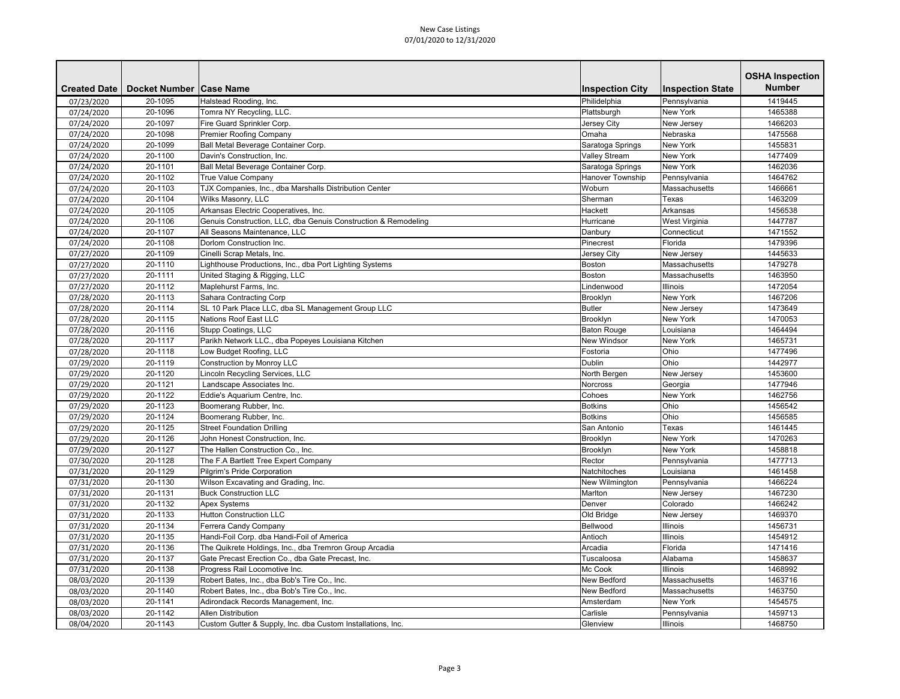|                     |                           |                                                                |                         |                         | <b>OSHA Inspection</b> |
|---------------------|---------------------------|----------------------------------------------------------------|-------------------------|-------------------------|------------------------|
| <b>Created Date</b> | Docket Number   Case Name |                                                                | <b>Inspection City</b>  | <b>Inspection State</b> | <b>Number</b>          |
| 07/23/2020          | 20-1095                   | Halstead Rooding, Inc.                                         | Philidelphia            | Pennsylvania            | 1419445                |
| 07/24/2020          | 20-1096                   | Tomra NY Recycling, LLC.                                       | Plattsburgh             | <b>New York</b>         | 1465388                |
| 07/24/2020          | 20-1097                   | Fire Guard Sprinkler Corp.                                     | Jersey City             | New Jersey              | 1466203                |
| 07/24/2020          | 20-1098                   | <b>Premier Roofing Company</b>                                 | Omaha                   | Nebraska                | 1475568                |
| 07/24/2020          | 20-1099                   | Ball Metal Beverage Container Corp.                            | Saratoga Springs        | <b>New York</b>         | 1455831                |
| 07/24/2020          | 20-1100                   | Davin's Construction, Inc.                                     | <b>Valley Stream</b>    | <b>New York</b>         | 1477409                |
| 07/24/2020          | 20-1101                   | Ball Metal Beverage Container Corp.                            | Saratoga Springs        | <b>New York</b>         | 1462036                |
| 07/24/2020          | 20-1102                   | <b>True Value Company</b>                                      | <b>Hanover Township</b> | Pennsylvania            | 1464762                |
| 07/24/2020          | 20-1103                   | TJX Companies, Inc., dba Marshalls Distribution Center         | Woburn                  | Massachusetts           | 1466661                |
| 07/24/2020          | 20-1104                   | Wilks Masonry, LLC                                             | Sherman                 | Texas                   | 1463209                |
| 07/24/2020          | 20-1105                   | Arkansas Electric Cooperatives, Inc.                           | Hackett                 | Arkansas                | 1456538                |
| 07/24/2020          | 20-1106                   | Genuis Construction, LLC, dba Genuis Construction & Remodeling | Hurricane               | West Virginia           | 1447787                |
| 07/24/2020          | 20-1107                   | All Seasons Maintenance, LLC                                   | Danbury                 | Connecticut             | 1471552                |
| 07/24/2020          | 20-1108                   | Dorlom Construction Inc.                                       | Pinecrest               | Florida                 | 1479396                |
| 07/27/2020          | 20-1109                   | Cinelli Scrap Metals, Inc.                                     | Jersey City             | New Jersey              | 1445633                |
| 07/27/2020          | 20-1110                   | Lighthouse Productions, Inc., dba Port Lighting Systems        | Boston                  | Massachusetts           | 1479278                |
| 07/27/2020          | 20-1111                   | United Staging & Rigging, LLC                                  | Boston                  | Massachusetts           | 1463950                |
| 07/27/2020          | 20-1112                   | Maplehurst Farms, Inc.                                         | Lindenwood              | Illinois                | 1472054                |
| 07/28/2020          | 20-1113                   | Sahara Contracting Corp                                        | Brooklyn                | <b>New York</b>         | 1467206                |
| 07/28/2020          | 20-1114                   | SL 10 Park Place LLC, dba SL Management Group LLC              | <b>Butler</b>           | New Jersey              | 1473649                |
| 07/28/2020          | 20-1115                   | Nations Roof East LLC                                          | Brooklyn                | <b>New York</b>         | 1470053                |
| 07/28/2020          | 20-1116                   | Stupp Coatings, LLC                                            | <b>Baton Rouge</b>      | Louisiana               | 1464494                |
| 07/28/2020          | 20-1117                   | Parikh Network LLC., dba Popeyes Louisiana Kitchen             | <b>New Windsor</b>      | <b>New York</b>         | 1465731                |
| 07/28/2020          | 20-1118                   | Low Budget Roofing, LLC                                        | Fostoria                | Ohio                    | 1477496                |
| 07/29/2020          | 20-1119                   | Construction by Monroy LLC                                     | <b>Dublin</b>           | Ohio                    | 1442977                |
| 07/29/2020          | 20-1120                   | Lincoln Recycling Services, LLC                                | North Bergen            | New Jersey              | 1453600                |
| 07/29/2020          | 20-1121                   | Landscape Associates Inc.                                      | Norcross                | Georgia                 | 1477946                |
| 07/29/2020          | 20-1122                   | Eddie's Aquarium Centre, Inc.                                  | Cohoes                  | <b>New York</b>         | 1462756                |
| 07/29/2020          | 20-1123                   | Boomerang Rubber, Inc.                                         | <b>Botkins</b>          | Ohio                    | 1456542                |
| 07/29/2020          | 20-1124                   | Boomerang Rubber, Inc.                                         | <b>Botkins</b>          | Ohio                    | 1456585                |
| 07/29/2020          | 20-1125                   | <b>Street Foundation Drilling</b>                              | San Antonio             | Texas                   | 1461445                |
| 07/29/2020          | 20-1126                   | John Honest Construction, Inc.                                 | Brooklyn                | <b>New York</b>         | 1470263                |
| 07/29/2020          | 20-1127                   | The Hallen Construction Co., Inc.                              | Brooklyn                | New York                | 1458818                |
| 07/30/2020          | 20-1128                   | The F.A Bartlett Tree Expert Company                           | Rector                  | Pennsylvania            | 1477713                |
| 07/31/2020          | 20-1129                   | Pilgrim's Pride Corporation                                    | Natchitoches            | Louisiana               | 1461458                |
| 07/31/2020          | 20-1130                   | Wilson Excavating and Grading, Inc.                            | New Wilmington          | Pennsylvania            | 1466224                |
| 07/31/2020          | 20-1131                   | <b>Buck Construction LLC</b>                                   | Marlton                 | New Jersey              | 1467230                |
| 07/31/2020          | 20-1132                   | <b>Apex Systems</b>                                            | Denver                  | Colorado                | 1466242                |
| 07/31/2020          | 20-1133                   | <b>Hutton Construction LLC</b>                                 | Old Bridge              | New Jersey              | 1469370                |
| 07/31/2020          | 20-1134                   | Ferrera Candy Company                                          | Bellwood                | <b>Illinois</b>         | 1456731                |
| 07/31/2020          | 20-1135                   | Handi-Foil Corp. dba Handi-Foil of America                     | Antioch                 | <b>Illinois</b>         | 1454912                |
| 07/31/2020          | 20-1136                   | The Quikrete Holdings, Inc., dba Tremron Group Arcadia         | Arcadia                 | Florida                 | 1471416                |
| 07/31/2020          | 20-1137                   | Gate Precast Erection Co., dba Gate Precast, Inc.              | Tuscaloosa              | Alabama                 | 1458637                |
| 07/31/2020          | 20-1138                   | Progress Rail Locomotive Inc.                                  | Mc Cook                 | <b>Illinois</b>         | 1468992                |
| 08/03/2020          | 20-1139                   | Robert Bates, Inc., dba Bob's Tire Co., Inc.                   | <b>New Bedford</b>      | Massachusetts           | 1463716                |
| 08/03/2020          | 20-1140                   | Robert Bates, Inc., dba Bob's Tire Co., Inc.                   | <b>New Bedford</b>      | Massachusetts           | 1463750                |
| 08/03/2020          | 20-1141                   | Adirondack Records Management, Inc.                            | Amsterdam               | <b>New York</b>         | 1454575                |
| 08/03/2020          | 20-1142                   | <b>Allen Distribution</b>                                      | Carlisle                | Pennsylvania            | 1459713                |
| 08/04/2020          | 20-1143                   | Custom Gutter & Supply, Inc. dba Custom Installations, Inc.    | Glenview                | <b>Illinois</b>         | 1468750                |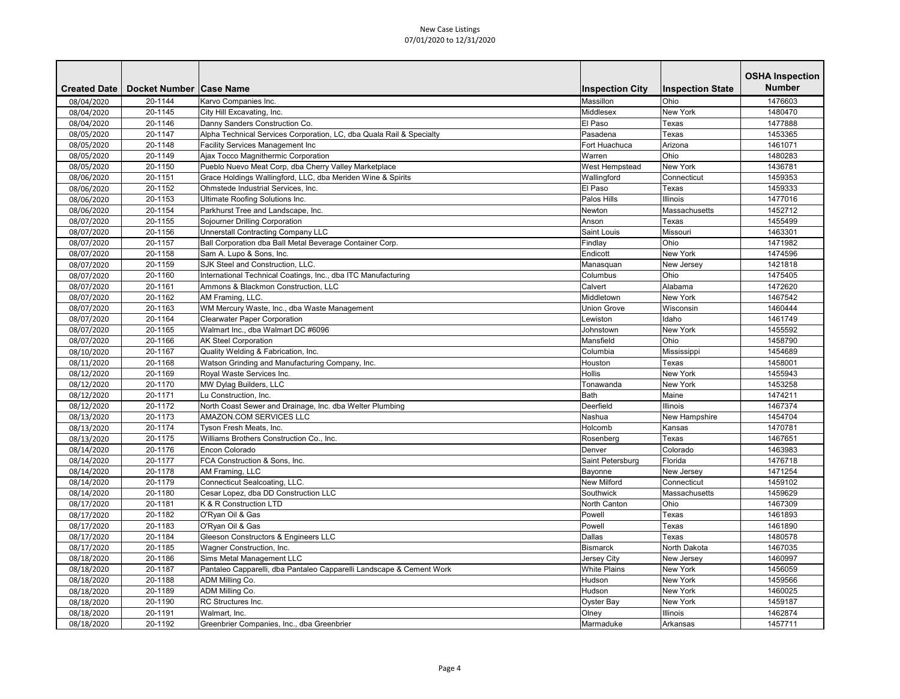|                     |                           |                                                                      |                        |                         | <b>OSHA Inspection</b> |
|---------------------|---------------------------|----------------------------------------------------------------------|------------------------|-------------------------|------------------------|
| <b>Created Date</b> | Docket Number   Case Name |                                                                      | <b>Inspection City</b> | <b>Inspection State</b> | <b>Number</b>          |
| 08/04/2020          | 20-1144                   | Karvo Companies Inc.                                                 | Massillon              | Ohio                    | 1476603                |
| 08/04/2020          | 20-1145                   | City Hill Excavating, Inc.                                           | Middlesex              | <b>New York</b>         | 1480470                |
| 08/04/2020          | 20-1146                   | Danny Sanders Construction Co.                                       | El Paso                | Texas                   | 1477888                |
| 08/05/2020          | 20-1147                   | Alpha Technical Services Corporation, LC, dba Quala Rail & Specialty | Pasadena               | Texas                   | 1453365                |
| 08/05/2020          | 20-1148                   | <b>Facility Services Management Inc</b>                              | Fort Huachuca          | Arizona                 | 1461071                |
| 08/05/2020          | 20-1149                   | Ajax Tocco Magnithermic Corporation                                  | Warren                 | Ohio                    | 1480283                |
| 08/05/2020          | 20-1150                   | Pueblo Nuevo Meat Corp, dba Cherry Valley Marketplace                | <b>West Hempstead</b>  | <b>New York</b>         | 1436781                |
| 08/06/2020          | 20-1151                   | Grace Holdings Wallingford, LLC, dba Meriden Wine & Spirits          | Wallingford            | Connecticut             | 1459353                |
| 08/06/2020          | 20-1152                   | Ohmstede Industrial Services, Inc.                                   | El Paso                | Texas                   | 1459333                |
| 08/06/2020          | 20-1153                   | Ultimate Roofing Solutions Inc.                                      | Palos Hills            | Illinois                | 1477016                |
| 08/06/2020          | 20-1154                   | Parkhurst Tree and Landscape, Inc.                                   | Newton                 | Massachusetts           | 1452712                |
| 08/07/2020          | 20-1155                   | Sojourner Drilling Corporation                                       | Anson                  | Texas                   | 1455499                |
| 08/07/2020          | 20-1156                   | <b>Unnerstall Contracting Company LLC</b>                            | Saint Louis            | Missouri                | 1463301                |
| 08/07/2020          | 20-1157                   | Ball Corporation dba Ball Metal Beverage Container Corp.             | Findlay                | Ohio                    | 1471982                |
| 08/07/2020          | 20-1158                   | Sam A. Lupo & Sons, Inc.                                             | Endicott               | <b>New York</b>         | 1474596                |
| 08/07/2020          | 20-1159                   | SJK Steel and Construction, LLC.                                     | Manasquan              | New Jersey              | 1421818                |
| 08/07/2020          | 20-1160                   | International Technical Coatings, Inc., dba ITC Manufacturing        | Columbus               | Ohio                    | 1475405                |
| 08/07/2020          | 20-1161                   | Ammons & Blackmon Construction, LLC                                  | Calvert                | Alabama                 | 1472620                |
| 08/07/2020          | 20-1162                   | AM Framing, LLC.                                                     | Middletown             | <b>New York</b>         | 1467542                |
| 08/07/2020          | 20-1163                   | WM Mercury Waste, Inc., dba Waste Management                         | <b>Union Grove</b>     | Wisconsin               | 1460444                |
| 08/07/2020          | 20-1164                   | <b>Clearwater Paper Corporation</b>                                  | Lewiston               | Idaho                   | 1461749                |
| 08/07/2020          | 20-1165                   | Walmart Inc., dba Walmart DC #6096                                   | Johnstown              | <b>New York</b>         | 1455592                |
| 08/07/2020          | 20-1166                   | <b>AK Steel Corporation</b>                                          | Mansfield              | Ohio                    | 1458790                |
| 08/10/2020          | 20-1167                   | Quality Welding & Fabrication, Inc.                                  | Columbia               | Mississippi             | 1454689                |
| 08/11/2020          | 20-1168                   | Watson Grinding and Manufacturing Company, Inc.                      | Houston                | Texas                   | 1458001                |
| 08/12/2020          | 20-1169                   | Royal Waste Services Inc.                                            | <b>Hollis</b>          | <b>New York</b>         | 1455943                |
| 08/12/2020          | 20-1170                   | MW Dylag Builders, LLC                                               | Tonawanda              | <b>New York</b>         | 1453258                |
| 08/12/2020          | 20-1171                   | Lu Construction, Inc.                                                | <b>Bath</b>            | Maine                   | 1474211                |
| 08/12/2020          | 20-1172                   | North Coast Sewer and Drainage, Inc. dba Welter Plumbing             | Deerfield              | <b>Illinois</b>         | 1467374                |
| 08/13/2020          | 20-1173                   | AMAZON.COM SERVICES LLC                                              | Nashua                 | New Hampshire           | 1454704                |
| 08/13/2020          | 20-1174                   | Tyson Fresh Meats, Inc.                                              | Holcomb                | Kansas                  | 1470781                |
| 08/13/2020          | 20-1175                   | Williams Brothers Construction Co., Inc.                             | Rosenberg              | Texas                   | 1467651                |
| 08/14/2020          | 20-1176                   | Encon Colorado                                                       | Denver                 | Colorado                | 1463983                |
| 08/14/2020          | 20-1177                   | FCA Construction & Sons, Inc.                                        | Saint Petersburg       | Florida                 | 1476718                |
| 08/14/2020          | 20-1178                   | AM Framing, LLC                                                      | Bayonne                | New Jersey              | 1471254                |
| 08/14/2020          | 20-1179                   | Connecticut Sealcoating, LLC.                                        | <b>New Milford</b>     | Connecticut             | 1459102                |
| 08/14/2020          | 20-1180                   | Cesar Lopez, dba DD Construction LLC                                 | Southwick              | Massachusetts           | 1459629                |
| 08/17/2020          | 20-1181                   | K & R Construction LTD                                               | North Canton           | Ohio                    | 1467309                |
| 08/17/2020          | 20-1182                   | O'Ryan Oil & Gas                                                     | Powell                 | Texas                   | 1461893                |
| 08/17/2020          | 20-1183                   | O'Ryan Oil & Gas                                                     | Powell                 | Texas                   | 1461890                |
| 08/17/2020          | 20-1184                   | <b>Gleeson Constructors &amp; Engineers LLC</b>                      | Dallas                 | Texas                   | 1480578                |
| 08/17/2020          | 20-1185                   | Wagner Construction, Inc.                                            | <b>Bismarck</b>        | North Dakota            | 1467035                |
| 08/18/2020          | 20-1186                   | Sims Metal Management LLC                                            | Jersey City            | New Jersey              | 1460997                |
| 08/18/2020          | 20-1187                   | Pantaleo Capparelli, dba Pantaleo Capparelli Landscape & Cement Work | <b>White Plains</b>    | <b>New York</b>         | 1456059                |
| 08/18/2020          | 20-1188                   | ADM Milling Co.                                                      | Hudson                 | <b>New York</b>         | 1459566                |
| 08/18/2020          | 20-1189                   | ADM Milling Co.                                                      | Hudson                 | New York                | 1460025                |
| 08/18/2020          | 20-1190                   | RC Structures Inc.                                                   | <b>Oyster Bay</b>      | <b>New York</b>         | 1459187                |
| 08/18/2020          | 20-1191                   | Walmart, Inc.                                                        | Olney                  | <b>Illinois</b>         | 1462874                |
| 08/18/2020          | 20-1192                   | Greenbrier Companies, Inc., dba Greenbrier                           | Marmaduke              | Arkansas                | 1457711                |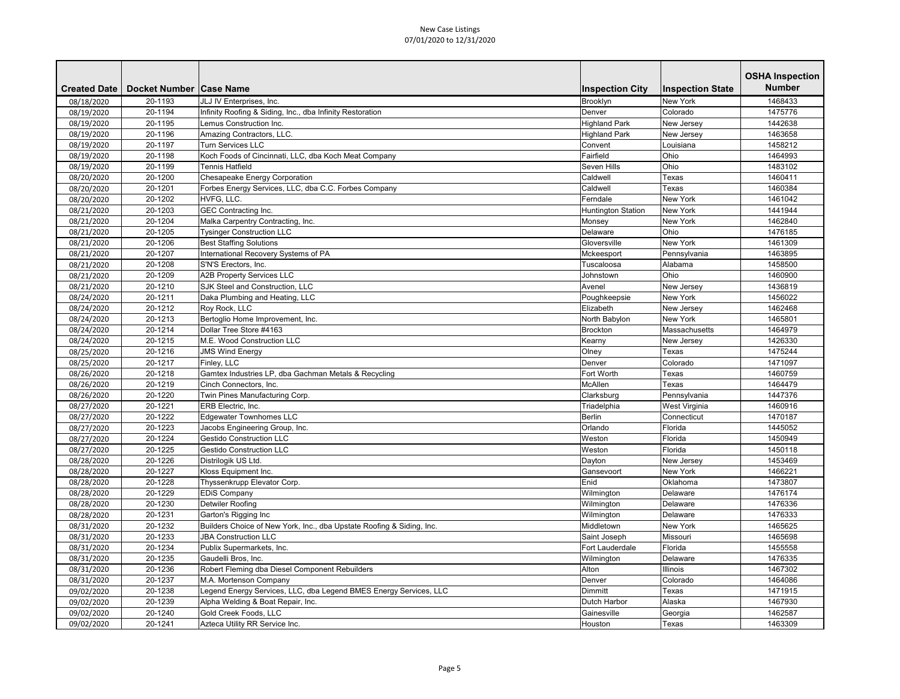| <b>Created Date</b><br>Docket Number   Case Name<br><b>Inspection City</b>                                   | <b>Inspection State</b> | <b>Number</b> |
|--------------------------------------------------------------------------------------------------------------|-------------------------|---------------|
|                                                                                                              |                         |               |
| 20-1193<br>Brooklyn<br>08/18/2020<br>JLJ IV Enterprises, Inc.                                                | <b>New York</b>         | 1468433       |
| 08/19/2020<br>20-1194<br>Infinity Roofing & Siding, Inc., dba Infinity Restoration<br>Denver                 | Colorado                | 1475776       |
| 08/19/2020<br>20-1195<br>Lemus Construction Inc.<br><b>Highland Park</b>                                     | New Jersey              | 1442638       |
| 08/19/2020<br>20-1196<br>Amazing Contractors, LLC.<br><b>Highland Park</b>                                   | New Jersey              | 1463658       |
| 20-1197<br><b>Turn Services LLC</b><br>Convent<br>08/19/2020                                                 | Louisiana               | 1458212       |
| Fairfield<br>20-1198<br>Koch Foods of Cincinnati, LLC, dba Koch Meat Company<br>08/19/2020                   | Ohio                    | 1464993       |
| 20-1199<br>Tennis Hatfield<br>Seven Hills<br>08/19/2020                                                      | Ohio                    | 1483102       |
| Chesapeake Energy Corporation<br>Caldwell<br>20-1200<br>08/20/2020                                           | Texas                   | 1460411       |
| 20-1201<br>Forbes Energy Services, LLC, dba C.C. Forbes Company<br>Caldwell<br>08/20/2020                    | Texas                   | 1460384       |
| HVFG, LLC.<br>20-1202<br>Ferndale<br>08/20/2020                                                              | <b>New York</b>         | 1461042       |
| 08/21/2020<br>20-1203<br><b>GEC Contracting Inc.</b><br><b>Huntington Station</b>                            | <b>New York</b>         | 1441944       |
| 08/21/2020<br>20-1204<br>Malka Carpentry Contracting, Inc.<br>Monsey                                         | <b>New York</b>         | 1462840       |
| 20-1205<br><b>Tysinger Construction LLC</b><br>Delaware<br>08/21/2020                                        | Ohio                    | 1476185       |
| 20-1206<br><b>Best Staffing Solutions</b><br>Gloversville<br>08/21/2020                                      | <b>New York</b>         | 1461309       |
| International Recovery Systems of PA<br>20-1207<br>08/21/2020<br>Mckeesport                                  | Pennsylvania            | 1463895       |
| 20-1208<br>S'N'S Erectors, Inc.<br>08/21/2020<br>Tuscaloosa                                                  | Alabama                 | 1458500       |
| 20-1209<br><b>A2B Property Services LLC</b><br>08/21/2020<br>Johnstown                                       | Ohio                    | 1460900       |
| 20-1210<br><b>SJK Steel and Construction, LLC</b><br>08/21/2020<br>Avenel                                    | New Jersey              | 1436819       |
| 08/24/2020<br>20-1211<br>Daka Plumbing and Heating, LLC<br>Poughkeepsie                                      | <b>New York</b>         | 1456022       |
| 08/24/2020<br>20-1212<br>Roy Rock, LLC<br>Elizabeth                                                          | New Jersey              | 1462468       |
| 20-1213<br>North Babylon<br>08/24/2020<br>Bertoglio Home Improvement, Inc.                                   | <b>New York</b>         | 1465801       |
| 20-1214<br>Dollar Tree Store #4163<br><b>Brockton</b><br>08/24/2020                                          | Massachusetts           | 1464979       |
| M.E. Wood Construction LLC<br>08/24/2020<br>20-1215<br>Kearny                                                | New Jersey              | 1426330       |
| 20-1216<br>Olney<br>08/25/2020<br><b>JMS Wind Energy</b>                                                     | Texas                   | 1475244       |
| 08/25/2020<br>20-1217<br>Finley, LLC<br>Denver                                                               | Colorado                | 1471097       |
| Fort Worth<br>20-1218<br>Gamtex Industries LP, dba Gachman Metals & Recycling<br>08/26/2020                  | Texas                   | 1460759       |
| 20-1219<br>McAllen<br>08/26/2020<br>Cinch Connectors, Inc.                                                   | Texas                   | 1464479       |
| 08/26/2020<br>20-1220<br>Twin Pines Manufacturing Corp.<br>Clarksburg                                        | Pennsylvania            | 1447376       |
| 20-1221<br>Triadelphia<br>08/27/2020<br>ERB Electric, Inc.                                                   | West Virginia           | 1460916       |
| <b>Edgewater Townhomes LLC</b><br>20-1222<br>Berlin<br>08/27/2020                                            | Connecticut             | 1470187       |
| Jacobs Engineering Group, Inc.<br>Orlando<br>20-1223<br>08/27/2020                                           | Florida                 | 1445052       |
| 08/27/2020<br><b>Gestido Construction LLC</b><br>20-1224<br>Weston                                           | Florida                 | 1450949       |
| 08/27/2020<br>20-1225<br><b>Gestido Construction LLC</b><br>Weston                                           | Florida                 | 1450118       |
| Distrilogik US Ltd.<br>08/28/2020<br>20-1226<br>Dayton                                                       | New Jersey              | 1453469       |
| Kloss Equipment Inc.<br>08/28/2020<br>20-1227<br>Gansevoort                                                  | New York                | 1466221       |
| Thyssenkrupp Elevator Corp.<br>20-1228<br>Enid<br>08/28/2020                                                 | Oklahoma                | 1473807       |
| Wilmington<br>08/28/2020<br>20-1229<br><b>EDiS Company</b>                                                   | Delaware                | 1476174       |
| Detwiler Roofing<br>20-1230<br>08/28/2020<br>Wilmington                                                      | Delaware                | 1476336       |
| 20-1231<br>Garton's Rigging Inc<br>Wilmington<br>08/28/2020                                                  | Delaware                | 1476333       |
| 20-1232<br>Builders Choice of New York, Inc., dba Upstate Roofing & Siding, Inc.<br>08/31/2020<br>Middletown | <b>New York</b>         | 1465625       |
| 08/31/2020<br>20-1233<br><b>JBA Construction LLC</b><br>Saint Joseph                                         | Missouri                | 1465698       |
| 08/31/2020<br>Publix Supermarkets, Inc.<br><b>Fort Lauderdale</b><br>20-1234                                 | Florida                 | 1455558       |
| 08/31/2020<br>20-1235<br>Gaudelli Bros, Inc.<br>Wilmington                                                   | Delaware                | 1476335       |
| Robert Fleming dba Diesel Component Rebuilders<br>20-1236<br>Alton<br>08/31/2020                             | <b>Illinois</b>         | 1467302       |
| 08/31/2020<br>20-1237<br>M.A. Mortenson Company<br>Denver                                                    | Colorado                | 1464086       |
| Legend Energy Services, LLC, dba Legend BMES Energy Services, LLC<br>09/02/2020<br>20-1238<br>Dimmitt        | Texas                   | 1471915       |
| 09/02/2020<br>20-1239<br>Alpha Welding & Boat Repair, Inc.<br><b>Dutch Harbor</b>                            | Alaska                  | 1467930       |
| 20-1240<br>Gold Creek Foods, LLC<br>09/02/2020<br>Gainesville                                                | Georgia                 | 1462587       |
| Azteca Utility RR Service Inc.<br>09/02/2020<br>20-1241<br>Houston                                           | Texas                   | 1463309       |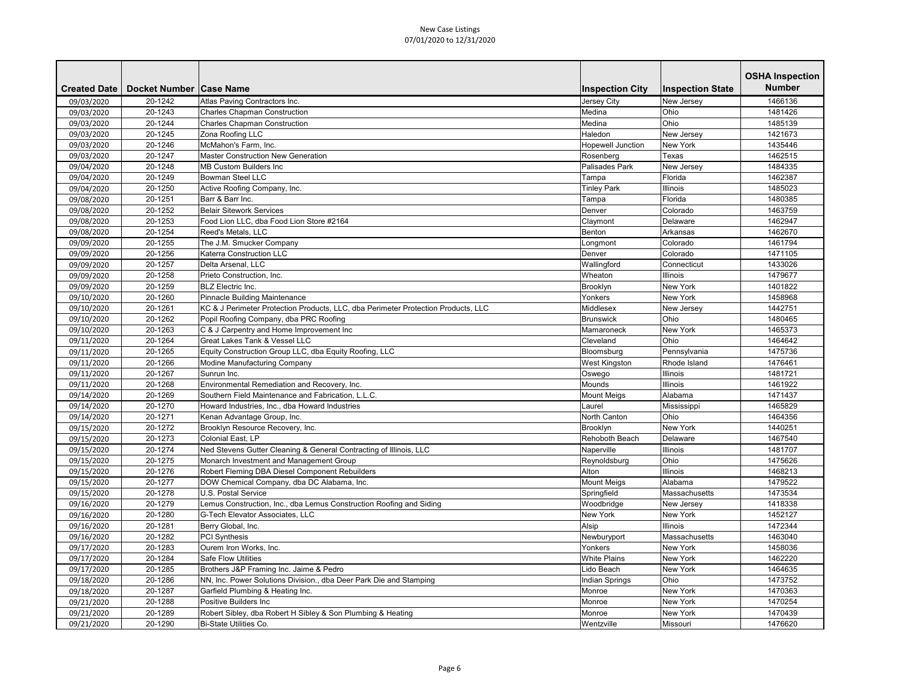| <b>Number</b><br><b>Inspection City</b><br><b>Inspection State</b><br><b>Created Date</b><br>Docket Number   Case Name<br>20-1242<br>Atlas Paving Contractors Inc.<br>Jersey City<br>1466136<br>09/03/2020<br>New Jersey<br>09/03/2020<br>20-1243<br><b>Charles Chapman Construction</b><br>Medina<br>Ohio<br>1481426<br>Ohio<br>Medina<br>09/03/2020<br>20-1244<br><b>Charles Chapman Construction</b><br>1485139<br>20-1245<br>Zona Roofing LLC<br>Haledon<br>1421673<br>09/03/2020<br>New Jersey<br>20-1246<br>McMahon's Farm, Inc.<br><b>New York</b><br>1435446<br>09/03/2020<br>Hopewell Junction<br>20-1247<br><b>Master Construction New Generation</b><br>Rosenberg<br>1462515<br>09/03/2020<br>Texas<br>20-1248<br>MB Custom Builders Inc<br>Palisades Park<br>New Jersey<br>1484335<br>09/04/2020<br><b>Bowman Steel LLC</b><br>Florida<br>1462387<br>20-1249<br>09/04/2020<br>Tampa<br>20-1250<br>1485023<br>Active Roofing Company, Inc.<br><b>Tinley Park</b><br><b>Illinois</b><br>09/04/2020<br>09/08/2020<br>20-1251<br>Barr & Barr Inc.<br>Florida<br>1480385<br>Tampa<br><b>Belair Sitework Services</b><br>Colorado<br>09/08/2020<br>20-1252<br>1463759<br>Denver<br>09/08/2020<br>20-1253<br>Food Lion LLC, dba Food Lion Store #2164<br>Claymont<br>Delaware<br>1462947<br>Arkansas<br>20-1254<br>Reed's Metals, LLC<br>Benton<br>1462670<br>09/08/2020<br>1461794<br>20-1255<br>The J.M. Smucker Company<br>Colorado<br>09/09/2020<br>Longmont<br>Colorado<br>20-1256<br><b>Katerra Construction LLC</b><br>Denver<br>1471105<br>09/09/2020<br>20-1257<br>Delta Arsenal, LLC<br>Wallingford<br>Connecticut<br>1433026<br>09/09/2020<br>20-1258<br>Wheaton<br><b>Illinois</b><br>1479677<br>09/09/2020<br>Prieto Construction, Inc.<br><b>New York</b><br>20-1259<br><b>BLZ</b> Electric Inc.<br>Brooklyn<br>1401822<br>09/09/2020<br><b>New York</b><br>09/10/2020<br>20-1260<br>Pinnacle Building Maintenance<br>Yonkers<br>1458968<br>09/10/2020<br>20-1261<br>KC & J Perimeter Protection Products, LLC, dba Perimeter Protection Products, LLC<br>1442751<br>Middlesex<br>New Jersey<br>Ohio<br>20-1262<br>Popil Roofing Company, dba PRC Roofing<br>Brunswick<br>1480465<br>09/10/2020<br>20-1263<br>C & J Carpentry and Home Improvement Inc<br><b>New York</b><br>1465373<br>09/10/2020<br>Mamaroneck<br><b>Great Lakes Tank &amp; Vessel LLC</b><br>Cleveland<br>Ohio<br>1464642<br>20-1264<br>09/11/2020<br>20-1265<br>Equity Construction Group LLC, dba Equity Roofing, LLC<br>1475736<br>09/11/2020<br>Bloomsburg<br>Pennsylvania<br>Rhode Island<br>09/11/2020<br>20-1266<br>Modine Manufacturing Company<br><b>West Kingston</b><br>1476461<br>Illinois<br>09/11/2020<br>20-1267<br>1481721<br>Sunrun Inc.<br>Oswego<br>20-1268<br>Environmental Remediation and Recovery, Inc.<br><b>Illinois</b><br>1461922<br>09/11/2020<br>Mounds<br>Alabama<br>09/14/2020<br>20-1269<br>Southern Field Maintenance and Fabrication, L.L.C.<br><b>Mount Meigs</b><br>1471437<br>Laurel<br>09/14/2020<br>20-1270<br>Howard Industries, Inc., dba Howard Industries<br>Mississippi<br>1465829<br>20-1271<br>North Canton<br>Ohio<br>1464356<br>09/14/2020<br>Kenan Advantage Group, Inc.<br>Brooklyn Resource Recovery, Inc.<br><b>New York</b><br>20-1272<br>1440251<br>09/15/2020<br>Brooklyn<br>Colonial East, LP<br>Rehoboth Beach<br>1467540<br>09/15/2020<br>20-1273<br>Delaware<br>Ned Stevens Gutter Cleaning & General Contracting of Illinois, LLC<br>09/15/2020<br>20-1274<br><b>Illinois</b><br>1481707<br>Naperville<br>Ohio<br>Monarch Investment and Management Group<br>09/15/2020<br>20-1275<br>Reynoldsburg<br>1475626<br>20-1276<br>Robert Fleming DBA Diesel Component Rebuilders<br><b>Illinois</b><br>1468213<br>09/15/2020<br>Alton<br>DOW Chemical Company, dba DC Alabama, Inc.<br><b>Mount Meigs</b><br>20-1277<br>Alabama<br>1479522<br>09/15/2020<br>U.S. Postal Service<br>09/15/2020<br>20-1278<br>Springfield<br>Massachusetts<br>1473534<br>Lemus Construction, Inc., dba Lemus Construction Roofing and Siding<br>20-1279<br>Woodbridge<br>1418338<br>09/16/2020<br>New Jersey<br>New York<br>20-1280<br><b>G-Tech Elevator Associates, LLC</b><br><b>New York</b><br>1452127<br>09/16/2020<br>09/16/2020<br>20-1281<br>Alsip<br><b>Illinois</b><br>1472344<br>Berry Global, Inc.<br>09/16/2020<br>20-1282<br><b>PCI Synthesis</b><br>Newburyport<br>Massachusetts<br>1463040<br>09/17/2020<br>Ourem Iron Works, Inc.<br><b>New York</b><br>1458036<br>20-1283<br>Yonkers<br>09/17/2020<br>20-1284<br><b>Safe Flow Utilities</b><br><b>White Plains</b><br>New York<br>1462220<br>20-1285<br>Brothers J&P Framing Inc. Jaime & Pedro<br>Lido Beach<br><b>New York</b><br>1464635<br>09/17/2020<br>Ohio<br>NN, Inc. Power Solutions Division., dba Deer Park Die and Stamping<br>1473752<br>09/18/2020<br>20-1286<br>Indian Springs<br><b>New York</b><br>20-1287<br>Garfield Plumbing & Heating Inc.<br>Monroe<br>1470363<br>09/18/2020<br>Positive Builders Inc<br>New York<br>09/21/2020<br>20-1288<br>Monroe<br>1470254<br>20-1289<br>Robert Sibley, dba Robert H Sibley & Son Plumbing & Heating<br>1470439<br>09/21/2020<br>New York<br>Monroe |            |         |                        |            |          | <b>OSHA Inspection</b> |
|-------------------------------------------------------------------------------------------------------------------------------------------------------------------------------------------------------------------------------------------------------------------------------------------------------------------------------------------------------------------------------------------------------------------------------------------------------------------------------------------------------------------------------------------------------------------------------------------------------------------------------------------------------------------------------------------------------------------------------------------------------------------------------------------------------------------------------------------------------------------------------------------------------------------------------------------------------------------------------------------------------------------------------------------------------------------------------------------------------------------------------------------------------------------------------------------------------------------------------------------------------------------------------------------------------------------------------------------------------------------------------------------------------------------------------------------------------------------------------------------------------------------------------------------------------------------------------------------------------------------------------------------------------------------------------------------------------------------------------------------------------------------------------------------------------------------------------------------------------------------------------------------------------------------------------------------------------------------------------------------------------------------------------------------------------------------------------------------------------------------------------------------------------------------------------------------------------------------------------------------------------------------------------------------------------------------------------------------------------------------------------------------------------------------------------------------------------------------------------------------------------------------------------------------------------------------------------------------------------------------------------------------------------------------------------------------------------------------------------------------------------------------------------------------------------------------------------------------------------------------------------------------------------------------------------------------------------------------------------------------------------------------------------------------------------------------------------------------------------------------------------------------------------------------------------------------------------------------------------------------------------------------------------------------------------------------------------------------------------------------------------------------------------------------------------------------------------------------------------------------------------------------------------------------------------------------------------------------------------------------------------------------------------------------------------------------------------------------------------------------------------------------------------------------------------------------------------------------------------------------------------------------------------------------------------------------------------------------------------------------------------------------------------------------------------------------------------------------------------------------------------------------------------------------------------------------------------------------------------------------------------------------------------------------------------------------------------------------------------------------------------------------------------------------------------------------------------------------------------------------------------------------------------------------------------------------------------------------------------------------------------------------------------------------------------------------------------------------------------------------------------------------------------------------------------------------------------------------------------------------------------------------------------------------------------------------------------------------------------------------------------------------------------------------------------------------------------------------------------------------------------------------------------------------------------------------------------------|------------|---------|------------------------|------------|----------|------------------------|
|                                                                                                                                                                                                                                                                                                                                                                                                                                                                                                                                                                                                                                                                                                                                                                                                                                                                                                                                                                                                                                                                                                                                                                                                                                                                                                                                                                                                                                                                                                                                                                                                                                                                                                                                                                                                                                                                                                                                                                                                                                                                                                                                                                                                                                                                                                                                                                                                                                                                                                                                                                                                                                                                                                                                                                                                                                                                                                                                                                                                                                                                                                                                                                                                                                                                                                                                                                                                                                                                                                                                                                                                                                                                                                                                                                                                                                                                                                                                                                                                                                                                                                                                                                                                                                                                                                                                                                                                                                                                                                                                                                                                                                                                                                                                                                                                                                                                                                                                                                                                                                                                                                                                                                                                             |            |         |                        |            |          |                        |
|                                                                                                                                                                                                                                                                                                                                                                                                                                                                                                                                                                                                                                                                                                                                                                                                                                                                                                                                                                                                                                                                                                                                                                                                                                                                                                                                                                                                                                                                                                                                                                                                                                                                                                                                                                                                                                                                                                                                                                                                                                                                                                                                                                                                                                                                                                                                                                                                                                                                                                                                                                                                                                                                                                                                                                                                                                                                                                                                                                                                                                                                                                                                                                                                                                                                                                                                                                                                                                                                                                                                                                                                                                                                                                                                                                                                                                                                                                                                                                                                                                                                                                                                                                                                                                                                                                                                                                                                                                                                                                                                                                                                                                                                                                                                                                                                                                                                                                                                                                                                                                                                                                                                                                                                             |            |         |                        |            |          |                        |
|                                                                                                                                                                                                                                                                                                                                                                                                                                                                                                                                                                                                                                                                                                                                                                                                                                                                                                                                                                                                                                                                                                                                                                                                                                                                                                                                                                                                                                                                                                                                                                                                                                                                                                                                                                                                                                                                                                                                                                                                                                                                                                                                                                                                                                                                                                                                                                                                                                                                                                                                                                                                                                                                                                                                                                                                                                                                                                                                                                                                                                                                                                                                                                                                                                                                                                                                                                                                                                                                                                                                                                                                                                                                                                                                                                                                                                                                                                                                                                                                                                                                                                                                                                                                                                                                                                                                                                                                                                                                                                                                                                                                                                                                                                                                                                                                                                                                                                                                                                                                                                                                                                                                                                                                             |            |         |                        |            |          |                        |
|                                                                                                                                                                                                                                                                                                                                                                                                                                                                                                                                                                                                                                                                                                                                                                                                                                                                                                                                                                                                                                                                                                                                                                                                                                                                                                                                                                                                                                                                                                                                                                                                                                                                                                                                                                                                                                                                                                                                                                                                                                                                                                                                                                                                                                                                                                                                                                                                                                                                                                                                                                                                                                                                                                                                                                                                                                                                                                                                                                                                                                                                                                                                                                                                                                                                                                                                                                                                                                                                                                                                                                                                                                                                                                                                                                                                                                                                                                                                                                                                                                                                                                                                                                                                                                                                                                                                                                                                                                                                                                                                                                                                                                                                                                                                                                                                                                                                                                                                                                                                                                                                                                                                                                                                             |            |         |                        |            |          |                        |
|                                                                                                                                                                                                                                                                                                                                                                                                                                                                                                                                                                                                                                                                                                                                                                                                                                                                                                                                                                                                                                                                                                                                                                                                                                                                                                                                                                                                                                                                                                                                                                                                                                                                                                                                                                                                                                                                                                                                                                                                                                                                                                                                                                                                                                                                                                                                                                                                                                                                                                                                                                                                                                                                                                                                                                                                                                                                                                                                                                                                                                                                                                                                                                                                                                                                                                                                                                                                                                                                                                                                                                                                                                                                                                                                                                                                                                                                                                                                                                                                                                                                                                                                                                                                                                                                                                                                                                                                                                                                                                                                                                                                                                                                                                                                                                                                                                                                                                                                                                                                                                                                                                                                                                                                             |            |         |                        |            |          |                        |
|                                                                                                                                                                                                                                                                                                                                                                                                                                                                                                                                                                                                                                                                                                                                                                                                                                                                                                                                                                                                                                                                                                                                                                                                                                                                                                                                                                                                                                                                                                                                                                                                                                                                                                                                                                                                                                                                                                                                                                                                                                                                                                                                                                                                                                                                                                                                                                                                                                                                                                                                                                                                                                                                                                                                                                                                                                                                                                                                                                                                                                                                                                                                                                                                                                                                                                                                                                                                                                                                                                                                                                                                                                                                                                                                                                                                                                                                                                                                                                                                                                                                                                                                                                                                                                                                                                                                                                                                                                                                                                                                                                                                                                                                                                                                                                                                                                                                                                                                                                                                                                                                                                                                                                                                             |            |         |                        |            |          |                        |
|                                                                                                                                                                                                                                                                                                                                                                                                                                                                                                                                                                                                                                                                                                                                                                                                                                                                                                                                                                                                                                                                                                                                                                                                                                                                                                                                                                                                                                                                                                                                                                                                                                                                                                                                                                                                                                                                                                                                                                                                                                                                                                                                                                                                                                                                                                                                                                                                                                                                                                                                                                                                                                                                                                                                                                                                                                                                                                                                                                                                                                                                                                                                                                                                                                                                                                                                                                                                                                                                                                                                                                                                                                                                                                                                                                                                                                                                                                                                                                                                                                                                                                                                                                                                                                                                                                                                                                                                                                                                                                                                                                                                                                                                                                                                                                                                                                                                                                                                                                                                                                                                                                                                                                                                             |            |         |                        |            |          |                        |
|                                                                                                                                                                                                                                                                                                                                                                                                                                                                                                                                                                                                                                                                                                                                                                                                                                                                                                                                                                                                                                                                                                                                                                                                                                                                                                                                                                                                                                                                                                                                                                                                                                                                                                                                                                                                                                                                                                                                                                                                                                                                                                                                                                                                                                                                                                                                                                                                                                                                                                                                                                                                                                                                                                                                                                                                                                                                                                                                                                                                                                                                                                                                                                                                                                                                                                                                                                                                                                                                                                                                                                                                                                                                                                                                                                                                                                                                                                                                                                                                                                                                                                                                                                                                                                                                                                                                                                                                                                                                                                                                                                                                                                                                                                                                                                                                                                                                                                                                                                                                                                                                                                                                                                                                             |            |         |                        |            |          |                        |
|                                                                                                                                                                                                                                                                                                                                                                                                                                                                                                                                                                                                                                                                                                                                                                                                                                                                                                                                                                                                                                                                                                                                                                                                                                                                                                                                                                                                                                                                                                                                                                                                                                                                                                                                                                                                                                                                                                                                                                                                                                                                                                                                                                                                                                                                                                                                                                                                                                                                                                                                                                                                                                                                                                                                                                                                                                                                                                                                                                                                                                                                                                                                                                                                                                                                                                                                                                                                                                                                                                                                                                                                                                                                                                                                                                                                                                                                                                                                                                                                                                                                                                                                                                                                                                                                                                                                                                                                                                                                                                                                                                                                                                                                                                                                                                                                                                                                                                                                                                                                                                                                                                                                                                                                             |            |         |                        |            |          |                        |
|                                                                                                                                                                                                                                                                                                                                                                                                                                                                                                                                                                                                                                                                                                                                                                                                                                                                                                                                                                                                                                                                                                                                                                                                                                                                                                                                                                                                                                                                                                                                                                                                                                                                                                                                                                                                                                                                                                                                                                                                                                                                                                                                                                                                                                                                                                                                                                                                                                                                                                                                                                                                                                                                                                                                                                                                                                                                                                                                                                                                                                                                                                                                                                                                                                                                                                                                                                                                                                                                                                                                                                                                                                                                                                                                                                                                                                                                                                                                                                                                                                                                                                                                                                                                                                                                                                                                                                                                                                                                                                                                                                                                                                                                                                                                                                                                                                                                                                                                                                                                                                                                                                                                                                                                             |            |         |                        |            |          |                        |
|                                                                                                                                                                                                                                                                                                                                                                                                                                                                                                                                                                                                                                                                                                                                                                                                                                                                                                                                                                                                                                                                                                                                                                                                                                                                                                                                                                                                                                                                                                                                                                                                                                                                                                                                                                                                                                                                                                                                                                                                                                                                                                                                                                                                                                                                                                                                                                                                                                                                                                                                                                                                                                                                                                                                                                                                                                                                                                                                                                                                                                                                                                                                                                                                                                                                                                                                                                                                                                                                                                                                                                                                                                                                                                                                                                                                                                                                                                                                                                                                                                                                                                                                                                                                                                                                                                                                                                                                                                                                                                                                                                                                                                                                                                                                                                                                                                                                                                                                                                                                                                                                                                                                                                                                             |            |         |                        |            |          |                        |
|                                                                                                                                                                                                                                                                                                                                                                                                                                                                                                                                                                                                                                                                                                                                                                                                                                                                                                                                                                                                                                                                                                                                                                                                                                                                                                                                                                                                                                                                                                                                                                                                                                                                                                                                                                                                                                                                                                                                                                                                                                                                                                                                                                                                                                                                                                                                                                                                                                                                                                                                                                                                                                                                                                                                                                                                                                                                                                                                                                                                                                                                                                                                                                                                                                                                                                                                                                                                                                                                                                                                                                                                                                                                                                                                                                                                                                                                                                                                                                                                                                                                                                                                                                                                                                                                                                                                                                                                                                                                                                                                                                                                                                                                                                                                                                                                                                                                                                                                                                                                                                                                                                                                                                                                             |            |         |                        |            |          |                        |
|                                                                                                                                                                                                                                                                                                                                                                                                                                                                                                                                                                                                                                                                                                                                                                                                                                                                                                                                                                                                                                                                                                                                                                                                                                                                                                                                                                                                                                                                                                                                                                                                                                                                                                                                                                                                                                                                                                                                                                                                                                                                                                                                                                                                                                                                                                                                                                                                                                                                                                                                                                                                                                                                                                                                                                                                                                                                                                                                                                                                                                                                                                                                                                                                                                                                                                                                                                                                                                                                                                                                                                                                                                                                                                                                                                                                                                                                                                                                                                                                                                                                                                                                                                                                                                                                                                                                                                                                                                                                                                                                                                                                                                                                                                                                                                                                                                                                                                                                                                                                                                                                                                                                                                                                             |            |         |                        |            |          |                        |
|                                                                                                                                                                                                                                                                                                                                                                                                                                                                                                                                                                                                                                                                                                                                                                                                                                                                                                                                                                                                                                                                                                                                                                                                                                                                                                                                                                                                                                                                                                                                                                                                                                                                                                                                                                                                                                                                                                                                                                                                                                                                                                                                                                                                                                                                                                                                                                                                                                                                                                                                                                                                                                                                                                                                                                                                                                                                                                                                                                                                                                                                                                                                                                                                                                                                                                                                                                                                                                                                                                                                                                                                                                                                                                                                                                                                                                                                                                                                                                                                                                                                                                                                                                                                                                                                                                                                                                                                                                                                                                                                                                                                                                                                                                                                                                                                                                                                                                                                                                                                                                                                                                                                                                                                             |            |         |                        |            |          |                        |
|                                                                                                                                                                                                                                                                                                                                                                                                                                                                                                                                                                                                                                                                                                                                                                                                                                                                                                                                                                                                                                                                                                                                                                                                                                                                                                                                                                                                                                                                                                                                                                                                                                                                                                                                                                                                                                                                                                                                                                                                                                                                                                                                                                                                                                                                                                                                                                                                                                                                                                                                                                                                                                                                                                                                                                                                                                                                                                                                                                                                                                                                                                                                                                                                                                                                                                                                                                                                                                                                                                                                                                                                                                                                                                                                                                                                                                                                                                                                                                                                                                                                                                                                                                                                                                                                                                                                                                                                                                                                                                                                                                                                                                                                                                                                                                                                                                                                                                                                                                                                                                                                                                                                                                                                             |            |         |                        |            |          |                        |
|                                                                                                                                                                                                                                                                                                                                                                                                                                                                                                                                                                                                                                                                                                                                                                                                                                                                                                                                                                                                                                                                                                                                                                                                                                                                                                                                                                                                                                                                                                                                                                                                                                                                                                                                                                                                                                                                                                                                                                                                                                                                                                                                                                                                                                                                                                                                                                                                                                                                                                                                                                                                                                                                                                                                                                                                                                                                                                                                                                                                                                                                                                                                                                                                                                                                                                                                                                                                                                                                                                                                                                                                                                                                                                                                                                                                                                                                                                                                                                                                                                                                                                                                                                                                                                                                                                                                                                                                                                                                                                                                                                                                                                                                                                                                                                                                                                                                                                                                                                                                                                                                                                                                                                                                             |            |         |                        |            |          |                        |
|                                                                                                                                                                                                                                                                                                                                                                                                                                                                                                                                                                                                                                                                                                                                                                                                                                                                                                                                                                                                                                                                                                                                                                                                                                                                                                                                                                                                                                                                                                                                                                                                                                                                                                                                                                                                                                                                                                                                                                                                                                                                                                                                                                                                                                                                                                                                                                                                                                                                                                                                                                                                                                                                                                                                                                                                                                                                                                                                                                                                                                                                                                                                                                                                                                                                                                                                                                                                                                                                                                                                                                                                                                                                                                                                                                                                                                                                                                                                                                                                                                                                                                                                                                                                                                                                                                                                                                                                                                                                                                                                                                                                                                                                                                                                                                                                                                                                                                                                                                                                                                                                                                                                                                                                             |            |         |                        |            |          |                        |
|                                                                                                                                                                                                                                                                                                                                                                                                                                                                                                                                                                                                                                                                                                                                                                                                                                                                                                                                                                                                                                                                                                                                                                                                                                                                                                                                                                                                                                                                                                                                                                                                                                                                                                                                                                                                                                                                                                                                                                                                                                                                                                                                                                                                                                                                                                                                                                                                                                                                                                                                                                                                                                                                                                                                                                                                                                                                                                                                                                                                                                                                                                                                                                                                                                                                                                                                                                                                                                                                                                                                                                                                                                                                                                                                                                                                                                                                                                                                                                                                                                                                                                                                                                                                                                                                                                                                                                                                                                                                                                                                                                                                                                                                                                                                                                                                                                                                                                                                                                                                                                                                                                                                                                                                             |            |         |                        |            |          |                        |
|                                                                                                                                                                                                                                                                                                                                                                                                                                                                                                                                                                                                                                                                                                                                                                                                                                                                                                                                                                                                                                                                                                                                                                                                                                                                                                                                                                                                                                                                                                                                                                                                                                                                                                                                                                                                                                                                                                                                                                                                                                                                                                                                                                                                                                                                                                                                                                                                                                                                                                                                                                                                                                                                                                                                                                                                                                                                                                                                                                                                                                                                                                                                                                                                                                                                                                                                                                                                                                                                                                                                                                                                                                                                                                                                                                                                                                                                                                                                                                                                                                                                                                                                                                                                                                                                                                                                                                                                                                                                                                                                                                                                                                                                                                                                                                                                                                                                                                                                                                                                                                                                                                                                                                                                             |            |         |                        |            |          |                        |
|                                                                                                                                                                                                                                                                                                                                                                                                                                                                                                                                                                                                                                                                                                                                                                                                                                                                                                                                                                                                                                                                                                                                                                                                                                                                                                                                                                                                                                                                                                                                                                                                                                                                                                                                                                                                                                                                                                                                                                                                                                                                                                                                                                                                                                                                                                                                                                                                                                                                                                                                                                                                                                                                                                                                                                                                                                                                                                                                                                                                                                                                                                                                                                                                                                                                                                                                                                                                                                                                                                                                                                                                                                                                                                                                                                                                                                                                                                                                                                                                                                                                                                                                                                                                                                                                                                                                                                                                                                                                                                                                                                                                                                                                                                                                                                                                                                                                                                                                                                                                                                                                                                                                                                                                             |            |         |                        |            |          |                        |
|                                                                                                                                                                                                                                                                                                                                                                                                                                                                                                                                                                                                                                                                                                                                                                                                                                                                                                                                                                                                                                                                                                                                                                                                                                                                                                                                                                                                                                                                                                                                                                                                                                                                                                                                                                                                                                                                                                                                                                                                                                                                                                                                                                                                                                                                                                                                                                                                                                                                                                                                                                                                                                                                                                                                                                                                                                                                                                                                                                                                                                                                                                                                                                                                                                                                                                                                                                                                                                                                                                                                                                                                                                                                                                                                                                                                                                                                                                                                                                                                                                                                                                                                                                                                                                                                                                                                                                                                                                                                                                                                                                                                                                                                                                                                                                                                                                                                                                                                                                                                                                                                                                                                                                                                             |            |         |                        |            |          |                        |
|                                                                                                                                                                                                                                                                                                                                                                                                                                                                                                                                                                                                                                                                                                                                                                                                                                                                                                                                                                                                                                                                                                                                                                                                                                                                                                                                                                                                                                                                                                                                                                                                                                                                                                                                                                                                                                                                                                                                                                                                                                                                                                                                                                                                                                                                                                                                                                                                                                                                                                                                                                                                                                                                                                                                                                                                                                                                                                                                                                                                                                                                                                                                                                                                                                                                                                                                                                                                                                                                                                                                                                                                                                                                                                                                                                                                                                                                                                                                                                                                                                                                                                                                                                                                                                                                                                                                                                                                                                                                                                                                                                                                                                                                                                                                                                                                                                                                                                                                                                                                                                                                                                                                                                                                             |            |         |                        |            |          |                        |
|                                                                                                                                                                                                                                                                                                                                                                                                                                                                                                                                                                                                                                                                                                                                                                                                                                                                                                                                                                                                                                                                                                                                                                                                                                                                                                                                                                                                                                                                                                                                                                                                                                                                                                                                                                                                                                                                                                                                                                                                                                                                                                                                                                                                                                                                                                                                                                                                                                                                                                                                                                                                                                                                                                                                                                                                                                                                                                                                                                                                                                                                                                                                                                                                                                                                                                                                                                                                                                                                                                                                                                                                                                                                                                                                                                                                                                                                                                                                                                                                                                                                                                                                                                                                                                                                                                                                                                                                                                                                                                                                                                                                                                                                                                                                                                                                                                                                                                                                                                                                                                                                                                                                                                                                             |            |         |                        |            |          |                        |
|                                                                                                                                                                                                                                                                                                                                                                                                                                                                                                                                                                                                                                                                                                                                                                                                                                                                                                                                                                                                                                                                                                                                                                                                                                                                                                                                                                                                                                                                                                                                                                                                                                                                                                                                                                                                                                                                                                                                                                                                                                                                                                                                                                                                                                                                                                                                                                                                                                                                                                                                                                                                                                                                                                                                                                                                                                                                                                                                                                                                                                                                                                                                                                                                                                                                                                                                                                                                                                                                                                                                                                                                                                                                                                                                                                                                                                                                                                                                                                                                                                                                                                                                                                                                                                                                                                                                                                                                                                                                                                                                                                                                                                                                                                                                                                                                                                                                                                                                                                                                                                                                                                                                                                                                             |            |         |                        |            |          |                        |
|                                                                                                                                                                                                                                                                                                                                                                                                                                                                                                                                                                                                                                                                                                                                                                                                                                                                                                                                                                                                                                                                                                                                                                                                                                                                                                                                                                                                                                                                                                                                                                                                                                                                                                                                                                                                                                                                                                                                                                                                                                                                                                                                                                                                                                                                                                                                                                                                                                                                                                                                                                                                                                                                                                                                                                                                                                                                                                                                                                                                                                                                                                                                                                                                                                                                                                                                                                                                                                                                                                                                                                                                                                                                                                                                                                                                                                                                                                                                                                                                                                                                                                                                                                                                                                                                                                                                                                                                                                                                                                                                                                                                                                                                                                                                                                                                                                                                                                                                                                                                                                                                                                                                                                                                             |            |         |                        |            |          |                        |
|                                                                                                                                                                                                                                                                                                                                                                                                                                                                                                                                                                                                                                                                                                                                                                                                                                                                                                                                                                                                                                                                                                                                                                                                                                                                                                                                                                                                                                                                                                                                                                                                                                                                                                                                                                                                                                                                                                                                                                                                                                                                                                                                                                                                                                                                                                                                                                                                                                                                                                                                                                                                                                                                                                                                                                                                                                                                                                                                                                                                                                                                                                                                                                                                                                                                                                                                                                                                                                                                                                                                                                                                                                                                                                                                                                                                                                                                                                                                                                                                                                                                                                                                                                                                                                                                                                                                                                                                                                                                                                                                                                                                                                                                                                                                                                                                                                                                                                                                                                                                                                                                                                                                                                                                             |            |         |                        |            |          |                        |
|                                                                                                                                                                                                                                                                                                                                                                                                                                                                                                                                                                                                                                                                                                                                                                                                                                                                                                                                                                                                                                                                                                                                                                                                                                                                                                                                                                                                                                                                                                                                                                                                                                                                                                                                                                                                                                                                                                                                                                                                                                                                                                                                                                                                                                                                                                                                                                                                                                                                                                                                                                                                                                                                                                                                                                                                                                                                                                                                                                                                                                                                                                                                                                                                                                                                                                                                                                                                                                                                                                                                                                                                                                                                                                                                                                                                                                                                                                                                                                                                                                                                                                                                                                                                                                                                                                                                                                                                                                                                                                                                                                                                                                                                                                                                                                                                                                                                                                                                                                                                                                                                                                                                                                                                             |            |         |                        |            |          |                        |
|                                                                                                                                                                                                                                                                                                                                                                                                                                                                                                                                                                                                                                                                                                                                                                                                                                                                                                                                                                                                                                                                                                                                                                                                                                                                                                                                                                                                                                                                                                                                                                                                                                                                                                                                                                                                                                                                                                                                                                                                                                                                                                                                                                                                                                                                                                                                                                                                                                                                                                                                                                                                                                                                                                                                                                                                                                                                                                                                                                                                                                                                                                                                                                                                                                                                                                                                                                                                                                                                                                                                                                                                                                                                                                                                                                                                                                                                                                                                                                                                                                                                                                                                                                                                                                                                                                                                                                                                                                                                                                                                                                                                                                                                                                                                                                                                                                                                                                                                                                                                                                                                                                                                                                                                             |            |         |                        |            |          |                        |
|                                                                                                                                                                                                                                                                                                                                                                                                                                                                                                                                                                                                                                                                                                                                                                                                                                                                                                                                                                                                                                                                                                                                                                                                                                                                                                                                                                                                                                                                                                                                                                                                                                                                                                                                                                                                                                                                                                                                                                                                                                                                                                                                                                                                                                                                                                                                                                                                                                                                                                                                                                                                                                                                                                                                                                                                                                                                                                                                                                                                                                                                                                                                                                                                                                                                                                                                                                                                                                                                                                                                                                                                                                                                                                                                                                                                                                                                                                                                                                                                                                                                                                                                                                                                                                                                                                                                                                                                                                                                                                                                                                                                                                                                                                                                                                                                                                                                                                                                                                                                                                                                                                                                                                                                             |            |         |                        |            |          |                        |
|                                                                                                                                                                                                                                                                                                                                                                                                                                                                                                                                                                                                                                                                                                                                                                                                                                                                                                                                                                                                                                                                                                                                                                                                                                                                                                                                                                                                                                                                                                                                                                                                                                                                                                                                                                                                                                                                                                                                                                                                                                                                                                                                                                                                                                                                                                                                                                                                                                                                                                                                                                                                                                                                                                                                                                                                                                                                                                                                                                                                                                                                                                                                                                                                                                                                                                                                                                                                                                                                                                                                                                                                                                                                                                                                                                                                                                                                                                                                                                                                                                                                                                                                                                                                                                                                                                                                                                                                                                                                                                                                                                                                                                                                                                                                                                                                                                                                                                                                                                                                                                                                                                                                                                                                             |            |         |                        |            |          |                        |
|                                                                                                                                                                                                                                                                                                                                                                                                                                                                                                                                                                                                                                                                                                                                                                                                                                                                                                                                                                                                                                                                                                                                                                                                                                                                                                                                                                                                                                                                                                                                                                                                                                                                                                                                                                                                                                                                                                                                                                                                                                                                                                                                                                                                                                                                                                                                                                                                                                                                                                                                                                                                                                                                                                                                                                                                                                                                                                                                                                                                                                                                                                                                                                                                                                                                                                                                                                                                                                                                                                                                                                                                                                                                                                                                                                                                                                                                                                                                                                                                                                                                                                                                                                                                                                                                                                                                                                                                                                                                                                                                                                                                                                                                                                                                                                                                                                                                                                                                                                                                                                                                                                                                                                                                             |            |         |                        |            |          |                        |
|                                                                                                                                                                                                                                                                                                                                                                                                                                                                                                                                                                                                                                                                                                                                                                                                                                                                                                                                                                                                                                                                                                                                                                                                                                                                                                                                                                                                                                                                                                                                                                                                                                                                                                                                                                                                                                                                                                                                                                                                                                                                                                                                                                                                                                                                                                                                                                                                                                                                                                                                                                                                                                                                                                                                                                                                                                                                                                                                                                                                                                                                                                                                                                                                                                                                                                                                                                                                                                                                                                                                                                                                                                                                                                                                                                                                                                                                                                                                                                                                                                                                                                                                                                                                                                                                                                                                                                                                                                                                                                                                                                                                                                                                                                                                                                                                                                                                                                                                                                                                                                                                                                                                                                                                             |            |         |                        |            |          |                        |
|                                                                                                                                                                                                                                                                                                                                                                                                                                                                                                                                                                                                                                                                                                                                                                                                                                                                                                                                                                                                                                                                                                                                                                                                                                                                                                                                                                                                                                                                                                                                                                                                                                                                                                                                                                                                                                                                                                                                                                                                                                                                                                                                                                                                                                                                                                                                                                                                                                                                                                                                                                                                                                                                                                                                                                                                                                                                                                                                                                                                                                                                                                                                                                                                                                                                                                                                                                                                                                                                                                                                                                                                                                                                                                                                                                                                                                                                                                                                                                                                                                                                                                                                                                                                                                                                                                                                                                                                                                                                                                                                                                                                                                                                                                                                                                                                                                                                                                                                                                                                                                                                                                                                                                                                             |            |         |                        |            |          |                        |
|                                                                                                                                                                                                                                                                                                                                                                                                                                                                                                                                                                                                                                                                                                                                                                                                                                                                                                                                                                                                                                                                                                                                                                                                                                                                                                                                                                                                                                                                                                                                                                                                                                                                                                                                                                                                                                                                                                                                                                                                                                                                                                                                                                                                                                                                                                                                                                                                                                                                                                                                                                                                                                                                                                                                                                                                                                                                                                                                                                                                                                                                                                                                                                                                                                                                                                                                                                                                                                                                                                                                                                                                                                                                                                                                                                                                                                                                                                                                                                                                                                                                                                                                                                                                                                                                                                                                                                                                                                                                                                                                                                                                                                                                                                                                                                                                                                                                                                                                                                                                                                                                                                                                                                                                             |            |         |                        |            |          |                        |
|                                                                                                                                                                                                                                                                                                                                                                                                                                                                                                                                                                                                                                                                                                                                                                                                                                                                                                                                                                                                                                                                                                                                                                                                                                                                                                                                                                                                                                                                                                                                                                                                                                                                                                                                                                                                                                                                                                                                                                                                                                                                                                                                                                                                                                                                                                                                                                                                                                                                                                                                                                                                                                                                                                                                                                                                                                                                                                                                                                                                                                                                                                                                                                                                                                                                                                                                                                                                                                                                                                                                                                                                                                                                                                                                                                                                                                                                                                                                                                                                                                                                                                                                                                                                                                                                                                                                                                                                                                                                                                                                                                                                                                                                                                                                                                                                                                                                                                                                                                                                                                                                                                                                                                                                             |            |         |                        |            |          |                        |
|                                                                                                                                                                                                                                                                                                                                                                                                                                                                                                                                                                                                                                                                                                                                                                                                                                                                                                                                                                                                                                                                                                                                                                                                                                                                                                                                                                                                                                                                                                                                                                                                                                                                                                                                                                                                                                                                                                                                                                                                                                                                                                                                                                                                                                                                                                                                                                                                                                                                                                                                                                                                                                                                                                                                                                                                                                                                                                                                                                                                                                                                                                                                                                                                                                                                                                                                                                                                                                                                                                                                                                                                                                                                                                                                                                                                                                                                                                                                                                                                                                                                                                                                                                                                                                                                                                                                                                                                                                                                                                                                                                                                                                                                                                                                                                                                                                                                                                                                                                                                                                                                                                                                                                                                             |            |         |                        |            |          |                        |
|                                                                                                                                                                                                                                                                                                                                                                                                                                                                                                                                                                                                                                                                                                                                                                                                                                                                                                                                                                                                                                                                                                                                                                                                                                                                                                                                                                                                                                                                                                                                                                                                                                                                                                                                                                                                                                                                                                                                                                                                                                                                                                                                                                                                                                                                                                                                                                                                                                                                                                                                                                                                                                                                                                                                                                                                                                                                                                                                                                                                                                                                                                                                                                                                                                                                                                                                                                                                                                                                                                                                                                                                                                                                                                                                                                                                                                                                                                                                                                                                                                                                                                                                                                                                                                                                                                                                                                                                                                                                                                                                                                                                                                                                                                                                                                                                                                                                                                                                                                                                                                                                                                                                                                                                             |            |         |                        |            |          |                        |
|                                                                                                                                                                                                                                                                                                                                                                                                                                                                                                                                                                                                                                                                                                                                                                                                                                                                                                                                                                                                                                                                                                                                                                                                                                                                                                                                                                                                                                                                                                                                                                                                                                                                                                                                                                                                                                                                                                                                                                                                                                                                                                                                                                                                                                                                                                                                                                                                                                                                                                                                                                                                                                                                                                                                                                                                                                                                                                                                                                                                                                                                                                                                                                                                                                                                                                                                                                                                                                                                                                                                                                                                                                                                                                                                                                                                                                                                                                                                                                                                                                                                                                                                                                                                                                                                                                                                                                                                                                                                                                                                                                                                                                                                                                                                                                                                                                                                                                                                                                                                                                                                                                                                                                                                             |            |         |                        |            |          |                        |
|                                                                                                                                                                                                                                                                                                                                                                                                                                                                                                                                                                                                                                                                                                                                                                                                                                                                                                                                                                                                                                                                                                                                                                                                                                                                                                                                                                                                                                                                                                                                                                                                                                                                                                                                                                                                                                                                                                                                                                                                                                                                                                                                                                                                                                                                                                                                                                                                                                                                                                                                                                                                                                                                                                                                                                                                                                                                                                                                                                                                                                                                                                                                                                                                                                                                                                                                                                                                                                                                                                                                                                                                                                                                                                                                                                                                                                                                                                                                                                                                                                                                                                                                                                                                                                                                                                                                                                                                                                                                                                                                                                                                                                                                                                                                                                                                                                                                                                                                                                                                                                                                                                                                                                                                             |            |         |                        |            |          |                        |
|                                                                                                                                                                                                                                                                                                                                                                                                                                                                                                                                                                                                                                                                                                                                                                                                                                                                                                                                                                                                                                                                                                                                                                                                                                                                                                                                                                                                                                                                                                                                                                                                                                                                                                                                                                                                                                                                                                                                                                                                                                                                                                                                                                                                                                                                                                                                                                                                                                                                                                                                                                                                                                                                                                                                                                                                                                                                                                                                                                                                                                                                                                                                                                                                                                                                                                                                                                                                                                                                                                                                                                                                                                                                                                                                                                                                                                                                                                                                                                                                                                                                                                                                                                                                                                                                                                                                                                                                                                                                                                                                                                                                                                                                                                                                                                                                                                                                                                                                                                                                                                                                                                                                                                                                             |            |         |                        |            |          |                        |
|                                                                                                                                                                                                                                                                                                                                                                                                                                                                                                                                                                                                                                                                                                                                                                                                                                                                                                                                                                                                                                                                                                                                                                                                                                                                                                                                                                                                                                                                                                                                                                                                                                                                                                                                                                                                                                                                                                                                                                                                                                                                                                                                                                                                                                                                                                                                                                                                                                                                                                                                                                                                                                                                                                                                                                                                                                                                                                                                                                                                                                                                                                                                                                                                                                                                                                                                                                                                                                                                                                                                                                                                                                                                                                                                                                                                                                                                                                                                                                                                                                                                                                                                                                                                                                                                                                                                                                                                                                                                                                                                                                                                                                                                                                                                                                                                                                                                                                                                                                                                                                                                                                                                                                                                             |            |         |                        |            |          |                        |
|                                                                                                                                                                                                                                                                                                                                                                                                                                                                                                                                                                                                                                                                                                                                                                                                                                                                                                                                                                                                                                                                                                                                                                                                                                                                                                                                                                                                                                                                                                                                                                                                                                                                                                                                                                                                                                                                                                                                                                                                                                                                                                                                                                                                                                                                                                                                                                                                                                                                                                                                                                                                                                                                                                                                                                                                                                                                                                                                                                                                                                                                                                                                                                                                                                                                                                                                                                                                                                                                                                                                                                                                                                                                                                                                                                                                                                                                                                                                                                                                                                                                                                                                                                                                                                                                                                                                                                                                                                                                                                                                                                                                                                                                                                                                                                                                                                                                                                                                                                                                                                                                                                                                                                                                             |            |         |                        |            |          |                        |
|                                                                                                                                                                                                                                                                                                                                                                                                                                                                                                                                                                                                                                                                                                                                                                                                                                                                                                                                                                                                                                                                                                                                                                                                                                                                                                                                                                                                                                                                                                                                                                                                                                                                                                                                                                                                                                                                                                                                                                                                                                                                                                                                                                                                                                                                                                                                                                                                                                                                                                                                                                                                                                                                                                                                                                                                                                                                                                                                                                                                                                                                                                                                                                                                                                                                                                                                                                                                                                                                                                                                                                                                                                                                                                                                                                                                                                                                                                                                                                                                                                                                                                                                                                                                                                                                                                                                                                                                                                                                                                                                                                                                                                                                                                                                                                                                                                                                                                                                                                                                                                                                                                                                                                                                             |            |         |                        |            |          |                        |
|                                                                                                                                                                                                                                                                                                                                                                                                                                                                                                                                                                                                                                                                                                                                                                                                                                                                                                                                                                                                                                                                                                                                                                                                                                                                                                                                                                                                                                                                                                                                                                                                                                                                                                                                                                                                                                                                                                                                                                                                                                                                                                                                                                                                                                                                                                                                                                                                                                                                                                                                                                                                                                                                                                                                                                                                                                                                                                                                                                                                                                                                                                                                                                                                                                                                                                                                                                                                                                                                                                                                                                                                                                                                                                                                                                                                                                                                                                                                                                                                                                                                                                                                                                                                                                                                                                                                                                                                                                                                                                                                                                                                                                                                                                                                                                                                                                                                                                                                                                                                                                                                                                                                                                                                             |            |         |                        |            |          |                        |
|                                                                                                                                                                                                                                                                                                                                                                                                                                                                                                                                                                                                                                                                                                                                                                                                                                                                                                                                                                                                                                                                                                                                                                                                                                                                                                                                                                                                                                                                                                                                                                                                                                                                                                                                                                                                                                                                                                                                                                                                                                                                                                                                                                                                                                                                                                                                                                                                                                                                                                                                                                                                                                                                                                                                                                                                                                                                                                                                                                                                                                                                                                                                                                                                                                                                                                                                                                                                                                                                                                                                                                                                                                                                                                                                                                                                                                                                                                                                                                                                                                                                                                                                                                                                                                                                                                                                                                                                                                                                                                                                                                                                                                                                                                                                                                                                                                                                                                                                                                                                                                                                                                                                                                                                             |            |         |                        |            |          |                        |
|                                                                                                                                                                                                                                                                                                                                                                                                                                                                                                                                                                                                                                                                                                                                                                                                                                                                                                                                                                                                                                                                                                                                                                                                                                                                                                                                                                                                                                                                                                                                                                                                                                                                                                                                                                                                                                                                                                                                                                                                                                                                                                                                                                                                                                                                                                                                                                                                                                                                                                                                                                                                                                                                                                                                                                                                                                                                                                                                                                                                                                                                                                                                                                                                                                                                                                                                                                                                                                                                                                                                                                                                                                                                                                                                                                                                                                                                                                                                                                                                                                                                                                                                                                                                                                                                                                                                                                                                                                                                                                                                                                                                                                                                                                                                                                                                                                                                                                                                                                                                                                                                                                                                                                                                             |            |         |                        |            |          |                        |
|                                                                                                                                                                                                                                                                                                                                                                                                                                                                                                                                                                                                                                                                                                                                                                                                                                                                                                                                                                                                                                                                                                                                                                                                                                                                                                                                                                                                                                                                                                                                                                                                                                                                                                                                                                                                                                                                                                                                                                                                                                                                                                                                                                                                                                                                                                                                                                                                                                                                                                                                                                                                                                                                                                                                                                                                                                                                                                                                                                                                                                                                                                                                                                                                                                                                                                                                                                                                                                                                                                                                                                                                                                                                                                                                                                                                                                                                                                                                                                                                                                                                                                                                                                                                                                                                                                                                                                                                                                                                                                                                                                                                                                                                                                                                                                                                                                                                                                                                                                                                                                                                                                                                                                                                             |            |         |                        |            |          |                        |
|                                                                                                                                                                                                                                                                                                                                                                                                                                                                                                                                                                                                                                                                                                                                                                                                                                                                                                                                                                                                                                                                                                                                                                                                                                                                                                                                                                                                                                                                                                                                                                                                                                                                                                                                                                                                                                                                                                                                                                                                                                                                                                                                                                                                                                                                                                                                                                                                                                                                                                                                                                                                                                                                                                                                                                                                                                                                                                                                                                                                                                                                                                                                                                                                                                                                                                                                                                                                                                                                                                                                                                                                                                                                                                                                                                                                                                                                                                                                                                                                                                                                                                                                                                                                                                                                                                                                                                                                                                                                                                                                                                                                                                                                                                                                                                                                                                                                                                                                                                                                                                                                                                                                                                                                             |            |         |                        |            |          |                        |
|                                                                                                                                                                                                                                                                                                                                                                                                                                                                                                                                                                                                                                                                                                                                                                                                                                                                                                                                                                                                                                                                                                                                                                                                                                                                                                                                                                                                                                                                                                                                                                                                                                                                                                                                                                                                                                                                                                                                                                                                                                                                                                                                                                                                                                                                                                                                                                                                                                                                                                                                                                                                                                                                                                                                                                                                                                                                                                                                                                                                                                                                                                                                                                                                                                                                                                                                                                                                                                                                                                                                                                                                                                                                                                                                                                                                                                                                                                                                                                                                                                                                                                                                                                                                                                                                                                                                                                                                                                                                                                                                                                                                                                                                                                                                                                                                                                                                                                                                                                                                                                                                                                                                                                                                             |            |         |                        |            |          |                        |
|                                                                                                                                                                                                                                                                                                                                                                                                                                                                                                                                                                                                                                                                                                                                                                                                                                                                                                                                                                                                                                                                                                                                                                                                                                                                                                                                                                                                                                                                                                                                                                                                                                                                                                                                                                                                                                                                                                                                                                                                                                                                                                                                                                                                                                                                                                                                                                                                                                                                                                                                                                                                                                                                                                                                                                                                                                                                                                                                                                                                                                                                                                                                                                                                                                                                                                                                                                                                                                                                                                                                                                                                                                                                                                                                                                                                                                                                                                                                                                                                                                                                                                                                                                                                                                                                                                                                                                                                                                                                                                                                                                                                                                                                                                                                                                                                                                                                                                                                                                                                                                                                                                                                                                                                             | 09/21/2020 | 20-1290 | Bi-State Utilities Co. | Wentzville | Missouri | 1476620                |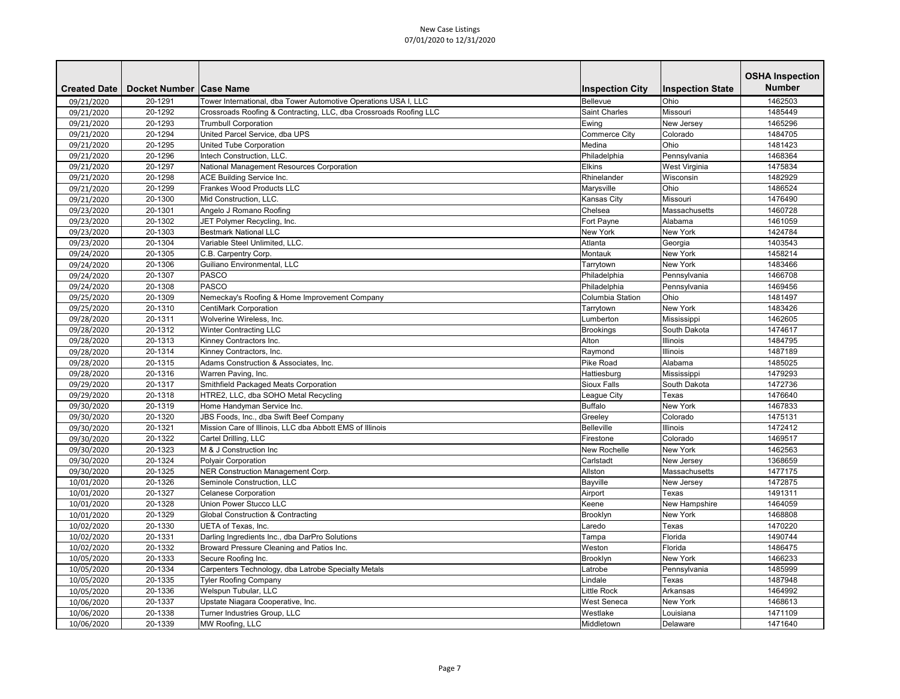|                     |                           |                                                                   |                         |                         | <b>OSHA Inspection</b> |
|---------------------|---------------------------|-------------------------------------------------------------------|-------------------------|-------------------------|------------------------|
| <b>Created Date</b> | Docket Number   Case Name |                                                                   | <b>Inspection City</b>  | <b>Inspection State</b> | <b>Number</b>          |
| 09/21/2020          | 20-1291                   | Tower International, dba Tower Automotive Operations USA I, LLC   | Bellevue                | Ohio                    | 1462503                |
| 09/21/2020          | 20-1292                   | Crossroads Roofing & Contracting, LLC, dba Crossroads Roofing LLC | <b>Saint Charles</b>    | Missouri                | 1485449                |
| 09/21/2020          | 20-1293                   | <b>Trumbull Corporation</b>                                       | Ewing                   | New Jersey              | 1465296                |
| 09/21/2020          | 20-1294                   | United Parcel Service, dba UPS                                    | <b>Commerce City</b>    | Colorado                | 1484705                |
| 09/21/2020          | 20-1295                   | <b>United Tube Corporation</b>                                    | Medina                  | Ohio                    | 1481423                |
| 09/21/2020          | 20-1296                   | Intech Construction, LLC.                                         | Philadelphia            | Pennsylvania            | 1468364                |
| 09/21/2020          | 20-1297                   | National Management Resources Corporation                         | <b>Elkins</b>           | West Virginia           | 1475834                |
| 09/21/2020          | 20-1298                   | <b>ACE Building Service Inc.</b>                                  | Rhinelander             | Wisconsin               | 1482929                |
| 09/21/2020          | 20-1299                   | <b>Frankes Wood Products LLC</b>                                  | Marysville              | Ohio                    | 1486524                |
| 09/21/2020          | 20-1300                   | Mid Construction, LLC.                                            | Kansas City             | Missouri                | 1476490                |
| 09/23/2020          | 20-1301                   | Angelo J Romano Roofing                                           | Chelsea                 | Massachusetts           | 1460728                |
| 09/23/2020          | 20-1302                   | JET Polymer Recycling, Inc.                                       | Fort Payne              | Alabama                 | 1461059                |
| 09/23/2020          | 20-1303                   | <b>Bestmark National LLC</b>                                      | <b>New York</b>         | <b>New York</b>         | 1424784                |
| 09/23/2020          | 20-1304                   | Variable Steel Unlimited, LLC.                                    | Atlanta                 | Georgia                 | 1403543                |
| 09/24/2020          | 20-1305                   | C.B. Carpentry Corp.                                              | Montauk                 | <b>New York</b>         | 1458214                |
| 09/24/2020          | 20-1306                   | Guiliano Environmental, LLC                                       | Tarrytown               | New York                | 1483466                |
| 09/24/2020          | 20-1307                   | <b>PASCO</b>                                                      | Philadelphia            | Pennsylvania            | 1466708                |
| 09/24/2020          | 20-1308                   | <b>PASCO</b>                                                      | Philadelphia            | Pennsylvania            | 1469456                |
| 09/25/2020          | 20-1309                   | Nemeckay's Roofing & Home Improvement Company                     | <b>Columbia Station</b> | Ohio                    | 1481497                |
| 09/25/2020          | 20-1310                   | <b>CentiMark Corporation</b>                                      | Tarrytown               | <b>New York</b>         | 1483426                |
| 09/28/2020          | 20-1311                   | Wolverine Wireless, Inc.                                          | Lumberton               | Mississippi             | 1462605                |
| 09/28/2020          | 20-1312                   | <b>Winter Contracting LLC</b>                                     | <b>Brookings</b>        | South Dakota            | 1474617                |
| 09/28/2020          | 20-1313                   | Kinney Contractors Inc.                                           | Alton                   | <b>Illinois</b>         | 1484795                |
| 09/28/2020          | 20-1314                   | Kinney Contractors, Inc.                                          | Raymond                 | Illinois                | 1487189                |
| 09/28/2020          | 20-1315                   | Adams Construction & Associates, Inc.                             | <b>Pike Road</b>        | Alabama                 | 1485025                |
| 09/28/2020          | 20-1316                   | Warren Paving, Inc.                                               | Hattiesburg             | Mississippi             | 1479293                |
| 09/29/2020          | 20-1317                   | Smithfield Packaged Meats Corporation                             | <b>Sioux Falls</b>      | South Dakota            | 1472736                |
| 09/29/2020          | 20-1318                   | HTRE2, LLC, dba SOHO Metal Recycling                              | League City             | Texas                   | 1476640                |
| 09/30/2020          | 20-1319                   | Home Handyman Service Inc.                                        | <b>Buffalo</b>          | New York                | 1467833                |
| 09/30/2020          | 20-1320                   | JBS Foods, Inc., dba Swift Beef Company                           | Greeley                 | Colorado                | 1475131                |
| 09/30/2020          | 20-1321                   | Mission Care of Illinois, LLC dba Abbott EMS of Illinois          | <b>Belleville</b>       | Illinois                | 1472412                |
| 09/30/2020          | 20-1322                   | Cartel Drilling, LLC                                              | Firestone               | Colorado                | 1469517                |
| 09/30/2020          | 20-1323                   | M & J Construction Inc                                            | New Rochelle            | <b>New York</b>         | 1462563                |
| 09/30/2020          | 20-1324                   | Polyair Corporation                                               | Carlstadt               | New Jersey              | 1368659                |
| 09/30/2020          | 20-1325                   | <b>NER Construction Management Corp.</b>                          | Allston                 | Massachusetts           | 1477175                |
| 10/01/2020          | 20-1326                   | Seminole Construction, LLC                                        | Bayville                | New Jersey              | 1472875                |
| 10/01/2020          | 20-1327                   | <b>Celanese Corporation</b>                                       | Airport                 | Texas                   | 1491311                |
| 10/01/2020          | 20-1328                   | <b>Union Power Stucco LLC</b>                                     | Keene                   | New Hampshire           | 1464059                |
| 10/01/2020          | 20-1329                   | <b>Global Construction &amp; Contracting</b>                      | Brooklyn                | <b>New York</b>         | 1468808                |
| 10/02/2020          | 20-1330                   | UETA of Texas, Inc.                                               | Laredo                  | Texas                   | 1470220                |
| 10/02/2020          | 20-1331                   | Darling Ingredients Inc., dba DarPro Solutions                    | Tampa                   | Florida                 | 1490744                |
| 10/02/2020          | 20-1332                   | Broward Pressure Cleaning and Patios Inc.                         | Weston                  | Florida                 | 1486475                |
| 10/05/2020          | 20-1333                   | Secure Roofing Inc.                                               | Brooklyn                | New York                | 1466233                |
| 10/05/2020          | 20-1334                   | Carpenters Technology, dba Latrobe Specialty Metals               | Latrobe                 | Pennsylvania            | 1485999                |
| 10/05/2020          | 20-1335                   | <b>Tyler Roofing Company</b>                                      | Lindale                 | Texas                   | 1487948                |
| 10/05/2020          | 20-1336                   | Welspun Tubular, LLC                                              | Little Rock             | Arkansas                | 1464992                |
| 10/06/2020          | 20-1337                   | Upstate Niagara Cooperative, Inc.                                 | <b>West Seneca</b>      | <b>New York</b>         | 1468613                |
| 10/06/2020          | 20-1338                   | Turner Industries Group, LLC                                      | Westlake                | Louisiana               | 1471109                |
| 10/06/2020          | 20-1339                   | MW Roofing, LLC                                                   | Middletown              | Delaware                | 1471640                |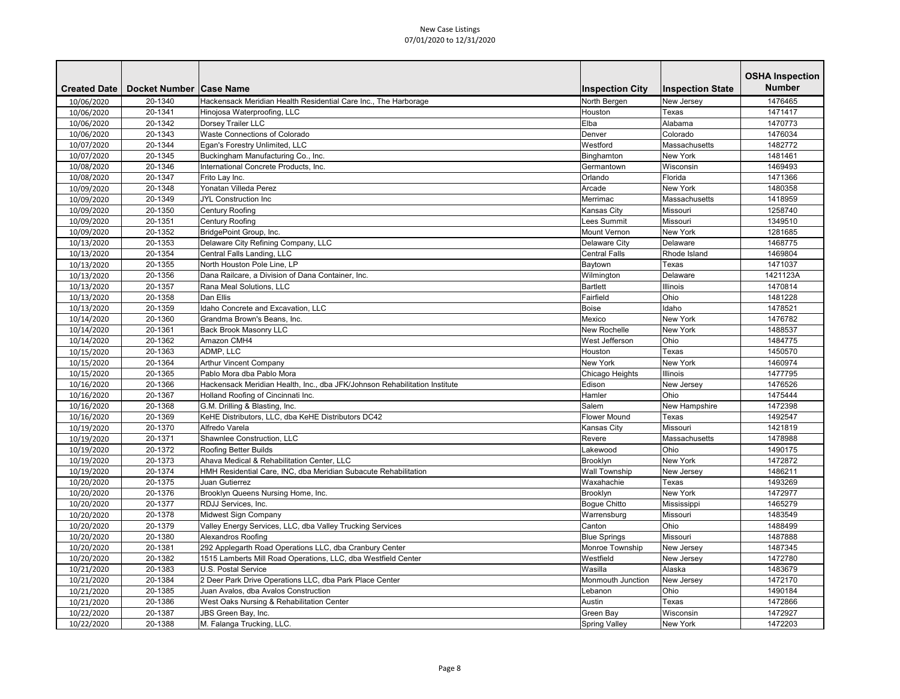|                     |                           |                                                                            |                          |                         | <b>OSHA Inspection</b> |
|---------------------|---------------------------|----------------------------------------------------------------------------|--------------------------|-------------------------|------------------------|
| <b>Created Date</b> | Docket Number   Case Name |                                                                            | <b>Inspection City</b>   | <b>Inspection State</b> | <b>Number</b>          |
| 10/06/2020          | 20-1340                   | Hackensack Meridian Health Residential Care Inc., The Harborage            | North Bergen             | New Jersey              | 1476465                |
| 10/06/2020          | 20-1341                   | Hinojosa Waterproofing, LLC                                                | Houston                  | Texas                   | 1471417                |
| 10/06/2020          | 20-1342                   | Dorsey Trailer LLC                                                         | Elba                     | Alabama                 | 1470773                |
| 10/06/2020          | 20-1343                   | Waste Connections of Colorado                                              | Denver                   | Colorado                | 1476034                |
| 10/07/2020          | 20-1344                   | Egan's Forestry Unlimited, LLC                                             | Westford                 | Massachusetts           | 1482772                |
| 10/07/2020          | 20-1345                   | Buckingham Manufacturing Co., Inc.                                         | Binghamton               | <b>New York</b>         | 1481461                |
| 10/08/2020          | 20-1346                   | International Concrete Products, Inc.                                      | Germantown               | Wisconsin               | 1469493                |
| 10/08/2020          | 20-1347                   | Frito Lay Inc.                                                             | Orlando                  | Florida                 | 1471366                |
| 10/09/2020          | 20-1348                   | Yonatan Villeda Perez                                                      | Arcade                   | <b>New York</b>         | 1480358                |
| 10/09/2020          | 20-1349                   | <b>JYL Construction Inc</b>                                                | Merrimac                 | Massachusetts           | 1418959                |
| 10/09/2020          | 20-1350                   | <b>Century Roofing</b>                                                     | Kansas City              | Missouri                | 1258740                |
| 10/09/2020          | 20-1351                   | <b>Century Roofing</b>                                                     | Lees Summit              | Missouri                | 1349510                |
| 10/09/2020          | 20-1352                   | BridgePoint Group, Inc.                                                    | <b>Mount Vernon</b>      | <b>New York</b>         | 1281685                |
| 10/13/2020          | 20-1353                   | Delaware City Refining Company, LLC                                        | Delaware City            | Delaware                | 1468775                |
| 10/13/2020          | 20-1354                   | Central Falls Landing, LLC                                                 | <b>Central Falls</b>     | Rhode Island            | 1469804                |
| 10/13/2020          | 20-1355                   | North Houston Pole Line, LP                                                | Baytown                  | Texas                   | 1471037                |
| 10/13/2020          | 20-1356                   | Dana Railcare, a Division of Dana Container, Inc.                          | Wilmington               | Delaware                | 1421123A               |
| 10/13/2020          | 20-1357                   | Rana Meal Solutions, LLC                                                   | <b>Bartlett</b>          | <b>Illinois</b>         | 1470814                |
| 10/13/2020          | 20-1358                   | Dan Ellis                                                                  | Fairfield                | Ohio                    | 1481228                |
| 10/13/2020          | 20-1359                   | Idaho Concrete and Excavation, LLC                                         | <b>Boise</b>             | Idaho                   | 1478521                |
| 10/14/2020          | 20-1360                   | Grandma Brown's Beans, Inc.                                                | Mexico                   | <b>New York</b>         | 1476782                |
| 10/14/2020          | 20-1361                   | <b>Back Brook Masonry LLC</b>                                              | <b>New Rochelle</b>      | <b>New York</b>         | 1488537                |
| 10/14/2020          | 20-1362                   | Amazon CMH4                                                                | West Jefferson           | Ohio                    | 1484775                |
| 10/15/2020          | 20-1363                   | ADMP, LLC                                                                  | Houston                  | Texas                   | 1450570                |
| 10/15/2020          | 20-1364                   | <b>Arthur Vincent Company</b>                                              | <b>New York</b>          | <b>New York</b>         | 1460974                |
| 10/15/2020          | 20-1365                   | Pablo Mora dba Pablo Mora                                                  | Chicago Heights          | Illinois                | 1477795                |
| 10/16/2020          | 20-1366                   | Hackensack Meridian Health, Inc., dba JFK/Johnson Rehabilitation Institute | Edison                   | New Jersey              | 1476526                |
| 10/16/2020          | 20-1367                   | Holland Roofing of Cincinnati Inc.                                         | Hamler                   | Ohio                    | 1475444                |
| 10/16/2020          | 20-1368                   | G.M. Drilling & Blasting, Inc.                                             | Salem                    | New Hampshire           | 1472398                |
| 10/16/2020          | 20-1369                   | KeHE Distributors, LLC, dba KeHE Distributors DC42                         | <b>Flower Mound</b>      | Texas                   | 1492547                |
| 10/19/2020          | 20-1370                   | Alfredo Varela                                                             | Kansas City              | Missouri                | 1421819                |
| 10/19/2020          | 20-1371                   | Shawnlee Construction, LLC                                                 | Revere                   | Massachusetts           | 1478988                |
| 10/19/2020          | 20-1372                   | Roofing Better Builds                                                      | Lakewood                 | Ohio                    | 1490175                |
| 10/19/2020          | 20-1373                   | Ahava Medical & Rehabilitation Center, LLC                                 | Brooklyn                 | <b>New York</b>         | 1472872                |
| 10/19/2020          | 20-1374                   | HMH Residential Care, INC, dba Meridian Subacute Rehabilitation            | <b>Wall Township</b>     | New Jersey              | 1486211                |
| 10/20/2020          | 20-1375                   | Juan Gutierrez                                                             | Waxahachie               | Texas                   | 1493269                |
| 10/20/2020          | 20-1376                   | Brooklyn Queens Nursing Home, Inc.                                         | Brooklyn                 | New York                | 1472977                |
| 10/20/2020          | 20-1377                   | RDJJ Services, Inc.                                                        | Bogue Chitto             | Mississippi             | 1465279                |
| 10/20/2020          | 20-1378                   | Midwest Sign Company                                                       | Warrensburg              | Missouri                | 1483549                |
| 10/20/2020          | 20-1379                   | Valley Energy Services, LLC, dba Valley Trucking Services                  | Canton                   | Ohio                    | 1488499                |
| 10/20/2020          | 20-1380                   | Alexandros Roofing                                                         | <b>Blue Springs</b>      | Missouri                | 1487888                |
| 10/20/2020          | 20-1381                   | 292 Applegarth Road Operations LLC, dba Cranbury Center                    | Monroe Township          | New Jersey              | 1487345                |
| 10/20/2020          | 20-1382                   | 1515 Lamberts Mill Road Operations, LLC, dba Westfield Center              | Westfield                | New Jersey              | 1472780                |
| 10/21/2020          | 20-1383                   | <b>U.S. Postal Service</b>                                                 | Wasilla                  | Alaska                  | 1483679                |
| 10/21/2020          | 20-1384                   | 2 Deer Park Drive Operations LLC, dba Park Place Center                    | <b>Monmouth Junction</b> | New Jersey              | 1472170                |
| 10/21/2020          | 20-1385                   | Juan Avalos, dba Avalos Construction                                       | Lebanon                  | Ohio                    | 1490184                |
| 10/21/2020          | 20-1386                   | West Oaks Nursing & Rehabilitation Center                                  | Austin                   | Texas                   | 1472866                |
| 10/22/2020          | 20-1387                   | JBS Green Bay, Inc.                                                        | <b>Green Bay</b>         | Wisconsin               | 1472927                |
| 10/22/2020          | 20-1388                   | M. Falanga Trucking, LLC.                                                  | <b>Spring Valley</b>     | New York                | 1472203                |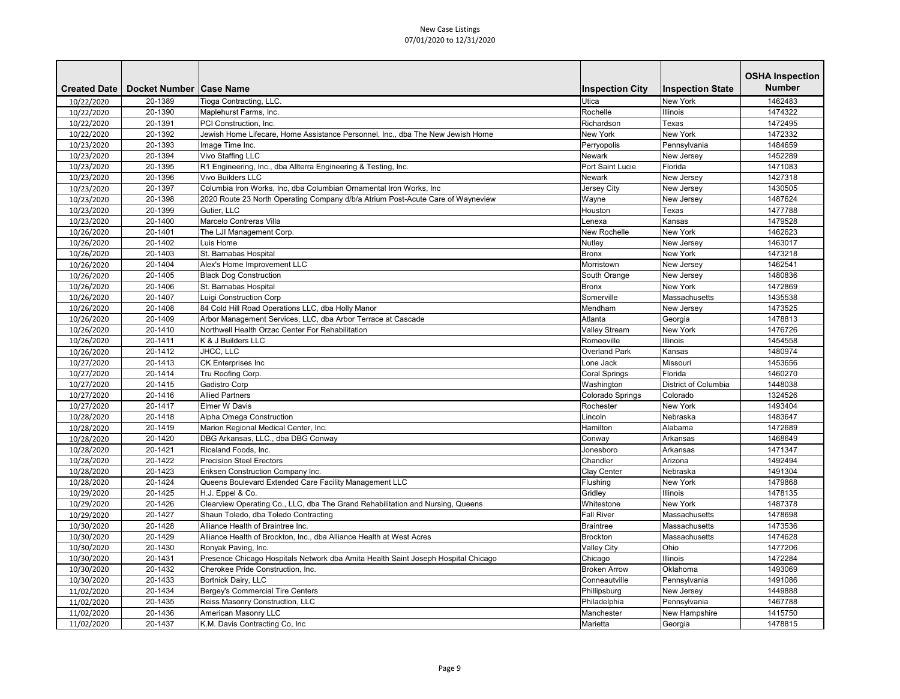|                     |                           |                                                                                   |                        |                         | <b>OSHA Inspection</b> |
|---------------------|---------------------------|-----------------------------------------------------------------------------------|------------------------|-------------------------|------------------------|
| <b>Created Date</b> | Docket Number   Case Name |                                                                                   | <b>Inspection City</b> | <b>Inspection State</b> | <b>Number</b>          |
| 10/22/2020          | 20-1389                   | Tioga Contracting, LLC.                                                           | Utica                  | <b>New York</b>         | 1462483                |
| 10/22/2020          | 20-1390                   | Maplehurst Farms, Inc.                                                            | Rochelle               | Illinois                | 1474322                |
| 10/22/2020          | 20-1391                   | PCI Construction, Inc.                                                            | Richardson             | Texas                   | 1472495                |
| 10/22/2020          | 20-1392                   | Jewish Home Lifecare, Home Assistance Personnel, Inc., dba The New Jewish Home    | New York               | <b>New York</b>         | 1472332                |
| 10/23/2020          | 20-1393                   | Image Time Inc.                                                                   | Perryopolis            | Pennsylvania            | 1484659                |
| 10/23/2020          | 20-1394                   | <b>Vivo Staffing LLC</b>                                                          | <b>Newark</b>          | New Jersey              | 1452289                |
| 10/23/2020          | 20-1395                   | R1 Engineering, Inc., dba Allterra Engineering & Testing, Inc.                    | Port Saint Lucie       | Florida                 | 1471083                |
| 10/23/2020          | 20-1396                   | <b>Vivo Builders LLC</b>                                                          | <b>Newark</b>          | New Jersey              | 1427318                |
| 10/23/2020          | 20-1397                   | Columbia Iron Works, Inc, dba Columbian Ornamental Iron Works, Inc                | Jersey City            | New Jersey              | 1430505                |
| 10/23/2020          | 20-1398                   | 2020 Route 23 North Operating Company d/b/a Atrium Post-Acute Care of Wayneview   | Wayne                  | New Jersey              | 1487624                |
| 10/23/2020          | 20-1399                   | Gutier, LLC                                                                       | Houston                | Texas                   | 1477788                |
| 10/23/2020          | 20-1400                   | Marcelo Contreras Villa                                                           | Lenexa                 | Kansas                  | 1479528                |
| 10/26/2020          | 20-1401                   | The LJI Management Corp.                                                          | <b>New Rochelle</b>    | <b>New York</b>         | 1462623                |
| 10/26/2020          | 20-1402                   | Luis Home                                                                         | <b>Nutley</b>          | New Jersey              | 1463017                |
| 10/26/2020          | 20-1403                   | St. Barnabas Hospital                                                             | <b>Bronx</b>           | <b>New York</b>         | 1473218                |
| 10/26/2020          | 20-1404                   | Alex's Home Improvement LLC                                                       | Morristown             | New Jersey              | 1462541                |
| 10/26/2020          | 20-1405                   | <b>Black Dog Construction</b>                                                     | South Orange           | New Jersey              | 1480836                |
| 10/26/2020          | 20-1406                   | St. Barnabas Hospital                                                             | <b>Bronx</b>           | <b>New York</b>         | 1472869                |
| 10/26/2020          | 20-1407                   | <b>Luigi Construction Corp</b>                                                    | Somerville             | Massachusetts           | 1435538                |
| 10/26/2020          | 20-1408                   | 84 Cold Hill Road Operations LLC, dba Holly Manor                                 | Mendham                | New Jersey              | 1473525                |
| 10/26/2020          | 20-1409                   | Arbor Management Services, LLC, dba Arbor Terrace at Cascade                      | Atlanta                | Georgia                 | 1478813                |
| 10/26/2020          | 20-1410                   | Northwell Health Orzac Center For Rehabilitation                                  | <b>Valley Stream</b>   | New York                | 1476726                |
| 10/26/2020          | 20-1411                   | K & J Builders LLC                                                                | Romeoville             | Illinois                | 1454558                |
| 10/26/2020          | 20-1412                   | JHCC, LLC                                                                         | <b>Overland Park</b>   | Kansas                  | 1480974                |
| 10/27/2020          | 20-1413                   | <b>CK Enterprises Inc</b>                                                         | Lone Jack              | Missouri                | 1453656                |
| 10/27/2020          | 20-1414                   | Tru Roofing Corp.                                                                 | <b>Coral Springs</b>   | Florida                 | 1460270                |
| 10/27/2020          | 20-1415                   | Gadistro Corp                                                                     | Washington             | District of Columbia    | 1448038                |
| 10/27/2020          | 20-1416                   | <b>Allied Partners</b>                                                            | Colorado Springs       | Colorado                | 1324526                |
| 10/27/2020          | 20-1417                   | <b>Elmer W Davis</b>                                                              | Rochester              | <b>New York</b>         | 1493404                |
| 10/28/2020          | 20-1418                   | Alpha Omega Construction                                                          | Lincoln                | Nebraska                | 1483647                |
| 10/28/2020          | 20-1419                   | Marion Regional Medical Center, Inc.                                              | Hamilton               | Alabama                 | 1472689                |
| 10/28/2020          | 20-1420                   | DBG Arkansas, LLC., dba DBG Conway                                                | Conway                 | Arkansas                | 1468649                |
| 10/28/2020          | 20-1421                   | Riceland Foods, Inc.                                                              | Jonesboro              | Arkansas                | 1471347                |
| 10/28/2020          | 20-1422                   | <b>Precision Steel Erectors</b>                                                   | Chandler               | Arizona                 | 1492494                |
| 10/28/2020          | 20-1423                   | Eriksen Construction Company Inc.                                                 | <b>Clay Center</b>     | Nebraska                | 1491304                |
| 10/28/2020          | 20-1424                   | Queens Boulevard Extended Care Facility Management LLC                            | Flushing               | <b>New York</b>         | 1479868                |
| 10/29/2020          | 20-1425                   | H.J. Eppel & Co.                                                                  | Gridley                | <b>Illinois</b>         | 1478135                |
| 10/29/2020          | 20-1426                   | Clearview Operating Co., LLC, dba The Grand Rehabilitation and Nursing, Queens    | Whitestone             | New York                | 1487378                |
| 10/29/2020          | 20-1427                   | Shaun Toledo, dba Toledo Contracting                                              | <b>Fall River</b>      | Massachusetts           | 1478698                |
| 10/30/2020          | 20-1428                   | Alliance Health of Braintree Inc.                                                 | <b>Braintree</b>       | Massachusetts           | 1473536                |
| 10/30/2020          | 20-1429                   | Alliance Health of Brockton, Inc., dba Alliance Health at West Acres              | Brockton               | Massachusetts           | 1474628                |
| 10/30/2020          | 20-1430                   | Ronyak Paving, Inc.                                                               | <b>Valley City</b>     | Ohio                    | 1477206                |
| 10/30/2020          | 20-1431                   | Presence Chicago Hospitals Network dba Amita Health Saint Joseph Hospital Chicago | Chicago                | <b>Illinois</b>         | 1472284                |
| 10/30/2020          | 20-1432                   | Cherokee Pride Construction, Inc.                                                 | <b>Broken Arrow</b>    | Oklahoma                | 1493069                |
| 10/30/2020          | 20-1433                   | Bortnick Dairy, LLC                                                               | Conneautville          | Pennsylvania            | 1491086                |
| 11/02/2020          | 20-1434                   | Bergey's Commercial Tire Centers                                                  | Phillipsburg           | New Jersey              | 1449888                |
| 11/02/2020          | 20-1435                   | <b>Reiss Masonry Construction, LLC</b>                                            | Philadelphia           | Pennsylvania            | 1467788                |
| 11/02/2020          | 20-1436                   | American Masonry LLC                                                              | Manchester             | New Hampshire           | 1415750                |
| 11/02/2020          | 20-1437                   | K.M. Davis Contracting Co, Inc                                                    | Marietta               | Georgia                 | 1478815                |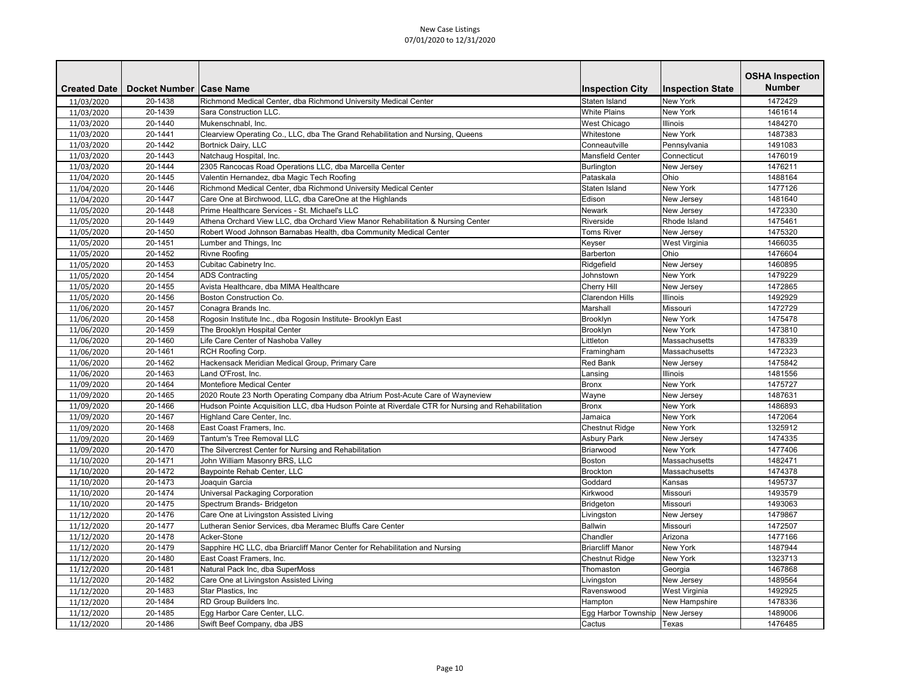|                     |                           |                                                                                                  |                                |                         | <b>OSHA Inspection</b> |
|---------------------|---------------------------|--------------------------------------------------------------------------------------------------|--------------------------------|-------------------------|------------------------|
| <b>Created Date</b> | Docket Number   Case Name |                                                                                                  | <b>Inspection City</b>         | <b>Inspection State</b> | <b>Number</b>          |
| 11/03/2020          | 20-1438                   | Richmond Medical Center, dba Richmond University Medical Center                                  | Staten Island                  | <b>New York</b>         | 1472429                |
| 11/03/2020          | 20-1439                   | Sara Construction LLC.                                                                           | <b>White Plains</b>            | <b>New York</b>         | 1461614                |
| 11/03/2020          | 20-1440                   | Mukenschnabl, Inc.                                                                               | <b>West Chicago</b>            | <b>Illinois</b>         | 1484270                |
| 11/03/2020          | 20-1441                   | Clearview Operating Co., LLC, dba The Grand Rehabilitation and Nursing, Queens                   | Whitestone                     | <b>New York</b>         | 1487383                |
| 11/03/2020          | 20-1442                   | Bortnick Dairy, LLC                                                                              | Conneautville                  | Pennsylvania            | 1491083                |
| 11/03/2020          | 20-1443                   | Natchaug Hospital, Inc.                                                                          | <b>Mansfield Center</b>        | Connecticut             | 1476019                |
| 11/03/2020          | 20-1444                   | 2305 Rancocas Road Operations LLC, dba Marcella Center                                           | Burlington                     | New Jersey              | 1476211                |
| 11/04/2020          | 20-1445                   | Valentin Hernandez, dba Magic Tech Roofing                                                       | Pataskala                      | Ohio                    | 1488164                |
| 11/04/2020          | 20-1446                   | Richmond Medical Center, dba Richmond University Medical Center                                  | Staten Island                  | <b>New York</b>         | 1477126                |
| 11/04/2020          | 20-1447                   | Care One at Birchwood, LLC, dba CareOne at the Highlands                                         | Edison                         | New Jersey              | 1481640                |
| 11/05/2020          | 20-1448                   | Prime Healthcare Services - St. Michael's LLC                                                    | <b>Newark</b>                  | New Jersey              | 1472330                |
| 11/05/2020          | 20-1449                   | Athena Orchard View LLC, dba Orchard View Manor Rehabilitation & Nursing Center                  | Riverside                      | Rhode Island            | 1475461                |
| 11/05/2020          | 20-1450                   | Robert Wood Johnson Barnabas Health, dba Community Medical Center                                | <b>Toms River</b>              | New Jersey              | 1475320                |
| 11/05/2020          | 20-1451                   | Lumber and Things, Inc                                                                           | Keyser                         | West Virginia           | 1466035                |
| 11/05/2020          | 20-1452                   | <b>Rivne Roofing</b>                                                                             | Barberton                      | Ohio                    | 1476604                |
| 11/05/2020          | 20-1453                   | Cubitac Cabinetry Inc.                                                                           | Ridgefield                     | New Jersey              | 1460895                |
| 11/05/2020          | 20-1454                   | <b>ADS Contracting</b>                                                                           | Johnstown                      | <b>New York</b>         | 1479229                |
| 11/05/2020          | 20-1455                   | Avista Healthcare, dba MIMA Healthcare                                                           | <b>Cherry Hill</b>             | New Jersey              | 1472865                |
| 11/05/2020          | 20-1456                   | <b>Boston Construction Co.</b>                                                                   | <b>Clarendon Hills</b>         | <b>Illinois</b>         | 1492929                |
| 11/06/2020          | 20-1457                   | Conagra Brands Inc.                                                                              | Marshall                       | Missouri                | 1472729                |
| 11/06/2020          | 20-1458                   | Rogosin Institute Inc., dba Rogosin Institute- Brooklyn East                                     | Brooklyn                       | <b>New York</b>         | 1475478                |
| 11/06/2020          | 20-1459                   | The Brooklyn Hospital Center                                                                     | Brooklyn                       | <b>New York</b>         | 1473810                |
| 11/06/2020          | 20-1460                   | Life Care Center of Nashoba Valley                                                               | Littleton                      | Massachusetts           | 1478339                |
| 11/06/2020          | 20-1461                   | RCH Roofing Corp.                                                                                | Framingham                     | Massachusetts           | 1472323                |
| 11/06/2020          | 20-1462                   | Hackensack Meridian Medical Group, Primary Care                                                  | <b>Red Bank</b>                | New Jersey              | 1475842                |
| 11/06/2020          | 20-1463                   | Land O'Frost, Inc.                                                                               | Lansing                        | <b>Illinois</b>         | 1481556                |
| 11/09/2020          | 20-1464                   | Montefiore Medical Center                                                                        | <b>Bronx</b>                   | <b>New York</b>         | 1475727                |
| 11/09/2020          | 20-1465                   | 2020 Route 23 North Operating Company dba Atrium Post-Acute Care of Wayneview                    | Wayne                          | New Jersey              | 1487631                |
| 11/09/2020          | 20-1466                   | Hudson Pointe Acquisition LLC, dba Hudson Pointe at Riverdale CTR for Nursing and Rehabilitation | <b>Bronx</b>                   | <b>New York</b>         | 1486893                |
| 11/09/2020          | 20-1467                   | Highland Care Center, Inc.                                                                       | Jamaica                        | <b>New York</b>         | 1472064                |
| 11/09/2020          | 20-1468                   | East Coast Framers, Inc.                                                                         | <b>Chestnut Ridge</b>          | New York                | 1325912                |
| 11/09/2020          | 20-1469                   | Tantum's Tree Removal LLC                                                                        | <b>Asbury Park</b>             | New Jersey              | 1474335                |
| 11/09/2020          | 20-1470                   | The Silvercrest Center for Nursing and Rehabilitation                                            | Briarwood                      | New York                | 1477406                |
| 11/10/2020          | 20-1471                   | John William Masonry BRS, LLC                                                                    | Boston                         | Massachusetts           | 1482471                |
| 11/10/2020          | 20-1472                   | Baypointe Rehab Center, LLC                                                                      | <b>Brockton</b>                | Massachusetts           | 1474378                |
| 11/10/2020          | 20-1473                   | Joaquin Garcia                                                                                   | Goddard                        | Kansas                  | 1495737                |
| 11/10/2020          | 20-1474                   | Universal Packaging Corporation                                                                  | Kirkwood                       | Missouri                | 1493579                |
| 11/10/2020          | 20-1475                   | Spectrum Brands- Bridgeton                                                                       | Bridgeton                      | Missouri                | 1493063                |
| 11/12/2020          | 20-1476                   | Care One at Livingston Assisted Living                                                           | Livingston                     | New Jersey              | 1479867                |
| 11/12/2020          | 20-1477                   | Lutheran Senior Services, dba Meramec Bluffs Care Center                                         | <b>Ballwin</b>                 | Missouri                | 1472507                |
| 11/12/2020          | 20-1478                   | Acker-Stone                                                                                      | Chandler                       | Arizona                 | 1477166                |
| 11/12/2020          | 20-1479                   | Sapphire HC LLC, dba Briarcliff Manor Center for Rehabilitation and Nursing                      | <b>Briarcliff Manor</b>        | <b>New York</b>         | 1487944                |
| 11/12/2020          | 20-1480                   | East Coast Framers, Inc.                                                                         | <b>Chestnut Ridge</b>          | New York                | 1323713                |
| 11/12/2020          | 20-1481                   | Natural Pack Inc, dba SuperMoss                                                                  | Thomaston                      | Georgia                 | 1467868                |
| 11/12/2020          | 20-1482                   | Care One at Livingston Assisted Living                                                           | Livingston                     | New Jersey              | 1489564                |
| 11/12/2020          | 20-1483                   | Star Plastics, Inc                                                                               | Ravenswood                     | West Virginia           | 1492925                |
| 11/12/2020          | 20-1484                   | RD Group Builders Inc.                                                                           | Hampton                        | New Hampshire           | 1478336                |
| 11/12/2020          | 20-1485                   | Egg Harbor Care Center, LLC.                                                                     | Egg Harbor Township New Jersey |                         | 1489006                |
| 11/12/2020          | 20-1486                   | Swift Beef Company, dba JBS                                                                      | Cactus                         | Texas                   | 1476485                |
|                     |                           |                                                                                                  |                                |                         |                        |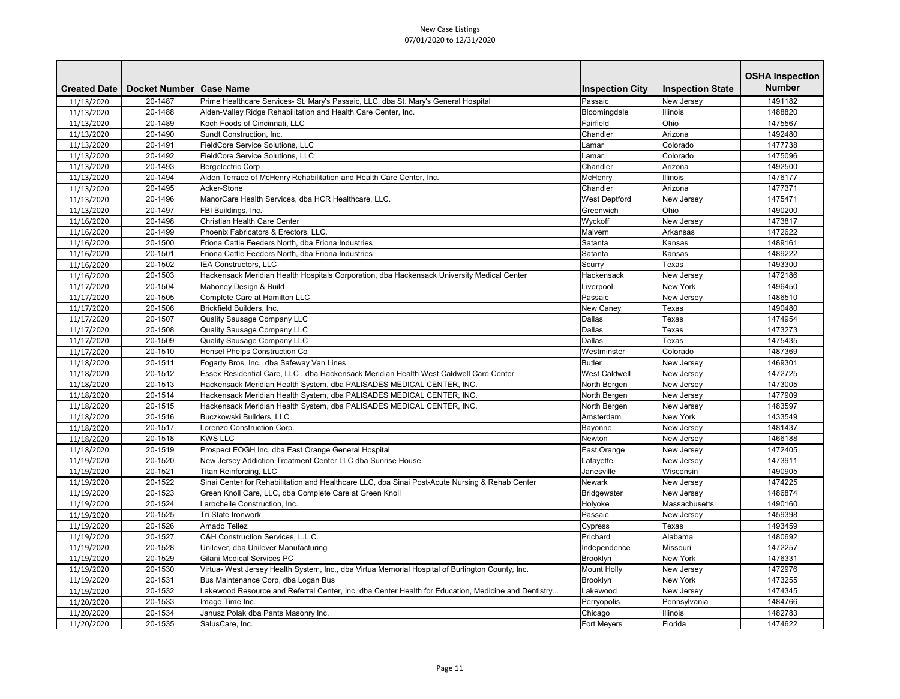|                     |                           |                                                                                                     |                        |                         | <b>OSHA Inspection</b> |
|---------------------|---------------------------|-----------------------------------------------------------------------------------------------------|------------------------|-------------------------|------------------------|
| <b>Created Date</b> | Docket Number   Case Name |                                                                                                     | <b>Inspection City</b> | <b>Inspection State</b> | <b>Number</b>          |
| 11/13/2020          | 20-1487                   | Prime Healthcare Services- St. Mary's Passaic, LLC, dba St. Mary's General Hospital                 | Passaic                | New Jersey              | 1491182                |
| 11/13/2020          | 20-1488                   | Alden-Valley Ridge Rehabilitation and Health Care Center, Inc.                                      | Bloomingdale           | <b>Illinois</b>         | 1488820                |
| 11/13/2020          | 20-1489                   | Koch Foods of Cincinnati, LLC                                                                       | Fairfield              | Ohio                    | 1475567                |
| 11/13/2020          | 20-1490                   | Sundt Construction, Inc.                                                                            | Chandler               | Arizona                 | 1492480                |
| 11/13/2020          | 20-1491                   | <b>FieldCore Service Solutions, LLC</b>                                                             | Lamar                  | Colorado                | 1477738                |
| 11/13/2020          | 20-1492                   | FieldCore Service Solutions, LLC                                                                    | Lamar                  | Colorado                | 1475096                |
| 11/13/2020          | 20-1493                   | Bergelectric Corp                                                                                   | Chandler               | Arizona                 | 1492500                |
| 11/13/2020          | 20-1494                   | Alden Terrace of McHenry Rehabilitation and Health Care Center, Inc.                                | McHenry                | Illinois                | 1476177                |
| 11/13/2020          | 20-1495                   | Acker-Stone                                                                                         | Chandler               | Arizona                 | 1477371                |
| 11/13/2020          | 20-1496                   | ManorCare Health Services, dba HCR Healthcare, LLC.                                                 | <b>West Deptford</b>   | New Jersey              | 1475471                |
| 11/13/2020          | 20-1497                   | FBI Buildings, Inc.                                                                                 | Greenwich              | Ohio                    | 1490200                |
| 11/16/2020          | 20-1498                   | Christian Health Care Center                                                                        | Wyckoff                | New Jersey              | 1473817                |
| 11/16/2020          | 20-1499                   | Phoenix Fabricators & Erectors, LLC.                                                                | Malvern                | Arkansas                | 1472622                |
| 11/16/2020          | 20-1500                   | Friona Cattle Feeders North, dba Friona Industries                                                  | Satanta                | Kansas                  | 1489161                |
| 11/16/2020          | 20-1501                   | Friona Cattle Feeders North, dba Friona Industries                                                  | Satanta                | Kansas                  | 1489222                |
| 11/16/2020          | 20-1502                   | IEA Constructors, LLC                                                                               | Scurry                 | Texas                   | 1493300                |
| 11/16/2020          | 20-1503                   | Hackensack Meridian Health Hospitals Corporation, dba Hackensack University Medical Center          | Hackensack             | New Jersey              | 1472186                |
| 11/17/2020          | 20-1504                   | Mahoney Design & Build                                                                              | Liverpool              | <b>New York</b>         | 1496450                |
| 11/17/2020          | 20-1505                   | Complete Care at Hamilton LLC                                                                       | Passaic                | New Jersey              | 1486510                |
| 11/17/2020          | 20-1506                   | Brickfield Builders, Inc.                                                                           | New Caney              | Texas                   | 1490480                |
| 11/17/2020          | 20-1507                   | Quality Sausage Company LLC                                                                         | Dallas                 | Texas                   | 1474954                |
| 11/17/2020          | 20-1508                   | Quality Sausage Company LLC                                                                         | Dallas                 | Texas                   | 1473273                |
| 11/17/2020          | 20-1509                   | Quality Sausage Company LLC                                                                         | Dallas                 | Texas                   | 1475435                |
| 11/17/2020          | 20-1510                   | Hensel Phelps Construction Co                                                                       | Westminster            | Colorado                | 1487369                |
| 11/18/2020          | 20-1511                   | Fogarty Bros. Inc., dba Safeway Van Lines                                                           | <b>Butler</b>          | New Jersey              | 1469301                |
| 11/18/2020          | 20-1512                   | Essex Residential Care, LLC, dba Hackensack Meridian Health West Caldwell Care Center               | <b>West Caldwell</b>   | New Jersey              | 1472725                |
| 11/18/2020          | 20-1513                   | Hackensack Meridian Health System, dba PALISADES MEDICAL CENTER, INC.                               | North Bergen           | New Jersey              | 1473005                |
| 11/18/2020          | 20-1514                   | Hackensack Meridian Health System, dba PALISADES MEDICAL CENTER, INC.                               | North Bergen           | New Jersey              | 1477909                |
| 11/18/2020          | 20-1515                   | Hackensack Meridian Health System, dba PALISADES MEDICAL CENTER, INC.                               | North Bergen           | New Jersey              | 1483597                |
| 11/18/2020          | 20-1516                   | Buczkowski Builders, LLC                                                                            | Amsterdam              | New York                | 1433549                |
| 11/18/2020          | 20-1517                   | Lorenzo Construction Corp.                                                                          | Bayonne                | New Jersey              | 1481437                |
| 11/18/2020          | 20-1518                   | <b>KWS LLC</b>                                                                                      | Newton                 | New Jersey              | 1466188                |
| 11/18/2020          | 20-1519                   | Prospect EOGH Inc. dba East Orange General Hospital                                                 | East Orange            | New Jersey              | 1472405                |
| 11/19/2020          | 20-1520                   | New Jersey Addiction Treatment Center LLC dba Sunrise House                                         | Lafayette              | New Jersey              | 1473911                |
| 11/19/2020          | 20-1521                   | Titan Reinforcing, LLC                                                                              | Janesville             | Wisconsin               | 1490905                |
| 11/19/2020          | 20-1522                   | Sinai Center for Rehabilitation and Healthcare LLC, dba Sinai Post-Acute Nursing & Rehab Center     | Newark                 | New Jersey              | 1474225                |
| 11/19/2020          | 20-1523                   | Green Knoll Care, LLC, dba Complete Care at Green Knoll                                             | Bridgewater            | New Jersey              | 1486874                |
| 11/19/2020          | 20-1524                   | Larochelle Construction, Inc.                                                                       | Holyoke                | Massachusetts           | 1490160                |
| 11/19/2020          | 20-1525                   | Tri State Ironwork                                                                                  | Passaic                | New Jersey              | 1459398                |
| 11/19/2020          | 20-1526                   | Amado Tellez                                                                                        | <b>Cypress</b>         | Texas                   | 1493459                |
| 11/19/2020          | 20-1527                   | C&H Construction Services, L.L.C.                                                                   | Prichard               | Alabama                 | 1480692                |
| 11/19/2020          | 20-1528                   | Unilever, dba Unilever Manufacturing                                                                | Independence           | Missouri                | 1472257                |
| 11/19/2020          | 20-1529                   | Gilani Medical Services PC                                                                          | Brooklyn               | New York                | 1476331                |
| 11/19/2020          | 20-1530                   | Virtua- West Jersey Health System, Inc., dba Virtua Memorial Hospital of Burlington County, Inc.    | Mount Holly            | New Jersey              | 1472976                |
| 11/19/2020          | 20-1531                   | Bus Maintenance Corp, dba Logan Bus                                                                 | Brooklyn               | <b>New York</b>         | 1473255                |
| 11/19/2020          | 20-1532                   | Lakewood Resource and Referral Center, Inc, dba Center Health for Education, Medicine and Dentistry | Lakewood               | New Jersey              | 1474345                |
| 11/20/2020          | 20-1533                   | Image Time Inc.                                                                                     | Perryopolis            | Pennsylvania            | 1484766                |
| 11/20/2020          | 20-1534                   | Janusz Polak dba Pants Masonry Inc.                                                                 | Chicago                | <b>Illinois</b>         | 1482783                |
| 11/20/2020          | 20-1535                   | SalusCare, Inc.                                                                                     | <b>Fort Meyers</b>     | Florida                 | 1474622                |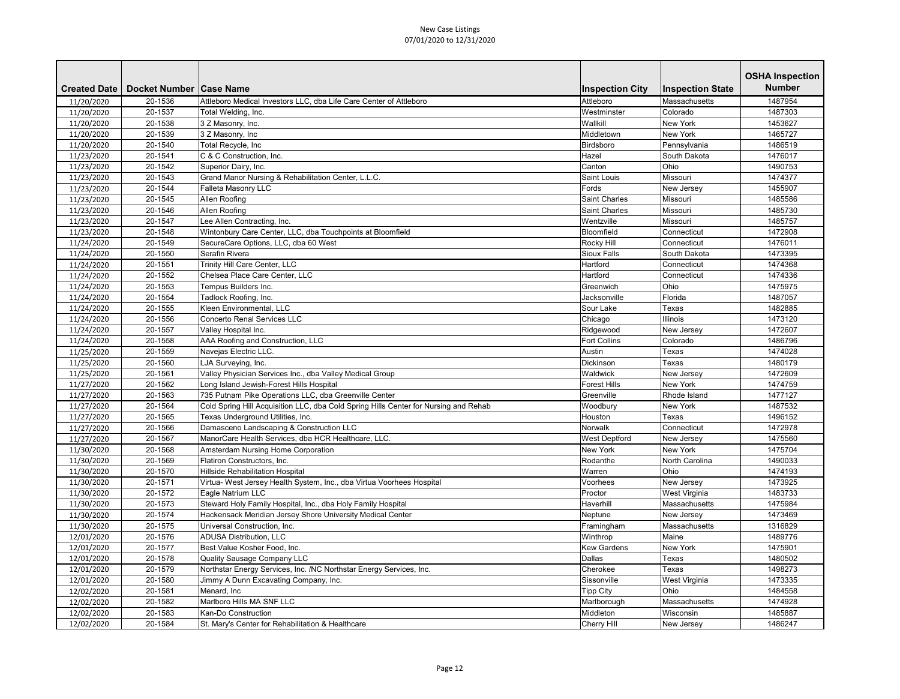| <b>Number</b><br><b>Created Date</b><br>Docket Number   Case Name<br><b>Inspection City</b><br><b>Inspection State</b><br>1487954<br>20-1536<br>Attleboro Medical Investors LLC, dba Life Care Center of Attleboro<br>Attleboro<br>Massachusetts<br>11/20/2020<br>20-1537<br>Westminster<br>Colorado<br>1487303<br>11/20/2020<br>Total Welding, Inc.<br>11/20/2020<br>20-1538<br>3 Z Masonry, Inc.<br>Wallkill<br><b>New York</b><br>1453627<br>11/20/2020<br>20-1539<br>3 Z Masonry, Inc.<br><b>New York</b><br>1465727<br>Middletown<br>Birdsboro<br>20-1540<br>11/20/2020<br>Total Recycle, Inc<br>Pennsylvania<br>1486519<br>20-1541<br>C & C Construction, Inc.<br>1476017<br>Hazel<br>South Dakota<br>11/23/2020<br>Canton<br>Ohio<br>20-1542<br>Superior Dairy, Inc.<br>1490753<br>11/23/2020<br>Grand Manor Nursing & Rehabilitation Center, L.L.C.<br>Saint Louis<br>20-1543<br>Missouri<br>1474377<br>11/23/2020<br>20-1544<br><b>Falleta Masonry LLC</b><br>Fords<br>1455907<br>11/23/2020<br>New Jersey<br>11/23/2020<br>20-1545<br>Allen Roofing<br><b>Saint Charles</b><br>Missouri<br>1485586<br>Allen Roofing<br>11/23/2020<br>20-1546<br><b>Saint Charles</b><br>1485730<br>Missouri<br>11/23/2020<br>20-1547<br>Lee Allen Contracting, Inc.<br>Wentzville<br>Missouri<br>1485757<br>Wintonbury Care Center, LLC, dba Touchpoints at Bloomfield<br>11/23/2020<br>20-1548<br>Bloomfield<br>1472908<br>Connecticut<br>1476011<br>20-1549<br>SecureCare Options, LLC, dba 60 West<br>Rocky Hill<br>Connecticut<br>11/24/2020<br>20-1550<br>Serafin Rivera<br><b>Sioux Falls</b><br>South Dakota<br>1473395<br>11/24/2020<br>20-1551<br>Trinity Hill Care Center, LLC<br>Hartford<br>Connecticut<br>1474368<br>11/24/2020<br>Connecticut<br>11/24/2020<br>20-1552<br>Chelsea Place Care Center, LLC<br>Hartford<br>1474336<br>Ohio<br>11/24/2020<br>20-1553<br>Tempus Builders Inc.<br>Greenwich<br>1475975<br>20-1554<br>1487057<br>11/24/2020<br>Tadlock Roofing, Inc.<br>Jacksonville<br>Florida<br>Kleen Environmental, LLC<br>Sour Lake<br>11/24/2020<br>20-1555<br>Texas<br>1482885<br>20-1556<br>Chicago<br>Illinois<br>11/24/2020<br><b>Concerto Renal Services LLC</b><br>1473120<br>20-1557<br>Valley Hospital Inc.<br>Ridgewood<br>New Jersey<br>1472607<br>11/24/2020<br>AAA Roofing and Construction, LLC<br><b>Fort Collins</b><br>Colorado<br>20-1558<br>1486796<br>11/24/2020<br>20-1559<br>Navejas Electric LLC.<br>1474028<br>11/25/2020<br>Austin<br>Texas<br>11/25/2020<br>20-1560<br>LJA Surveying, Inc.<br>Dickinson<br>Texas<br>1480179<br>11/25/2020<br>20-1561<br>Valley Physician Services Inc., dba Valley Medical Group<br>Waldwick<br>1472609<br>New Jersey<br>20-1562<br>Long Island Jewish-Forest Hills Hospital<br><b>Forest Hills</b><br>New York<br>1474759<br>11/27/2020<br>735 Putnam Pike Operations LLC, dba Greenville Center<br>11/27/2020<br>20-1563<br>Greenville<br>Rhode Island<br>1477127<br>20-1564<br>New York<br>Cold Spring Hill Acquisition LLC, dba Cold Spring Hills Center for Nursing and Rehab<br>Woodbury<br>1487532<br>11/27/2020<br>11/27/2020<br>20-1565<br>Texas Underground Utilities, Inc.<br>Houston<br>Texas<br>1496152<br>Damasceno Landscaping & Construction LLC<br>Connecticut<br>1472978<br>20-1566<br>Norwalk<br>11/27/2020<br>ManorCare Health Services, dba HCR Healthcare, LLC.<br>20-1567<br>1475560<br>11/27/2020<br><b>West Deptford</b><br>New Jersey<br><b>New York</b><br>11/30/2020<br>20-1568<br>Amsterdam Nursing Home Corporation<br><b>New York</b><br>1475704<br>11/30/2020<br>Rodanthe<br>North Carolina<br>20-1569<br>Flatiron Constructors, Inc.<br>1490033<br>11/30/2020<br>20-1570<br>Hillside Rehabilitation Hospital<br>Warren<br>Ohio<br>1474193<br>20-1571<br>Virtua- West Jersey Health System, Inc., dba Virtua Voorhees Hospital<br>Voorhees<br>New Jersey<br>1473925<br>11/30/2020<br>Eagle Natrium LLC<br>20-1572<br>Proctor<br>West Virginia<br>1483733<br>11/30/2020<br>Steward Holy Family Hospital, Inc., dba Holy Family Hospital<br>11/30/2020<br>20-1573<br>Haverhill<br>Massachusetts<br>1475984<br>Hackensack Meridian Jersey Shore University Medical Center<br>20-1574<br>New Jersey<br>1473469<br>11/30/2020<br>Neptune<br>11/30/2020<br>20-1575<br>Universal Construction, Inc.<br>Massachusetts<br>1316829<br>Framingham<br>20-1576<br><b>ADUSA Distribution, LLC</b><br>12/01/2020<br>Winthrop<br>Maine<br>1489776<br>Best Value Kosher Food, Inc.<br>New York<br>12/01/2020<br>20-1577<br><b>Kew Gardens</b><br>1475901<br>20-1578<br>Quality Sausage Company LLC<br>Dallas<br>12/01/2020<br>Texas<br>1480502<br>Northstar Energy Services, Inc. /NC Northstar Energy Services, Inc.<br>Cherokee<br>20-1579<br>1498273<br>12/01/2020<br>Texas<br>20-1580<br>Jimmy A Dunn Excavating Company, Inc.<br>1473335<br>Sissonville<br>West Virginia<br>12/01/2020<br>Ohio<br>20-1581<br>Menard, Inc<br><b>Tipp City</b><br>1484558<br>12/02/2020<br>Marlboro Hills MA SNF LLC<br>Massachusetts<br>12/02/2020<br>20-1582<br>1474928<br>Marlborough<br>12/02/2020<br>20-1583<br>Kan-Do Construction<br>Middleton<br>Wisconsin<br>1485887<br>12/02/2020<br>20-1584<br>St. Mary's Center for Rehabilitation & Healthcare<br><b>Cherry Hill</b><br>New Jersey<br>1486247 |  |  | <b>OSHA Inspection</b> |
|----------------------------------------------------------------------------------------------------------------------------------------------------------------------------------------------------------------------------------------------------------------------------------------------------------------------------------------------------------------------------------------------------------------------------------------------------------------------------------------------------------------------------------------------------------------------------------------------------------------------------------------------------------------------------------------------------------------------------------------------------------------------------------------------------------------------------------------------------------------------------------------------------------------------------------------------------------------------------------------------------------------------------------------------------------------------------------------------------------------------------------------------------------------------------------------------------------------------------------------------------------------------------------------------------------------------------------------------------------------------------------------------------------------------------------------------------------------------------------------------------------------------------------------------------------------------------------------------------------------------------------------------------------------------------------------------------------------------------------------------------------------------------------------------------------------------------------------------------------------------------------------------------------------------------------------------------------------------------------------------------------------------------------------------------------------------------------------------------------------------------------------------------------------------------------------------------------------------------------------------------------------------------------------------------------------------------------------------------------------------------------------------------------------------------------------------------------------------------------------------------------------------------------------------------------------------------------------------------------------------------------------------------------------------------------------------------------------------------------------------------------------------------------------------------------------------------------------------------------------------------------------------------------------------------------------------------------------------------------------------------------------------------------------------------------------------------------------------------------------------------------------------------------------------------------------------------------------------------------------------------------------------------------------------------------------------------------------------------------------------------------------------------------------------------------------------------------------------------------------------------------------------------------------------------------------------------------------------------------------------------------------------------------------------------------------------------------------------------------------------------------------------------------------------------------------------------------------------------------------------------------------------------------------------------------------------------------------------------------------------------------------------------------------------------------------------------------------------------------------------------------------------------------------------------------------------------------------------------------------------------------------------------------------------------------------------------------------------------------------------------------------------------------------------------------------------------------------------------------------------------------------------------------------------------------------------------------------------------------------------------------------------------------------------------------------------------------------------------------------------------------------------------------------------------------------------------------------------------------------------------------------------------------------------------------------------------------------------------------------------------------------------------------------------------------------------------------------------------------------------------------------------------------------------------------------------------------------------------------------------------------------------------------------------|--|--|------------------------|
|                                                                                                                                                                                                                                                                                                                                                                                                                                                                                                                                                                                                                                                                                                                                                                                                                                                                                                                                                                                                                                                                                                                                                                                                                                                                                                                                                                                                                                                                                                                                                                                                                                                                                                                                                                                                                                                                                                                                                                                                                                                                                                                                                                                                                                                                                                                                                                                                                                                                                                                                                                                                                                                                                                                                                                                                                                                                                                                                                                                                                                                                                                                                                                                                                                                                                                                                                                                                                                                                                                                                                                                                                                                                                                                                                                                                                                                                                                                                                                                                                                                                                                                                                                                                                                                                                                                                                                                                                                                                                                                                                                                                                                                                                                                                                                                                                                                                                                                                                                                                                                                                                                                                                                                                                                                                                              |  |  |                        |
|                                                                                                                                                                                                                                                                                                                                                                                                                                                                                                                                                                                                                                                                                                                                                                                                                                                                                                                                                                                                                                                                                                                                                                                                                                                                                                                                                                                                                                                                                                                                                                                                                                                                                                                                                                                                                                                                                                                                                                                                                                                                                                                                                                                                                                                                                                                                                                                                                                                                                                                                                                                                                                                                                                                                                                                                                                                                                                                                                                                                                                                                                                                                                                                                                                                                                                                                                                                                                                                                                                                                                                                                                                                                                                                                                                                                                                                                                                                                                                                                                                                                                                                                                                                                                                                                                                                                                                                                                                                                                                                                                                                                                                                                                                                                                                                                                                                                                                                                                                                                                                                                                                                                                                                                                                                                                              |  |  |                        |
|                                                                                                                                                                                                                                                                                                                                                                                                                                                                                                                                                                                                                                                                                                                                                                                                                                                                                                                                                                                                                                                                                                                                                                                                                                                                                                                                                                                                                                                                                                                                                                                                                                                                                                                                                                                                                                                                                                                                                                                                                                                                                                                                                                                                                                                                                                                                                                                                                                                                                                                                                                                                                                                                                                                                                                                                                                                                                                                                                                                                                                                                                                                                                                                                                                                                                                                                                                                                                                                                                                                                                                                                                                                                                                                                                                                                                                                                                                                                                                                                                                                                                                                                                                                                                                                                                                                                                                                                                                                                                                                                                                                                                                                                                                                                                                                                                                                                                                                                                                                                                                                                                                                                                                                                                                                                                              |  |  |                        |
|                                                                                                                                                                                                                                                                                                                                                                                                                                                                                                                                                                                                                                                                                                                                                                                                                                                                                                                                                                                                                                                                                                                                                                                                                                                                                                                                                                                                                                                                                                                                                                                                                                                                                                                                                                                                                                                                                                                                                                                                                                                                                                                                                                                                                                                                                                                                                                                                                                                                                                                                                                                                                                                                                                                                                                                                                                                                                                                                                                                                                                                                                                                                                                                                                                                                                                                                                                                                                                                                                                                                                                                                                                                                                                                                                                                                                                                                                                                                                                                                                                                                                                                                                                                                                                                                                                                                                                                                                                                                                                                                                                                                                                                                                                                                                                                                                                                                                                                                                                                                                                                                                                                                                                                                                                                                                              |  |  |                        |
|                                                                                                                                                                                                                                                                                                                                                                                                                                                                                                                                                                                                                                                                                                                                                                                                                                                                                                                                                                                                                                                                                                                                                                                                                                                                                                                                                                                                                                                                                                                                                                                                                                                                                                                                                                                                                                                                                                                                                                                                                                                                                                                                                                                                                                                                                                                                                                                                                                                                                                                                                                                                                                                                                                                                                                                                                                                                                                                                                                                                                                                                                                                                                                                                                                                                                                                                                                                                                                                                                                                                                                                                                                                                                                                                                                                                                                                                                                                                                                                                                                                                                                                                                                                                                                                                                                                                                                                                                                                                                                                                                                                                                                                                                                                                                                                                                                                                                                                                                                                                                                                                                                                                                                                                                                                                                              |  |  |                        |
|                                                                                                                                                                                                                                                                                                                                                                                                                                                                                                                                                                                                                                                                                                                                                                                                                                                                                                                                                                                                                                                                                                                                                                                                                                                                                                                                                                                                                                                                                                                                                                                                                                                                                                                                                                                                                                                                                                                                                                                                                                                                                                                                                                                                                                                                                                                                                                                                                                                                                                                                                                                                                                                                                                                                                                                                                                                                                                                                                                                                                                                                                                                                                                                                                                                                                                                                                                                                                                                                                                                                                                                                                                                                                                                                                                                                                                                                                                                                                                                                                                                                                                                                                                                                                                                                                                                                                                                                                                                                                                                                                                                                                                                                                                                                                                                                                                                                                                                                                                                                                                                                                                                                                                                                                                                                                              |  |  |                        |
|                                                                                                                                                                                                                                                                                                                                                                                                                                                                                                                                                                                                                                                                                                                                                                                                                                                                                                                                                                                                                                                                                                                                                                                                                                                                                                                                                                                                                                                                                                                                                                                                                                                                                                                                                                                                                                                                                                                                                                                                                                                                                                                                                                                                                                                                                                                                                                                                                                                                                                                                                                                                                                                                                                                                                                                                                                                                                                                                                                                                                                                                                                                                                                                                                                                                                                                                                                                                                                                                                                                                                                                                                                                                                                                                                                                                                                                                                                                                                                                                                                                                                                                                                                                                                                                                                                                                                                                                                                                                                                                                                                                                                                                                                                                                                                                                                                                                                                                                                                                                                                                                                                                                                                                                                                                                                              |  |  |                        |
|                                                                                                                                                                                                                                                                                                                                                                                                                                                                                                                                                                                                                                                                                                                                                                                                                                                                                                                                                                                                                                                                                                                                                                                                                                                                                                                                                                                                                                                                                                                                                                                                                                                                                                                                                                                                                                                                                                                                                                                                                                                                                                                                                                                                                                                                                                                                                                                                                                                                                                                                                                                                                                                                                                                                                                                                                                                                                                                                                                                                                                                                                                                                                                                                                                                                                                                                                                                                                                                                                                                                                                                                                                                                                                                                                                                                                                                                                                                                                                                                                                                                                                                                                                                                                                                                                                                                                                                                                                                                                                                                                                                                                                                                                                                                                                                                                                                                                                                                                                                                                                                                                                                                                                                                                                                                                              |  |  |                        |
|                                                                                                                                                                                                                                                                                                                                                                                                                                                                                                                                                                                                                                                                                                                                                                                                                                                                                                                                                                                                                                                                                                                                                                                                                                                                                                                                                                                                                                                                                                                                                                                                                                                                                                                                                                                                                                                                                                                                                                                                                                                                                                                                                                                                                                                                                                                                                                                                                                                                                                                                                                                                                                                                                                                                                                                                                                                                                                                                                                                                                                                                                                                                                                                                                                                                                                                                                                                                                                                                                                                                                                                                                                                                                                                                                                                                                                                                                                                                                                                                                                                                                                                                                                                                                                                                                                                                                                                                                                                                                                                                                                                                                                                                                                                                                                                                                                                                                                                                                                                                                                                                                                                                                                                                                                                                                              |  |  |                        |
|                                                                                                                                                                                                                                                                                                                                                                                                                                                                                                                                                                                                                                                                                                                                                                                                                                                                                                                                                                                                                                                                                                                                                                                                                                                                                                                                                                                                                                                                                                                                                                                                                                                                                                                                                                                                                                                                                                                                                                                                                                                                                                                                                                                                                                                                                                                                                                                                                                                                                                                                                                                                                                                                                                                                                                                                                                                                                                                                                                                                                                                                                                                                                                                                                                                                                                                                                                                                                                                                                                                                                                                                                                                                                                                                                                                                                                                                                                                                                                                                                                                                                                                                                                                                                                                                                                                                                                                                                                                                                                                                                                                                                                                                                                                                                                                                                                                                                                                                                                                                                                                                                                                                                                                                                                                                                              |  |  |                        |
|                                                                                                                                                                                                                                                                                                                                                                                                                                                                                                                                                                                                                                                                                                                                                                                                                                                                                                                                                                                                                                                                                                                                                                                                                                                                                                                                                                                                                                                                                                                                                                                                                                                                                                                                                                                                                                                                                                                                                                                                                                                                                                                                                                                                                                                                                                                                                                                                                                                                                                                                                                                                                                                                                                                                                                                                                                                                                                                                                                                                                                                                                                                                                                                                                                                                                                                                                                                                                                                                                                                                                                                                                                                                                                                                                                                                                                                                                                                                                                                                                                                                                                                                                                                                                                                                                                                                                                                                                                                                                                                                                                                                                                                                                                                                                                                                                                                                                                                                                                                                                                                                                                                                                                                                                                                                                              |  |  |                        |
|                                                                                                                                                                                                                                                                                                                                                                                                                                                                                                                                                                                                                                                                                                                                                                                                                                                                                                                                                                                                                                                                                                                                                                                                                                                                                                                                                                                                                                                                                                                                                                                                                                                                                                                                                                                                                                                                                                                                                                                                                                                                                                                                                                                                                                                                                                                                                                                                                                                                                                                                                                                                                                                                                                                                                                                                                                                                                                                                                                                                                                                                                                                                                                                                                                                                                                                                                                                                                                                                                                                                                                                                                                                                                                                                                                                                                                                                                                                                                                                                                                                                                                                                                                                                                                                                                                                                                                                                                                                                                                                                                                                                                                                                                                                                                                                                                                                                                                                                                                                                                                                                                                                                                                                                                                                                                              |  |  |                        |
|                                                                                                                                                                                                                                                                                                                                                                                                                                                                                                                                                                                                                                                                                                                                                                                                                                                                                                                                                                                                                                                                                                                                                                                                                                                                                                                                                                                                                                                                                                                                                                                                                                                                                                                                                                                                                                                                                                                                                                                                                                                                                                                                                                                                                                                                                                                                                                                                                                                                                                                                                                                                                                                                                                                                                                                                                                                                                                                                                                                                                                                                                                                                                                                                                                                                                                                                                                                                                                                                                                                                                                                                                                                                                                                                                                                                                                                                                                                                                                                                                                                                                                                                                                                                                                                                                                                                                                                                                                                                                                                                                                                                                                                                                                                                                                                                                                                                                                                                                                                                                                                                                                                                                                                                                                                                                              |  |  |                        |
|                                                                                                                                                                                                                                                                                                                                                                                                                                                                                                                                                                                                                                                                                                                                                                                                                                                                                                                                                                                                                                                                                                                                                                                                                                                                                                                                                                                                                                                                                                                                                                                                                                                                                                                                                                                                                                                                                                                                                                                                                                                                                                                                                                                                                                                                                                                                                                                                                                                                                                                                                                                                                                                                                                                                                                                                                                                                                                                                                                                                                                                                                                                                                                                                                                                                                                                                                                                                                                                                                                                                                                                                                                                                                                                                                                                                                                                                                                                                                                                                                                                                                                                                                                                                                                                                                                                                                                                                                                                                                                                                                                                                                                                                                                                                                                                                                                                                                                                                                                                                                                                                                                                                                                                                                                                                                              |  |  |                        |
|                                                                                                                                                                                                                                                                                                                                                                                                                                                                                                                                                                                                                                                                                                                                                                                                                                                                                                                                                                                                                                                                                                                                                                                                                                                                                                                                                                                                                                                                                                                                                                                                                                                                                                                                                                                                                                                                                                                                                                                                                                                                                                                                                                                                                                                                                                                                                                                                                                                                                                                                                                                                                                                                                                                                                                                                                                                                                                                                                                                                                                                                                                                                                                                                                                                                                                                                                                                                                                                                                                                                                                                                                                                                                                                                                                                                                                                                                                                                                                                                                                                                                                                                                                                                                                                                                                                                                                                                                                                                                                                                                                                                                                                                                                                                                                                                                                                                                                                                                                                                                                                                                                                                                                                                                                                                                              |  |  |                        |
|                                                                                                                                                                                                                                                                                                                                                                                                                                                                                                                                                                                                                                                                                                                                                                                                                                                                                                                                                                                                                                                                                                                                                                                                                                                                                                                                                                                                                                                                                                                                                                                                                                                                                                                                                                                                                                                                                                                                                                                                                                                                                                                                                                                                                                                                                                                                                                                                                                                                                                                                                                                                                                                                                                                                                                                                                                                                                                                                                                                                                                                                                                                                                                                                                                                                                                                                                                                                                                                                                                                                                                                                                                                                                                                                                                                                                                                                                                                                                                                                                                                                                                                                                                                                                                                                                                                                                                                                                                                                                                                                                                                                                                                                                                                                                                                                                                                                                                                                                                                                                                                                                                                                                                                                                                                                                              |  |  |                        |
|                                                                                                                                                                                                                                                                                                                                                                                                                                                                                                                                                                                                                                                                                                                                                                                                                                                                                                                                                                                                                                                                                                                                                                                                                                                                                                                                                                                                                                                                                                                                                                                                                                                                                                                                                                                                                                                                                                                                                                                                                                                                                                                                                                                                                                                                                                                                                                                                                                                                                                                                                                                                                                                                                                                                                                                                                                                                                                                                                                                                                                                                                                                                                                                                                                                                                                                                                                                                                                                                                                                                                                                                                                                                                                                                                                                                                                                                                                                                                                                                                                                                                                                                                                                                                                                                                                                                                                                                                                                                                                                                                                                                                                                                                                                                                                                                                                                                                                                                                                                                                                                                                                                                                                                                                                                                                              |  |  |                        |
|                                                                                                                                                                                                                                                                                                                                                                                                                                                                                                                                                                                                                                                                                                                                                                                                                                                                                                                                                                                                                                                                                                                                                                                                                                                                                                                                                                                                                                                                                                                                                                                                                                                                                                                                                                                                                                                                                                                                                                                                                                                                                                                                                                                                                                                                                                                                                                                                                                                                                                                                                                                                                                                                                                                                                                                                                                                                                                                                                                                                                                                                                                                                                                                                                                                                                                                                                                                                                                                                                                                                                                                                                                                                                                                                                                                                                                                                                                                                                                                                                                                                                                                                                                                                                                                                                                                                                                                                                                                                                                                                                                                                                                                                                                                                                                                                                                                                                                                                                                                                                                                                                                                                                                                                                                                                                              |  |  |                        |
|                                                                                                                                                                                                                                                                                                                                                                                                                                                                                                                                                                                                                                                                                                                                                                                                                                                                                                                                                                                                                                                                                                                                                                                                                                                                                                                                                                                                                                                                                                                                                                                                                                                                                                                                                                                                                                                                                                                                                                                                                                                                                                                                                                                                                                                                                                                                                                                                                                                                                                                                                                                                                                                                                                                                                                                                                                                                                                                                                                                                                                                                                                                                                                                                                                                                                                                                                                                                                                                                                                                                                                                                                                                                                                                                                                                                                                                                                                                                                                                                                                                                                                                                                                                                                                                                                                                                                                                                                                                                                                                                                                                                                                                                                                                                                                                                                                                                                                                                                                                                                                                                                                                                                                                                                                                                                              |  |  |                        |
|                                                                                                                                                                                                                                                                                                                                                                                                                                                                                                                                                                                                                                                                                                                                                                                                                                                                                                                                                                                                                                                                                                                                                                                                                                                                                                                                                                                                                                                                                                                                                                                                                                                                                                                                                                                                                                                                                                                                                                                                                                                                                                                                                                                                                                                                                                                                                                                                                                                                                                                                                                                                                                                                                                                                                                                                                                                                                                                                                                                                                                                                                                                                                                                                                                                                                                                                                                                                                                                                                                                                                                                                                                                                                                                                                                                                                                                                                                                                                                                                                                                                                                                                                                                                                                                                                                                                                                                                                                                                                                                                                                                                                                                                                                                                                                                                                                                                                                                                                                                                                                                                                                                                                                                                                                                                                              |  |  |                        |
|                                                                                                                                                                                                                                                                                                                                                                                                                                                                                                                                                                                                                                                                                                                                                                                                                                                                                                                                                                                                                                                                                                                                                                                                                                                                                                                                                                                                                                                                                                                                                                                                                                                                                                                                                                                                                                                                                                                                                                                                                                                                                                                                                                                                                                                                                                                                                                                                                                                                                                                                                                                                                                                                                                                                                                                                                                                                                                                                                                                                                                                                                                                                                                                                                                                                                                                                                                                                                                                                                                                                                                                                                                                                                                                                                                                                                                                                                                                                                                                                                                                                                                                                                                                                                                                                                                                                                                                                                                                                                                                                                                                                                                                                                                                                                                                                                                                                                                                                                                                                                                                                                                                                                                                                                                                                                              |  |  |                        |
|                                                                                                                                                                                                                                                                                                                                                                                                                                                                                                                                                                                                                                                                                                                                                                                                                                                                                                                                                                                                                                                                                                                                                                                                                                                                                                                                                                                                                                                                                                                                                                                                                                                                                                                                                                                                                                                                                                                                                                                                                                                                                                                                                                                                                                                                                                                                                                                                                                                                                                                                                                                                                                                                                                                                                                                                                                                                                                                                                                                                                                                                                                                                                                                                                                                                                                                                                                                                                                                                                                                                                                                                                                                                                                                                                                                                                                                                                                                                                                                                                                                                                                                                                                                                                                                                                                                                                                                                                                                                                                                                                                                                                                                                                                                                                                                                                                                                                                                                                                                                                                                                                                                                                                                                                                                                                              |  |  |                        |
|                                                                                                                                                                                                                                                                                                                                                                                                                                                                                                                                                                                                                                                                                                                                                                                                                                                                                                                                                                                                                                                                                                                                                                                                                                                                                                                                                                                                                                                                                                                                                                                                                                                                                                                                                                                                                                                                                                                                                                                                                                                                                                                                                                                                                                                                                                                                                                                                                                                                                                                                                                                                                                                                                                                                                                                                                                                                                                                                                                                                                                                                                                                                                                                                                                                                                                                                                                                                                                                                                                                                                                                                                                                                                                                                                                                                                                                                                                                                                                                                                                                                                                                                                                                                                                                                                                                                                                                                                                                                                                                                                                                                                                                                                                                                                                                                                                                                                                                                                                                                                                                                                                                                                                                                                                                                                              |  |  |                        |
|                                                                                                                                                                                                                                                                                                                                                                                                                                                                                                                                                                                                                                                                                                                                                                                                                                                                                                                                                                                                                                                                                                                                                                                                                                                                                                                                                                                                                                                                                                                                                                                                                                                                                                                                                                                                                                                                                                                                                                                                                                                                                                                                                                                                                                                                                                                                                                                                                                                                                                                                                                                                                                                                                                                                                                                                                                                                                                                                                                                                                                                                                                                                                                                                                                                                                                                                                                                                                                                                                                                                                                                                                                                                                                                                                                                                                                                                                                                                                                                                                                                                                                                                                                                                                                                                                                                                                                                                                                                                                                                                                                                                                                                                                                                                                                                                                                                                                                                                                                                                                                                                                                                                                                                                                                                                                              |  |  |                        |
|                                                                                                                                                                                                                                                                                                                                                                                                                                                                                                                                                                                                                                                                                                                                                                                                                                                                                                                                                                                                                                                                                                                                                                                                                                                                                                                                                                                                                                                                                                                                                                                                                                                                                                                                                                                                                                                                                                                                                                                                                                                                                                                                                                                                                                                                                                                                                                                                                                                                                                                                                                                                                                                                                                                                                                                                                                                                                                                                                                                                                                                                                                                                                                                                                                                                                                                                                                                                                                                                                                                                                                                                                                                                                                                                                                                                                                                                                                                                                                                                                                                                                                                                                                                                                                                                                                                                                                                                                                                                                                                                                                                                                                                                                                                                                                                                                                                                                                                                                                                                                                                                                                                                                                                                                                                                                              |  |  |                        |
|                                                                                                                                                                                                                                                                                                                                                                                                                                                                                                                                                                                                                                                                                                                                                                                                                                                                                                                                                                                                                                                                                                                                                                                                                                                                                                                                                                                                                                                                                                                                                                                                                                                                                                                                                                                                                                                                                                                                                                                                                                                                                                                                                                                                                                                                                                                                                                                                                                                                                                                                                                                                                                                                                                                                                                                                                                                                                                                                                                                                                                                                                                                                                                                                                                                                                                                                                                                                                                                                                                                                                                                                                                                                                                                                                                                                                                                                                                                                                                                                                                                                                                                                                                                                                                                                                                                                                                                                                                                                                                                                                                                                                                                                                                                                                                                                                                                                                                                                                                                                                                                                                                                                                                                                                                                                                              |  |  |                        |
|                                                                                                                                                                                                                                                                                                                                                                                                                                                                                                                                                                                                                                                                                                                                                                                                                                                                                                                                                                                                                                                                                                                                                                                                                                                                                                                                                                                                                                                                                                                                                                                                                                                                                                                                                                                                                                                                                                                                                                                                                                                                                                                                                                                                                                                                                                                                                                                                                                                                                                                                                                                                                                                                                                                                                                                                                                                                                                                                                                                                                                                                                                                                                                                                                                                                                                                                                                                                                                                                                                                                                                                                                                                                                                                                                                                                                                                                                                                                                                                                                                                                                                                                                                                                                                                                                                                                                                                                                                                                                                                                                                                                                                                                                                                                                                                                                                                                                                                                                                                                                                                                                                                                                                                                                                                                                              |  |  |                        |
|                                                                                                                                                                                                                                                                                                                                                                                                                                                                                                                                                                                                                                                                                                                                                                                                                                                                                                                                                                                                                                                                                                                                                                                                                                                                                                                                                                                                                                                                                                                                                                                                                                                                                                                                                                                                                                                                                                                                                                                                                                                                                                                                                                                                                                                                                                                                                                                                                                                                                                                                                                                                                                                                                                                                                                                                                                                                                                                                                                                                                                                                                                                                                                                                                                                                                                                                                                                                                                                                                                                                                                                                                                                                                                                                                                                                                                                                                                                                                                                                                                                                                                                                                                                                                                                                                                                                                                                                                                                                                                                                                                                                                                                                                                                                                                                                                                                                                                                                                                                                                                                                                                                                                                                                                                                                                              |  |  |                        |
|                                                                                                                                                                                                                                                                                                                                                                                                                                                                                                                                                                                                                                                                                                                                                                                                                                                                                                                                                                                                                                                                                                                                                                                                                                                                                                                                                                                                                                                                                                                                                                                                                                                                                                                                                                                                                                                                                                                                                                                                                                                                                                                                                                                                                                                                                                                                                                                                                                                                                                                                                                                                                                                                                                                                                                                                                                                                                                                                                                                                                                                                                                                                                                                                                                                                                                                                                                                                                                                                                                                                                                                                                                                                                                                                                                                                                                                                                                                                                                                                                                                                                                                                                                                                                                                                                                                                                                                                                                                                                                                                                                                                                                                                                                                                                                                                                                                                                                                                                                                                                                                                                                                                                                                                                                                                                              |  |  |                        |
|                                                                                                                                                                                                                                                                                                                                                                                                                                                                                                                                                                                                                                                                                                                                                                                                                                                                                                                                                                                                                                                                                                                                                                                                                                                                                                                                                                                                                                                                                                                                                                                                                                                                                                                                                                                                                                                                                                                                                                                                                                                                                                                                                                                                                                                                                                                                                                                                                                                                                                                                                                                                                                                                                                                                                                                                                                                                                                                                                                                                                                                                                                                                                                                                                                                                                                                                                                                                                                                                                                                                                                                                                                                                                                                                                                                                                                                                                                                                                                                                                                                                                                                                                                                                                                                                                                                                                                                                                                                                                                                                                                                                                                                                                                                                                                                                                                                                                                                                                                                                                                                                                                                                                                                                                                                                                              |  |  |                        |
|                                                                                                                                                                                                                                                                                                                                                                                                                                                                                                                                                                                                                                                                                                                                                                                                                                                                                                                                                                                                                                                                                                                                                                                                                                                                                                                                                                                                                                                                                                                                                                                                                                                                                                                                                                                                                                                                                                                                                                                                                                                                                                                                                                                                                                                                                                                                                                                                                                                                                                                                                                                                                                                                                                                                                                                                                                                                                                                                                                                                                                                                                                                                                                                                                                                                                                                                                                                                                                                                                                                                                                                                                                                                                                                                                                                                                                                                                                                                                                                                                                                                                                                                                                                                                                                                                                                                                                                                                                                                                                                                                                                                                                                                                                                                                                                                                                                                                                                                                                                                                                                                                                                                                                                                                                                                                              |  |  |                        |
|                                                                                                                                                                                                                                                                                                                                                                                                                                                                                                                                                                                                                                                                                                                                                                                                                                                                                                                                                                                                                                                                                                                                                                                                                                                                                                                                                                                                                                                                                                                                                                                                                                                                                                                                                                                                                                                                                                                                                                                                                                                                                                                                                                                                                                                                                                                                                                                                                                                                                                                                                                                                                                                                                                                                                                                                                                                                                                                                                                                                                                                                                                                                                                                                                                                                                                                                                                                                                                                                                                                                                                                                                                                                                                                                                                                                                                                                                                                                                                                                                                                                                                                                                                                                                                                                                                                                                                                                                                                                                                                                                                                                                                                                                                                                                                                                                                                                                                                                                                                                                                                                                                                                                                                                                                                                                              |  |  |                        |
|                                                                                                                                                                                                                                                                                                                                                                                                                                                                                                                                                                                                                                                                                                                                                                                                                                                                                                                                                                                                                                                                                                                                                                                                                                                                                                                                                                                                                                                                                                                                                                                                                                                                                                                                                                                                                                                                                                                                                                                                                                                                                                                                                                                                                                                                                                                                                                                                                                                                                                                                                                                                                                                                                                                                                                                                                                                                                                                                                                                                                                                                                                                                                                                                                                                                                                                                                                                                                                                                                                                                                                                                                                                                                                                                                                                                                                                                                                                                                                                                                                                                                                                                                                                                                                                                                                                                                                                                                                                                                                                                                                                                                                                                                                                                                                                                                                                                                                                                                                                                                                                                                                                                                                                                                                                                                              |  |  |                        |
|                                                                                                                                                                                                                                                                                                                                                                                                                                                                                                                                                                                                                                                                                                                                                                                                                                                                                                                                                                                                                                                                                                                                                                                                                                                                                                                                                                                                                                                                                                                                                                                                                                                                                                                                                                                                                                                                                                                                                                                                                                                                                                                                                                                                                                                                                                                                                                                                                                                                                                                                                                                                                                                                                                                                                                                                                                                                                                                                                                                                                                                                                                                                                                                                                                                                                                                                                                                                                                                                                                                                                                                                                                                                                                                                                                                                                                                                                                                                                                                                                                                                                                                                                                                                                                                                                                                                                                                                                                                                                                                                                                                                                                                                                                                                                                                                                                                                                                                                                                                                                                                                                                                                                                                                                                                                                              |  |  |                        |
|                                                                                                                                                                                                                                                                                                                                                                                                                                                                                                                                                                                                                                                                                                                                                                                                                                                                                                                                                                                                                                                                                                                                                                                                                                                                                                                                                                                                                                                                                                                                                                                                                                                                                                                                                                                                                                                                                                                                                                                                                                                                                                                                                                                                                                                                                                                                                                                                                                                                                                                                                                                                                                                                                                                                                                                                                                                                                                                                                                                                                                                                                                                                                                                                                                                                                                                                                                                                                                                                                                                                                                                                                                                                                                                                                                                                                                                                                                                                                                                                                                                                                                                                                                                                                                                                                                                                                                                                                                                                                                                                                                                                                                                                                                                                                                                                                                                                                                                                                                                                                                                                                                                                                                                                                                                                                              |  |  |                        |
|                                                                                                                                                                                                                                                                                                                                                                                                                                                                                                                                                                                                                                                                                                                                                                                                                                                                                                                                                                                                                                                                                                                                                                                                                                                                                                                                                                                                                                                                                                                                                                                                                                                                                                                                                                                                                                                                                                                                                                                                                                                                                                                                                                                                                                                                                                                                                                                                                                                                                                                                                                                                                                                                                                                                                                                                                                                                                                                                                                                                                                                                                                                                                                                                                                                                                                                                                                                                                                                                                                                                                                                                                                                                                                                                                                                                                                                                                                                                                                                                                                                                                                                                                                                                                                                                                                                                                                                                                                                                                                                                                                                                                                                                                                                                                                                                                                                                                                                                                                                                                                                                                                                                                                                                                                                                                              |  |  |                        |
|                                                                                                                                                                                                                                                                                                                                                                                                                                                                                                                                                                                                                                                                                                                                                                                                                                                                                                                                                                                                                                                                                                                                                                                                                                                                                                                                                                                                                                                                                                                                                                                                                                                                                                                                                                                                                                                                                                                                                                                                                                                                                                                                                                                                                                                                                                                                                                                                                                                                                                                                                                                                                                                                                                                                                                                                                                                                                                                                                                                                                                                                                                                                                                                                                                                                                                                                                                                                                                                                                                                                                                                                                                                                                                                                                                                                                                                                                                                                                                                                                                                                                                                                                                                                                                                                                                                                                                                                                                                                                                                                                                                                                                                                                                                                                                                                                                                                                                                                                                                                                                                                                                                                                                                                                                                                                              |  |  |                        |
|                                                                                                                                                                                                                                                                                                                                                                                                                                                                                                                                                                                                                                                                                                                                                                                                                                                                                                                                                                                                                                                                                                                                                                                                                                                                                                                                                                                                                                                                                                                                                                                                                                                                                                                                                                                                                                                                                                                                                                                                                                                                                                                                                                                                                                                                                                                                                                                                                                                                                                                                                                                                                                                                                                                                                                                                                                                                                                                                                                                                                                                                                                                                                                                                                                                                                                                                                                                                                                                                                                                                                                                                                                                                                                                                                                                                                                                                                                                                                                                                                                                                                                                                                                                                                                                                                                                                                                                                                                                                                                                                                                                                                                                                                                                                                                                                                                                                                                                                                                                                                                                                                                                                                                                                                                                                                              |  |  |                        |
|                                                                                                                                                                                                                                                                                                                                                                                                                                                                                                                                                                                                                                                                                                                                                                                                                                                                                                                                                                                                                                                                                                                                                                                                                                                                                                                                                                                                                                                                                                                                                                                                                                                                                                                                                                                                                                                                                                                                                                                                                                                                                                                                                                                                                                                                                                                                                                                                                                                                                                                                                                                                                                                                                                                                                                                                                                                                                                                                                                                                                                                                                                                                                                                                                                                                                                                                                                                                                                                                                                                                                                                                                                                                                                                                                                                                                                                                                                                                                                                                                                                                                                                                                                                                                                                                                                                                                                                                                                                                                                                                                                                                                                                                                                                                                                                                                                                                                                                                                                                                                                                                                                                                                                                                                                                                                              |  |  |                        |
|                                                                                                                                                                                                                                                                                                                                                                                                                                                                                                                                                                                                                                                                                                                                                                                                                                                                                                                                                                                                                                                                                                                                                                                                                                                                                                                                                                                                                                                                                                                                                                                                                                                                                                                                                                                                                                                                                                                                                                                                                                                                                                                                                                                                                                                                                                                                                                                                                                                                                                                                                                                                                                                                                                                                                                                                                                                                                                                                                                                                                                                                                                                                                                                                                                                                                                                                                                                                                                                                                                                                                                                                                                                                                                                                                                                                                                                                                                                                                                                                                                                                                                                                                                                                                                                                                                                                                                                                                                                                                                                                                                                                                                                                                                                                                                                                                                                                                                                                                                                                                                                                                                                                                                                                                                                                                              |  |  |                        |
|                                                                                                                                                                                                                                                                                                                                                                                                                                                                                                                                                                                                                                                                                                                                                                                                                                                                                                                                                                                                                                                                                                                                                                                                                                                                                                                                                                                                                                                                                                                                                                                                                                                                                                                                                                                                                                                                                                                                                                                                                                                                                                                                                                                                                                                                                                                                                                                                                                                                                                                                                                                                                                                                                                                                                                                                                                                                                                                                                                                                                                                                                                                                                                                                                                                                                                                                                                                                                                                                                                                                                                                                                                                                                                                                                                                                                                                                                                                                                                                                                                                                                                                                                                                                                                                                                                                                                                                                                                                                                                                                                                                                                                                                                                                                                                                                                                                                                                                                                                                                                                                                                                                                                                                                                                                                                              |  |  |                        |
|                                                                                                                                                                                                                                                                                                                                                                                                                                                                                                                                                                                                                                                                                                                                                                                                                                                                                                                                                                                                                                                                                                                                                                                                                                                                                                                                                                                                                                                                                                                                                                                                                                                                                                                                                                                                                                                                                                                                                                                                                                                                                                                                                                                                                                                                                                                                                                                                                                                                                                                                                                                                                                                                                                                                                                                                                                                                                                                                                                                                                                                                                                                                                                                                                                                                                                                                                                                                                                                                                                                                                                                                                                                                                                                                                                                                                                                                                                                                                                                                                                                                                                                                                                                                                                                                                                                                                                                                                                                                                                                                                                                                                                                                                                                                                                                                                                                                                                                                                                                                                                                                                                                                                                                                                                                                                              |  |  |                        |
|                                                                                                                                                                                                                                                                                                                                                                                                                                                                                                                                                                                                                                                                                                                                                                                                                                                                                                                                                                                                                                                                                                                                                                                                                                                                                                                                                                                                                                                                                                                                                                                                                                                                                                                                                                                                                                                                                                                                                                                                                                                                                                                                                                                                                                                                                                                                                                                                                                                                                                                                                                                                                                                                                                                                                                                                                                                                                                                                                                                                                                                                                                                                                                                                                                                                                                                                                                                                                                                                                                                                                                                                                                                                                                                                                                                                                                                                                                                                                                                                                                                                                                                                                                                                                                                                                                                                                                                                                                                                                                                                                                                                                                                                                                                                                                                                                                                                                                                                                                                                                                                                                                                                                                                                                                                                                              |  |  |                        |
|                                                                                                                                                                                                                                                                                                                                                                                                                                                                                                                                                                                                                                                                                                                                                                                                                                                                                                                                                                                                                                                                                                                                                                                                                                                                                                                                                                                                                                                                                                                                                                                                                                                                                                                                                                                                                                                                                                                                                                                                                                                                                                                                                                                                                                                                                                                                                                                                                                                                                                                                                                                                                                                                                                                                                                                                                                                                                                                                                                                                                                                                                                                                                                                                                                                                                                                                                                                                                                                                                                                                                                                                                                                                                                                                                                                                                                                                                                                                                                                                                                                                                                                                                                                                                                                                                                                                                                                                                                                                                                                                                                                                                                                                                                                                                                                                                                                                                                                                                                                                                                                                                                                                                                                                                                                                                              |  |  |                        |
|                                                                                                                                                                                                                                                                                                                                                                                                                                                                                                                                                                                                                                                                                                                                                                                                                                                                                                                                                                                                                                                                                                                                                                                                                                                                                                                                                                                                                                                                                                                                                                                                                                                                                                                                                                                                                                                                                                                                                                                                                                                                                                                                                                                                                                                                                                                                                                                                                                                                                                                                                                                                                                                                                                                                                                                                                                                                                                                                                                                                                                                                                                                                                                                                                                                                                                                                                                                                                                                                                                                                                                                                                                                                                                                                                                                                                                                                                                                                                                                                                                                                                                                                                                                                                                                                                                                                                                                                                                                                                                                                                                                                                                                                                                                                                                                                                                                                                                                                                                                                                                                                                                                                                                                                                                                                                              |  |  |                        |
|                                                                                                                                                                                                                                                                                                                                                                                                                                                                                                                                                                                                                                                                                                                                                                                                                                                                                                                                                                                                                                                                                                                                                                                                                                                                                                                                                                                                                                                                                                                                                                                                                                                                                                                                                                                                                                                                                                                                                                                                                                                                                                                                                                                                                                                                                                                                                                                                                                                                                                                                                                                                                                                                                                                                                                                                                                                                                                                                                                                                                                                                                                                                                                                                                                                                                                                                                                                                                                                                                                                                                                                                                                                                                                                                                                                                                                                                                                                                                                                                                                                                                                                                                                                                                                                                                                                                                                                                                                                                                                                                                                                                                                                                                                                                                                                                                                                                                                                                                                                                                                                                                                                                                                                                                                                                                              |  |  |                        |
|                                                                                                                                                                                                                                                                                                                                                                                                                                                                                                                                                                                                                                                                                                                                                                                                                                                                                                                                                                                                                                                                                                                                                                                                                                                                                                                                                                                                                                                                                                                                                                                                                                                                                                                                                                                                                                                                                                                                                                                                                                                                                                                                                                                                                                                                                                                                                                                                                                                                                                                                                                                                                                                                                                                                                                                                                                                                                                                                                                                                                                                                                                                                                                                                                                                                                                                                                                                                                                                                                                                                                                                                                                                                                                                                                                                                                                                                                                                                                                                                                                                                                                                                                                                                                                                                                                                                                                                                                                                                                                                                                                                                                                                                                                                                                                                                                                                                                                                                                                                                                                                                                                                                                                                                                                                                                              |  |  |                        |
|                                                                                                                                                                                                                                                                                                                                                                                                                                                                                                                                                                                                                                                                                                                                                                                                                                                                                                                                                                                                                                                                                                                                                                                                                                                                                                                                                                                                                                                                                                                                                                                                                                                                                                                                                                                                                                                                                                                                                                                                                                                                                                                                                                                                                                                                                                                                                                                                                                                                                                                                                                                                                                                                                                                                                                                                                                                                                                                                                                                                                                                                                                                                                                                                                                                                                                                                                                                                                                                                                                                                                                                                                                                                                                                                                                                                                                                                                                                                                                                                                                                                                                                                                                                                                                                                                                                                                                                                                                                                                                                                                                                                                                                                                                                                                                                                                                                                                                                                                                                                                                                                                                                                                                                                                                                                                              |  |  |                        |
|                                                                                                                                                                                                                                                                                                                                                                                                                                                                                                                                                                                                                                                                                                                                                                                                                                                                                                                                                                                                                                                                                                                                                                                                                                                                                                                                                                                                                                                                                                                                                                                                                                                                                                                                                                                                                                                                                                                                                                                                                                                                                                                                                                                                                                                                                                                                                                                                                                                                                                                                                                                                                                                                                                                                                                                                                                                                                                                                                                                                                                                                                                                                                                                                                                                                                                                                                                                                                                                                                                                                                                                                                                                                                                                                                                                                                                                                                                                                                                                                                                                                                                                                                                                                                                                                                                                                                                                                                                                                                                                                                                                                                                                                                                                                                                                                                                                                                                                                                                                                                                                                                                                                                                                                                                                                                              |  |  |                        |
|                                                                                                                                                                                                                                                                                                                                                                                                                                                                                                                                                                                                                                                                                                                                                                                                                                                                                                                                                                                                                                                                                                                                                                                                                                                                                                                                                                                                                                                                                                                                                                                                                                                                                                                                                                                                                                                                                                                                                                                                                                                                                                                                                                                                                                                                                                                                                                                                                                                                                                                                                                                                                                                                                                                                                                                                                                                                                                                                                                                                                                                                                                                                                                                                                                                                                                                                                                                                                                                                                                                                                                                                                                                                                                                                                                                                                                                                                                                                                                                                                                                                                                                                                                                                                                                                                                                                                                                                                                                                                                                                                                                                                                                                                                                                                                                                                                                                                                                                                                                                                                                                                                                                                                                                                                                                                              |  |  |                        |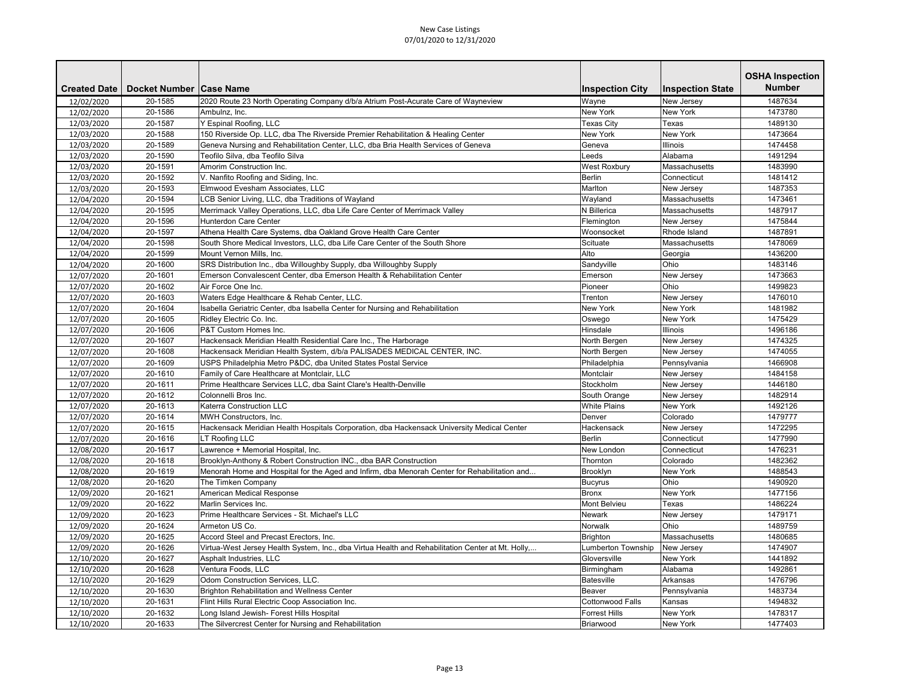|                     |                           |                                                                                                   |                        |                         | <b>OSHA Inspection</b> |
|---------------------|---------------------------|---------------------------------------------------------------------------------------------------|------------------------|-------------------------|------------------------|
| <b>Created Date</b> | Docket Number   Case Name |                                                                                                   | <b>Inspection City</b> | <b>Inspection State</b> | <b>Number</b>          |
| 12/02/2020          | 20-1585                   | 2020 Route 23 North Operating Company d/b/a Atrium Post-Acurate Care of Wayneview                 | Wayne                  | New Jersey              | 1487634                |
| 12/02/2020          | 20-1586                   | Ambulnz, Inc.                                                                                     | <b>New York</b>        | <b>New York</b>         | 1473780                |
| 12/03/2020          | 20-1587                   | Y Espinal Roofing, LLC                                                                            | <b>Texas City</b>      | Texas                   | 1489130                |
| 12/03/2020          | 20-1588                   | 150 Riverside Op. LLC, dba The Riverside Premier Rehabilitation & Healing Center                  | <b>New York</b>        | <b>New York</b>         | 1473664                |
| 12/03/2020          | 20-1589                   | Geneva Nursing and Rehabilitation Center, LLC, dba Bria Health Services of Geneva                 | Geneva                 | Illinois                | 1474458                |
| 12/03/2020          | 20-1590                   | Teofilo Silva, dba Teofilo Silva                                                                  | Leeds                  | Alabama                 | 1491294                |
| 12/03/2020          | 20-1591                   | Amorim Construction Inc.                                                                          | <b>West Roxbury</b>    | Massachusetts           | 1483990                |
| 12/03/2020          | 20-1592                   | V. Nanfito Roofing and Siding, Inc.                                                               | <b>Berlin</b>          | Connecticut             | 1481412                |
| 12/03/2020          | 20-1593                   | Elmwood Evesham Associates, LLC                                                                   | Marlton                | New Jersey              | 1487353                |
| 12/04/2020          | 20-1594                   | LCB Senior Living, LLC, dba Traditions of Wayland                                                 | Wayland                | Massachusetts           | 1473461                |
| 12/04/2020          | 20-1595                   | Merrimack Valley Operations, LLC, dba Life Care Center of Merrimack Valley                        | N Billerica            | Massachusetts           | 1487917                |
| 12/04/2020          | 20-1596                   | Hunterdon Care Center                                                                             | Flemington             | New Jersey              | 1475844                |
| 12/04/2020          | 20-1597                   | Athena Health Care Systems, dba Oakland Grove Health Care Center                                  | Woonsocket             | Rhode Island            | 1487891                |
| 12/04/2020          | 20-1598                   | South Shore Medical Investors, LLC, dba Life Care Center of the South Shore                       | Scituate               | Massachusetts           | 1478069                |
| 12/04/2020          | 20-1599                   | Mount Vernon Mills, Inc.                                                                          | Alto                   | Georgia                 | 1436200                |
| 12/04/2020          | 20-1600                   | SRS Distribution Inc., dba Willoughby Supply, dba Willoughby Supply                               | Sandyville             | Ohio                    | 1483146                |
| 12/07/2020          | 20-1601                   | Emerson Convalescent Center, dba Emerson Health & Rehabilitation Center                           | Emerson                | New Jersey              | 1473663                |
| 12/07/2020          | 20-1602                   | Air Force One Inc.                                                                                | Pioneer                | Ohio                    | 1499823                |
| 12/07/2020          | 20-1603                   | Waters Edge Healthcare & Rehab Center, LLC.                                                       | Trenton                | New Jersey              | 1476010                |
| 12/07/2020          | 20-1604                   | Isabella Geriatric Center, dba Isabella Center for Nursing and Rehabilitation                     | New York               | New York                | 1481982                |
| 12/07/2020          | 20-1605                   | Ridley Electric Co. Inc.                                                                          | Oswego                 | <b>New York</b>         | 1475429                |
| 12/07/2020          | 20-1606                   | P&T Custom Homes Inc.                                                                             | Hinsdale               | <b>Illinois</b>         | 1496186                |
| 12/07/2020          | 20-1607                   | Hackensack Meridian Health Residential Care Inc., The Harborage                                   | North Bergen           | New Jersey              | 1474325                |
| 12/07/2020          | 20-1608                   | Hackensack Meridian Health System, d/b/a PALISADES MEDICAL CENTER, INC.                           | North Bergen           | New Jersey              | 1474055                |
| 12/07/2020          | 20-1609                   | USPS Philadelphia Metro P&DC, dba United States Postal Service                                    | Philadelphia           | Pennsylvania            | 1466908                |
| 12/07/2020          | 20-1610                   | Family of Care Healthcare at Montclair, LLC                                                       | Montclair              | New Jersey              | 1484158                |
| 12/07/2020          | 20-1611                   | Prime Healthcare Services LLC, dba Saint Clare's Health-Denville                                  | Stockholm              | New Jersey              | 1446180                |
| 12/07/2020          | 20-1612                   | Colonnelli Bros Inc.                                                                              | South Orange           | New Jersey              | 1482914                |
| 12/07/2020          | 20-1613                   | Katerra Construction LLC                                                                          | <b>White Plains</b>    | <b>New York</b>         | 1492126                |
| 12/07/2020          | 20-1614                   | MWH Constructors, Inc.                                                                            | Denver                 | Colorado                | 1479777                |
| 12/07/2020          | 20-1615                   | Hackensack Meridian Health Hospitals Corporation, dba Hackensack University Medical Center        | Hackensack             | New Jersey              | 1472295                |
| 12/07/2020          | 20-1616                   | LT Roofing LLC                                                                                    | <b>Berlin</b>          | Connecticut             | 1477990                |
| 12/08/2020          | 20-1617                   | Lawrence + Memorial Hospital, Inc.                                                                | New London             | Connecticut             | 1476231                |
| 12/08/2020          | 20-1618                   | Brooklyn-Anthony & Robert Construction INC., dba BAR Construction                                 | Thornton               | Colorado                | 1482362                |
| 12/08/2020          | 20-1619                   | Menorah Home and Hospital for the Aged and Infirm, dba Menorah Center for Rehabilitation and      | Brooklyn               | New York                | 1488543                |
| 12/08/2020          | 20-1620                   | The Timken Company                                                                                | <b>Bucyrus</b>         | Ohio                    | 1490920                |
| 12/09/2020          | 20-1621                   | American Medical Response                                                                         | <b>Bronx</b>           | <b>New York</b>         | 1477156                |
| 12/09/2020          | 20-1622                   | Marlin Services Inc.                                                                              | Mont Belvieu           | Texas                   | 1486224                |
| 12/09/2020          | 20-1623                   | Prime Healthcare Services - St. Michael's LLC                                                     | <b>Newark</b>          | New Jersey              | 1479171                |
| 12/09/2020          | 20-1624                   | Armeton US Co.                                                                                    | Norwalk                | Ohio                    | 1489759                |
| 12/09/2020          | 20-1625                   | Accord Steel and Precast Erectors, Inc.                                                           | Brighton               | Massachusetts           | 1480685                |
| 12/09/2020          | 20-1626                   | Virtua-West Jersey Health System, Inc., dba Virtua Health and Rehabilitation Center at Mt. Holly, | Lumberton Township     | New Jersey              | 1474907                |
| 12/10/2020          | 20-1627                   | Asphalt Industries, LLC                                                                           | Gloversville           | New York                | 1441892                |
| 12/10/2020          | 20-1628                   | Ventura Foods, LLC                                                                                | Birmingham             | Alabama                 | 1492861                |
| 12/10/2020          | 20-1629                   | Odom Construction Services, LLC.                                                                  | Batesville             | Arkansas                | 1476796                |
| 12/10/2020          | 20-1630                   | Brighton Rehabilitation and Wellness Center                                                       | Beaver                 | Pennsylvania            | 1483734                |
| 12/10/2020          | 20-1631                   | Flint Hills Rural Electric Coop Association Inc.                                                  | Cottonwood Falls       | Kansas                  | 1494832                |
| 12/10/2020          | 20-1632                   | Long Island Jewish- Forest Hills Hospital                                                         | <b>Forrest Hills</b>   | New York                | 1478317                |
| 12/10/2020          | 20-1633                   | The Silvercrest Center for Nursing and Rehabilitation                                             | Briarwood              | New York                | 1477403                |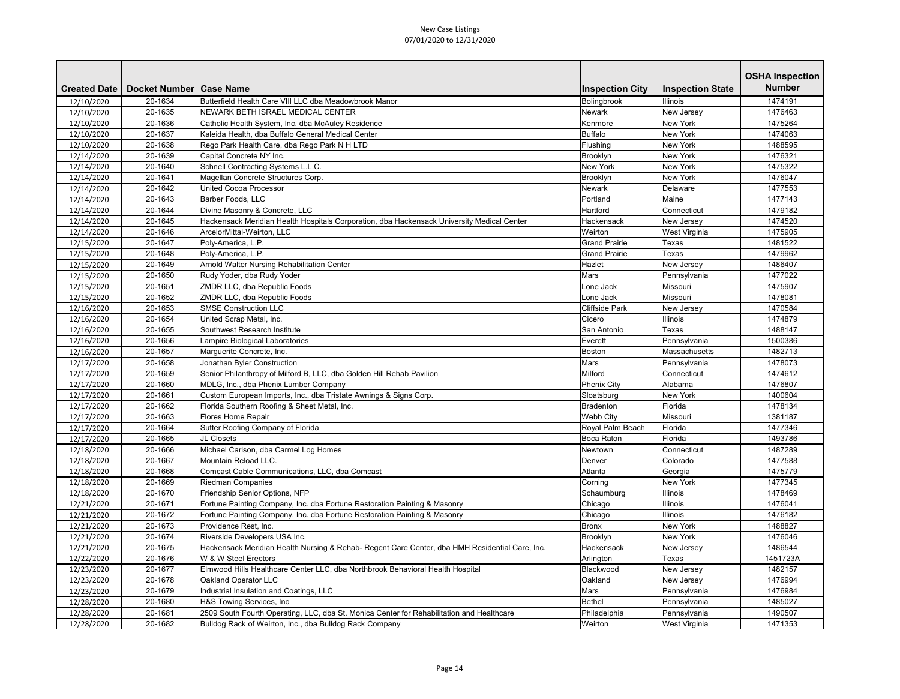|                     |                           |                                                                                                |                        |                         | <b>OSHA Inspection</b> |
|---------------------|---------------------------|------------------------------------------------------------------------------------------------|------------------------|-------------------------|------------------------|
| <b>Created Date</b> | Docket Number   Case Name |                                                                                                | <b>Inspection City</b> | <b>Inspection State</b> | <b>Number</b>          |
| 12/10/2020          | 20-1634                   | Butterfield Health Care VIII LLC dba Meadowbrook Manor                                         | Bolingbrook            | <b>Illinois</b>         | 1474191                |
| 12/10/2020          | 20-1635                   | NEWARK BETH ISRAEL MEDICAL CENTER                                                              | <b>Newark</b>          | New Jersey              | 1476463                |
| 12/10/2020          | 20-1636                   | Catholic Health System, Inc, dba McAuley Residence                                             | Kenmore                | <b>New York</b>         | 1475264                |
| 12/10/2020          | 20-1637                   | Kaleida Health, dba Buffalo General Medical Center                                             | <b>Buffalo</b>         | <b>New York</b>         | 1474063                |
| 12/10/2020          | 20-1638                   | Rego Park Health Care, dba Rego Park N H LTD                                                   | Flushing               | <b>New York</b>         | 1488595                |
| 12/14/2020          | 20-1639                   | Capital Concrete NY Inc.                                                                       | Brooklyn               | <b>New York</b>         | 1476321                |
| 12/14/2020          | 20-1640                   | Schnell Contracting Systems L.L.C.                                                             | <b>New York</b>        | <b>New York</b>         | 1475322                |
| 12/14/2020          | 20-1641                   | Magellan Concrete Structures Corp.                                                             | Brooklyn               | <b>New York</b>         | 1476047                |
| 12/14/2020          | 20-1642                   | <b>United Cocoa Processor</b>                                                                  | <b>Newark</b>          | Delaware                | 1477553                |
| 12/14/2020          | 20-1643                   | Barber Foods, LLC                                                                              | Portland               | Maine                   | 1477143                |
| 12/14/2020          | 20-1644                   | Divine Masonry & Concrete, LLC                                                                 | Hartford               | Connecticut             | 1479182                |
| 12/14/2020          | 20-1645                   | Hackensack Meridian Health Hospitals Corporation, dba Hackensack University Medical Center     | Hackensack             | New Jersey              | 1474520                |
| 12/14/2020          | 20-1646                   | ArcelorMittal-Weirton, LLC                                                                     | Weirton                | <b>West Virginia</b>    | 1475905                |
| 12/15/2020          | 20-1647                   | Poly-America, L.P.                                                                             | <b>Grand Prairie</b>   | Texas                   | 1481522                |
| 12/15/2020          | 20-1648                   | Poly-America, L.P.                                                                             | <b>Grand Prairie</b>   | Texas                   | 1479962                |
| 12/15/2020          | 20-1649                   | <b>Arnold Walter Nursing Rehabilitation Center</b>                                             | Hazlet                 | New Jersey              | 1486407                |
| 12/15/2020          | 20-1650                   | Rudy Yoder, dba Rudy Yoder                                                                     | <b>Mars</b>            | Pennsylvania            | 1477022                |
| 12/15/2020          | 20-1651                   | ZMDR LLC, dba Republic Foods                                                                   | Lone Jack              | Missouri                | 1475907                |
| 12/15/2020          | 20-1652                   | ZMDR LLC, dba Republic Foods                                                                   | Lone Jack              | Missouri                | 1478081                |
| 12/16/2020          | 20-1653                   | <b>SMSE Construction LLC</b>                                                                   | <b>Cliffside Park</b>  | New Jersey              | 1470584                |
| 12/16/2020          | 20-1654                   | United Scrap Metal, Inc.                                                                       | Cicero                 | Illinois                | 1474879                |
| 12/16/2020          | 20-1655                   | Southwest Research Institute                                                                   | San Antonio            | Texas                   | 1488147                |
| 12/16/2020          | 20-1656                   | Lampire Biological Laboratories                                                                | Everett                | Pennsylvania            | 1500386                |
| 12/16/2020          | 20-1657                   | Marguerite Concrete, Inc.                                                                      | <b>Boston</b>          | Massachusetts           | 1482713                |
| 12/17/2020          | 20-1658                   | Jonathan Byler Construction                                                                    | Mars                   | Pennsylvania            | 1478073                |
| 12/17/2020          | 20-1659                   | Senior Philanthropy of Milford B, LLC, dba Golden Hill Rehab Pavilion                          | Milford                | Connecticut             | 1474612                |
| 12/17/2020          | 20-1660                   | MDLG, Inc., dba Phenix Lumber Company                                                          | <b>Phenix City</b>     | Alabama                 | 1476807                |
| 12/17/2020          | 20-1661                   | Custom European Imports, Inc., dba Tristate Awnings & Signs Corp.                              | Sloatsburg             | <b>New York</b>         | 1400604                |
| 12/17/2020          | 20-1662                   | Florida Southern Roofing & Sheet Metal, Inc.                                                   | Bradenton              | Florida                 | 1478134                |
| 12/17/2020          | 20-1663                   | Flores Home Repair                                                                             | <b>Webb City</b>       | Missouri                | 1381187                |
| 12/17/2020          | 20-1664                   | Sutter Roofing Company of Florida                                                              | Royal Palm Beach       | Florida                 | 1477346                |
| 12/17/2020          | 20-1665                   | JL Closets                                                                                     | Boca Raton             | Florida                 | 1493786                |
| 12/18/2020          | 20-1666                   | Michael Carlson, dba Carmel Log Homes                                                          | Newtown                | Connecticut             | 1487289                |
| 12/18/2020          | 20-1667                   | Mountain Reload LLC.                                                                           | Denver                 | Colorado                | 1477588                |
| 12/18/2020          | 20-1668                   | Comcast Cable Communications, LLC, dba Comcast                                                 | Atlanta                | Georgia                 | 1475779                |
| 12/18/2020          | 20-1669                   | <b>Riedman Companies</b>                                                                       | Corning                | New York                | 1477345                |
| 12/18/2020          | 20-1670                   | Friendship Senior Options, NFP                                                                 | Schaumburg             | <b>Illinois</b>         | 1478469                |
| 12/21/2020          | 20-1671                   | Fortune Painting Company, Inc. dba Fortune Restoration Painting & Masonry                      | Chicago                | <b>Illinois</b>         | 1476041                |
| 12/21/2020          | 20-1672                   | Fortune Painting Company, Inc. dba Fortune Restoration Painting & Masonry                      | Chicago                | <b>Illinois</b>         | 1476182                |
| 12/21/2020          | 20-1673                   | Providence Rest, Inc.                                                                          | <b>Bronx</b>           | New York                | 1488827                |
| 12/21/2020          | 20-1674                   | Riverside Developers USA Inc.                                                                  | Brooklyn               | New York                | 1476046                |
| 12/21/2020          | 20-1675                   | Hackensack Meridian Health Nursing & Rehab- Regent Care Center, dba HMH Residential Care, Inc. | Hackensack             | New Jersey              | 1486544                |
| 12/22/2020          | 20-1676                   | W & W Steel Erectors                                                                           | Arlington              | Texas                   | 1451723A               |
| 12/23/2020          | 20-1677                   | Elmwood Hills Healthcare Center LLC, dba Northbrook Behavioral Health Hospital                 | Blackwood              | New Jersey              | 1482157                |
| 12/23/2020          | 20-1678                   | Oakland Operator LLC                                                                           | Oakland                | New Jersey              | 1476994                |
| 12/23/2020          | 20-1679                   | Industrial Insulation and Coatings, LLC                                                        | Mars                   | Pennsylvania            | 1476984                |
| 12/28/2020          | 20-1680                   | H&S Towing Services, Inc                                                                       | Bethel                 | Pennsylvania            | 1485027                |
| 12/28/2020          | 20-1681                   | 2509 South Fourth Operating, LLC, dba St. Monica Center for Rehabilitation and Healthcare      | Philadelphia           | Pennsylvania            | 1490507                |
| 12/28/2020          | 20-1682                   | Bulldog Rack of Weirton, Inc., dba Bulldog Rack Company                                        | Weirton                | West Virginia           | 1471353                |